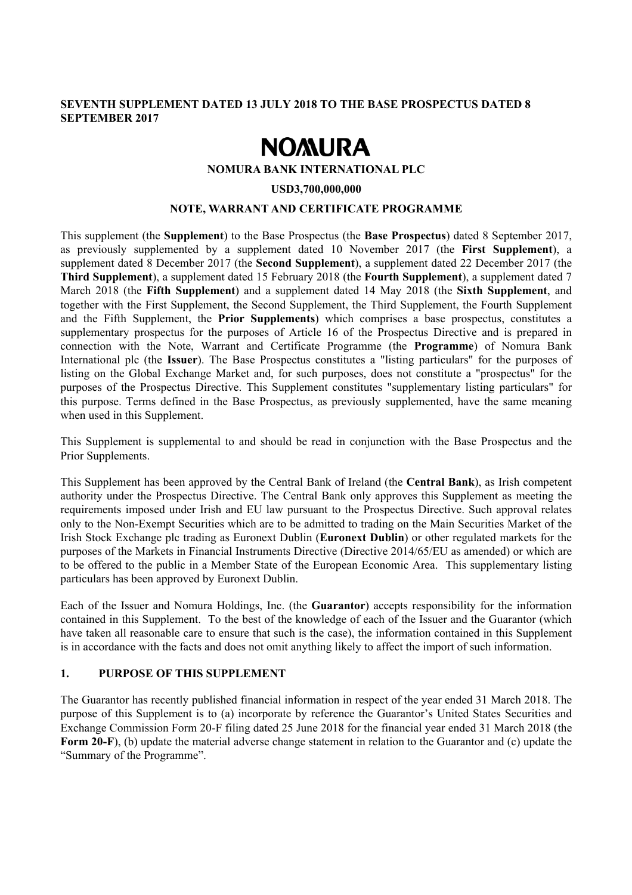## **SEVENTH SUPPLEMENT DATED 13 JULY 2018 TO THE BASE PROSPECTUS DATED 8 SEPTEMBER 2017**

# **NOMURA**

#### **NOMURA BANK INTERNATIONAL PLC**

#### **USD3,700,000,000**

#### **NOTE, WARRANT AND CERTIFICATE PROGRAMME**

This supplement (the **Supplement**) to the Base Prospectus (the **Base Prospectus**) dated 8 September 2017, as previously supplemented by a supplement dated 10 November 2017 (the **First Supplement**), a supplement dated 8 December 2017 (the **Second Supplement**), a supplement dated 22 December 2017 (the **Third Supplement**), a supplement dated 15 February 2018 (the **Fourth Supplement**), a supplement dated 7 March 2018 (the **Fifth Supplement**) and a supplement dated 14 May 2018 (the **Sixth Supplement**, and together with the First Supplement, the Second Supplement, the Third Supplement, the Fourth Supplement and the Fifth Supplement, the **Prior Supplements**) which comprises a base prospectus, constitutes a supplementary prospectus for the purposes of Article 16 of the Prospectus Directive and is prepared in connection with the Note, Warrant and Certificate Programme (the **Programme**) of Nomura Bank International plc (the **Issuer**). The Base Prospectus constitutes a "listing particulars" for the purposes of listing on the Global Exchange Market and, for such purposes, does not constitute a "prospectus" for the purposes of the Prospectus Directive. This Supplement constitutes "supplementary listing particulars" for this purpose. Terms defined in the Base Prospectus, as previously supplemented, have the same meaning when used in this Supplement.

This Supplement is supplemental to and should be read in conjunction with the Base Prospectus and the Prior Supplements.

This Supplement has been approved by the Central Bank of Ireland (the **Central Bank**), as Irish competent authority under the Prospectus Directive. The Central Bank only approves this Supplement as meeting the requirements imposed under Irish and EU law pursuant to the Prospectus Directive. Such approval relates only to the Non-Exempt Securities which are to be admitted to trading on the Main Securities Market of the Irish Stock Exchange plc trading as Euronext Dublin (**Euronext Dublin**) or other regulated markets for the purposes of the Markets in Financial Instruments Directive (Directive 2014/65/EU as amended) or which are to be offered to the public in a Member State of the European Economic Area. This supplementary listing particulars has been approved by Euronext Dublin.

Each of the Issuer and Nomura Holdings, Inc. (the **Guarantor**) accepts responsibility for the information contained in this Supplement. To the best of the knowledge of each of the Issuer and the Guarantor (which have taken all reasonable care to ensure that such is the case), the information contained in this Supplement is in accordance with the facts and does not omit anything likely to affect the import of such information.

## **1. PURPOSE OF THIS SUPPLEMENT**

The Guarantor has recently published financial information in respect of the year ended 31 March 2018. The purpose of this Supplement is to (a) incorporate by reference the Guarantor's United States Securities and Exchange Commission Form 20-F filing dated 25 June 2018 for the financial year ended 31 March 2018 (the **Form 20-F**), (b) update the material adverse change statement in relation to the Guarantor and (c) update the "Summary of the Programme".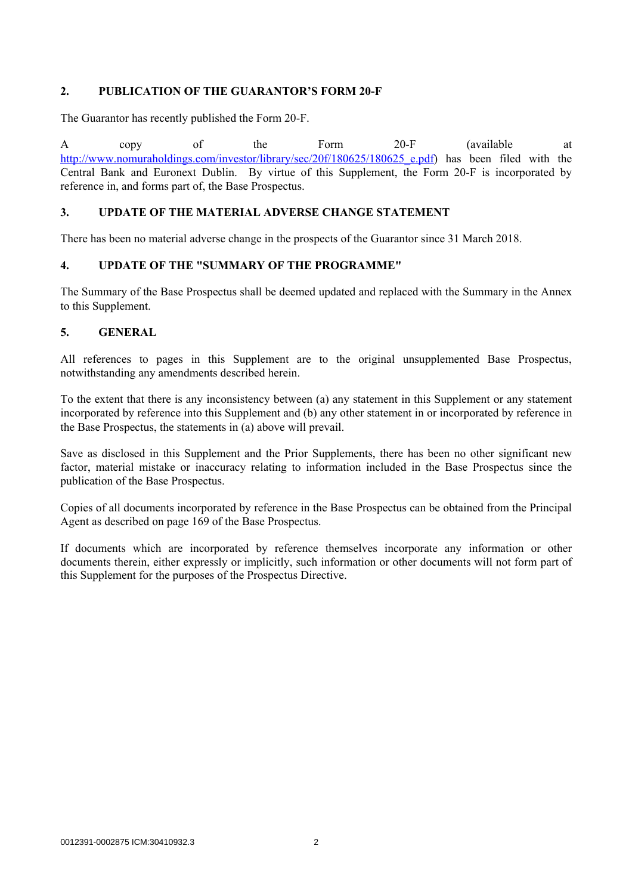## **2. PUBLICATION OF THE GUARANTOR'S FORM 20-F**

The Guarantor has recently published the Form 20-F.

A copy of the Form 20-F (available at http://www.nomuraholdings.com/investor/library/sec/20f/180625/180625\_e.pdf) has been filed with the Central Bank and Euronext Dublin. By virtue of this Supplement, the Form 20-F is incorporated by reference in, and forms part of, the Base Prospectus.

## **3. UPDATE OF THE MATERIAL ADVERSE CHANGE STATEMENT**

There has been no material adverse change in the prospects of the Guarantor since 31 March 2018.

## **4. UPDATE OF THE "SUMMARY OF THE PROGRAMME"**

The Summary of the Base Prospectus shall be deemed updated and replaced with the Summary in the Annex to this Supplement.

## **5. GENERAL**

All references to pages in this Supplement are to the original unsupplemented Base Prospectus, notwithstanding any amendments described herein.

To the extent that there is any inconsistency between (a) any statement in this Supplement or any statement incorporated by reference into this Supplement and (b) any other statement in or incorporated by reference in the Base Prospectus, the statements in (a) above will prevail.

Save as disclosed in this Supplement and the Prior Supplements, there has been no other significant new factor, material mistake or inaccuracy relating to information included in the Base Prospectus since the publication of the Base Prospectus.

Copies of all documents incorporated by reference in the Base Prospectus can be obtained from the Principal Agent as described on page 169 of the Base Prospectus.

If documents which are incorporated by reference themselves incorporate any information or other documents therein, either expressly or implicitly, such information or other documents will not form part of this Supplement for the purposes of the Prospectus Directive.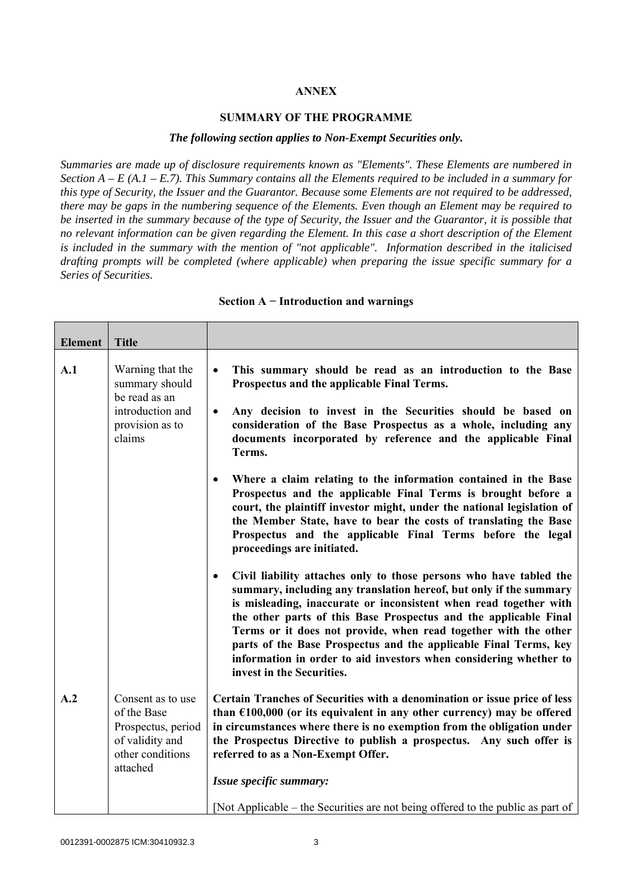#### **ANNEX**

#### **SUMMARY OF THE PROGRAMME**

#### *The following section applies to Non-Exempt Securities only.*

*Summaries are made up of disclosure requirements known as "Elements". These Elements are numbered in Section A – E (A.1 – E.7). This Summary contains all the Elements required to be included in a summary for this type of Security, the Issuer and the Guarantor. Because some Elements are not required to be addressed, there may be gaps in the numbering sequence of the Elements. Even though an Element may be required to be inserted in the summary because of the type of Security, the Issuer and the Guarantor, it is possible that no relevant information can be given regarding the Element. In this case a short description of the Element is included in the summary with the mention of "not applicable". Information described in the italicised drafting prompts will be completed (where applicable) when preparing the issue specific summary for a Series of Securities.*

| <b>Element</b> | <b>Title</b>                                                                                              |                                                                                                                                                                                                                                                                                                                                                                                                                                                                                                                                         |
|----------------|-----------------------------------------------------------------------------------------------------------|-----------------------------------------------------------------------------------------------------------------------------------------------------------------------------------------------------------------------------------------------------------------------------------------------------------------------------------------------------------------------------------------------------------------------------------------------------------------------------------------------------------------------------------------|
| A.1            | Warning that the<br>summary should<br>be read as an<br>introduction and<br>provision as to<br>claims      | This summary should be read as an introduction to the Base<br>$\bullet$<br>Prospectus and the applicable Final Terms.<br>Any decision to invest in the Securities should be based on<br>$\bullet$<br>consideration of the Base Prospectus as a whole, including any<br>documents incorporated by reference and the applicable Final<br>Terms.                                                                                                                                                                                           |
|                |                                                                                                           | Where a claim relating to the information contained in the Base<br>$\bullet$<br>Prospectus and the applicable Final Terms is brought before a<br>court, the plaintiff investor might, under the national legislation of<br>the Member State, have to bear the costs of translating the Base<br>Prospectus and the applicable Final Terms before the legal<br>proceedings are initiated.                                                                                                                                                 |
|                |                                                                                                           | Civil liability attaches only to those persons who have tabled the<br>$\bullet$<br>summary, including any translation hereof, but only if the summary<br>is misleading, inaccurate or inconsistent when read together with<br>the other parts of this Base Prospectus and the applicable Final<br>Terms or it does not provide, when read together with the other<br>parts of the Base Prospectus and the applicable Final Terms, key<br>information in order to aid investors when considering whether to<br>invest in the Securities. |
| A.2            | Consent as to use<br>of the Base<br>Prospectus, period<br>of validity and<br>other conditions<br>attached | Certain Tranches of Securities with a denomination or issue price of less<br>than $£100,000$ (or its equivalent in any other currency) may be offered<br>in circumstances where there is no exemption from the obligation under<br>the Prospectus Directive to publish a prospectus. Any such offer is<br>referred to as a Non-Exempt Offer.<br>Issue specific summary:<br>[Not Applicable – the Securities are not being offered to the public as part of                                                                              |

#### **Section A − Introduction and warnings**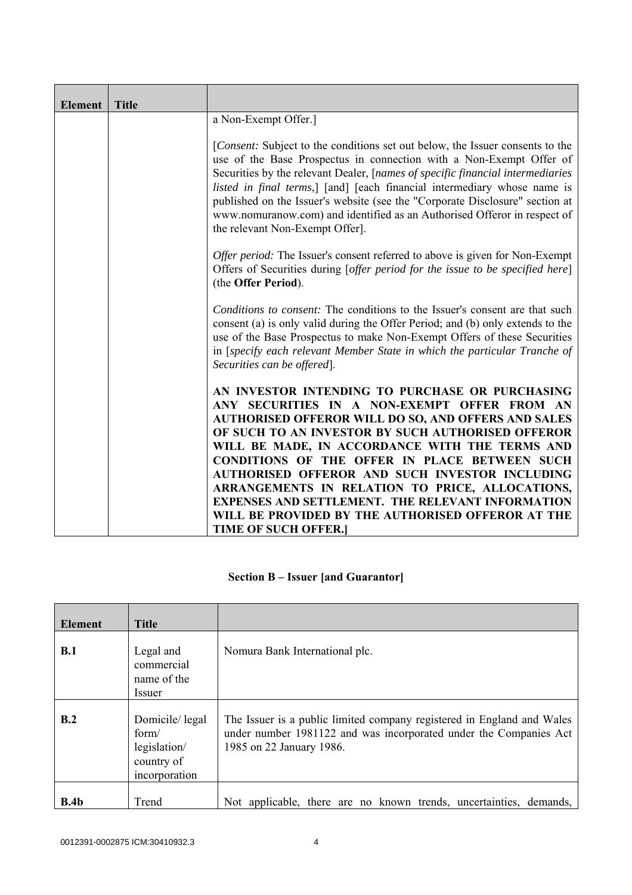| <b>Element</b> | <b>Title</b> |                                                                                                                                                                                                                                                                                                                                                                                                                                                                                                                                                                           |
|----------------|--------------|---------------------------------------------------------------------------------------------------------------------------------------------------------------------------------------------------------------------------------------------------------------------------------------------------------------------------------------------------------------------------------------------------------------------------------------------------------------------------------------------------------------------------------------------------------------------------|
|                |              | a Non-Exempt Offer.]                                                                                                                                                                                                                                                                                                                                                                                                                                                                                                                                                      |
|                |              | [Consent: Subject to the conditions set out below, the Issuer consents to the<br>use of the Base Prospectus in connection with a Non-Exempt Offer of<br>Securities by the relevant Dealer, [names of specific financial intermediaries<br>listed in final terms,] [and] [each financial intermediary whose name is<br>published on the Issuer's website (see the "Corporate Disclosure" section at<br>www.nomuranow.com) and identified as an Authorised Offeror in respect of<br>the relevant Non-Exempt Offer].                                                         |
|                |              | <i>Offer period:</i> The Issuer's consent referred to above is given for Non-Exempt<br>Offers of Securities during [offer period for the issue to be specified here]<br>(the Offer Period).                                                                                                                                                                                                                                                                                                                                                                               |
|                |              | <i>Conditions to consent:</i> The conditions to the Issuer's consent are that such<br>consent (a) is only valid during the Offer Period; and (b) only extends to the<br>use of the Base Prospectus to make Non-Exempt Offers of these Securities<br>in [specify each relevant Member State in which the particular Tranche of<br>Securities can be offered].                                                                                                                                                                                                              |
|                |              | AN INVESTOR INTENDING TO PURCHASE OR PURCHASING<br>ANY SECURITIES IN A NON-EXEMPT OFFER FROM AN<br><b>AUTHORISED OFFEROR WILL DO SO, AND OFFERS AND SALES</b><br>OF SUCH TO AN INVESTOR BY SUCH AUTHORISED OFFEROR<br>WILL BE MADE, IN ACCORDANCE WITH THE TERMS AND<br>CONDITIONS OF THE OFFER IN PLACE BETWEEN SUCH<br>AUTHORISED OFFEROR AND SUCH INVESTOR INCLUDING<br>ARRANGEMENTS IN RELATION TO PRICE, ALLOCATIONS,<br><b>EXPENSES AND SETTLEMENT. THE RELEVANT INFORMATION</b><br>WILL BE PROVIDED BY THE AUTHORISED OFFEROR AT THE<br><b>TIME OF SUCH OFFER.</b> |

## **Section B – Issuer [and Guarantor]**

| <b>Element</b> | <b>Title</b>                                                           |                                                                                                                                                                         |
|----------------|------------------------------------------------------------------------|-------------------------------------------------------------------------------------------------------------------------------------------------------------------------|
| B.1            | Legal and<br>commercial<br>name of the<br><i>Issuer</i>                | Nomura Bank International plc.                                                                                                                                          |
| B.2            | Domicile/legal<br>form/<br>legislation/<br>country of<br>incorporation | The Issuer is a public limited company registered in England and Wales<br>under number 1981122 and was incorporated under the Companies Act<br>1985 on 22 January 1986. |
| B.4b           | Trend                                                                  | Not applicable, there are no known trends, uncertainties, demands,                                                                                                      |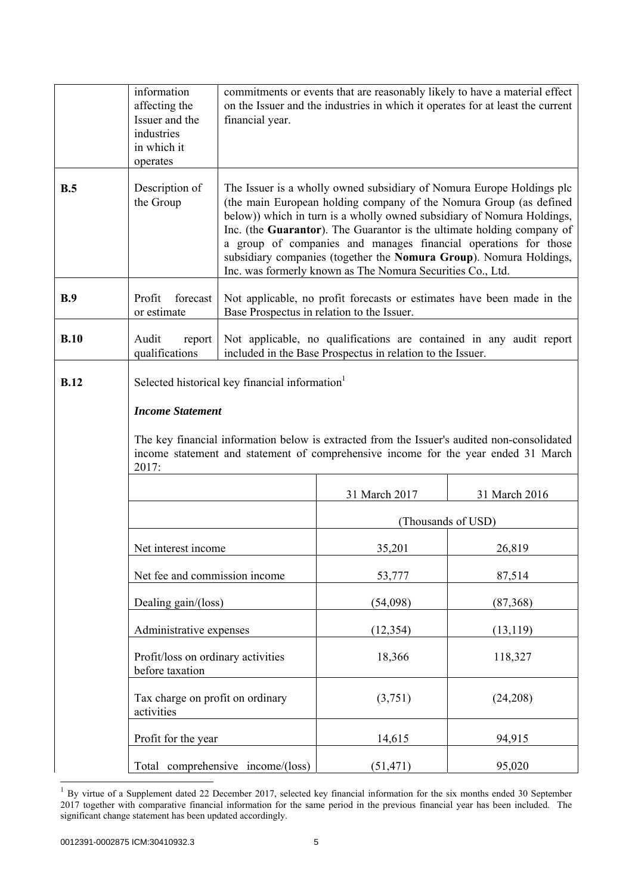|             | information<br>affecting the<br>Issuer and the<br>industries<br>in which it<br>operates | financial year.                                                                                                                                                                                                                                                                                                                                                                                                                                                                                        |                                                                                                                      | commitments or events that are reasonably likely to have a material effect<br>on the Issuer and the industries in which it operates for at least the current |  |
|-------------|-----------------------------------------------------------------------------------------|--------------------------------------------------------------------------------------------------------------------------------------------------------------------------------------------------------------------------------------------------------------------------------------------------------------------------------------------------------------------------------------------------------------------------------------------------------------------------------------------------------|----------------------------------------------------------------------------------------------------------------------|--------------------------------------------------------------------------------------------------------------------------------------------------------------|--|
| B.5         | Description of<br>the Group                                                             | The Issuer is a wholly owned subsidiary of Nomura Europe Holdings plc<br>(the main European holding company of the Nomura Group (as defined<br>below)) which in turn is a wholly owned subsidiary of Nomura Holdings,<br>Inc. (the Guarantor). The Guarantor is the ultimate holding company of<br>a group of companies and manages financial operations for those<br>subsidiary companies (together the Nomura Group). Nomura Holdings,<br>Inc. was formerly known as The Nomura Securities Co., Ltd. |                                                                                                                      |                                                                                                                                                              |  |
| B.9         | Profit<br>forecast<br>or estimate                                                       |                                                                                                                                                                                                                                                                                                                                                                                                                                                                                                        | Not applicable, no profit forecasts or estimates have been made in the<br>Base Prospectus in relation to the Issuer. |                                                                                                                                                              |  |
| B.10        | Audit<br>report<br>qualifications                                                       | Not applicable, no qualifications are contained in any audit report<br>included in the Base Prospectus in relation to the Issuer.                                                                                                                                                                                                                                                                                                                                                                      |                                                                                                                      |                                                                                                                                                              |  |
| <b>B.12</b> | <b>Income Statement</b><br>2017:                                                        | Selected historical key financial information <sup>1</sup><br>The key financial information below is extracted from the Issuer's audited non-consolidated<br>income statement and statement of comprehensive income for the year ended 31 March                                                                                                                                                                                                                                                        |                                                                                                                      |                                                                                                                                                              |  |
|             |                                                                                         | 31 March 2017<br>31 March 2016                                                                                                                                                                                                                                                                                                                                                                                                                                                                         |                                                                                                                      |                                                                                                                                                              |  |
|             |                                                                                         |                                                                                                                                                                                                                                                                                                                                                                                                                                                                                                        |                                                                                                                      | (Thousands of USD)                                                                                                                                           |  |
|             | Net interest income                                                                     |                                                                                                                                                                                                                                                                                                                                                                                                                                                                                                        | 35,201                                                                                                               | 26,819                                                                                                                                                       |  |
|             | Net fee and commission income                                                           |                                                                                                                                                                                                                                                                                                                                                                                                                                                                                                        | 53,777                                                                                                               | 87,514                                                                                                                                                       |  |
|             | Dealing gain/(loss)                                                                     |                                                                                                                                                                                                                                                                                                                                                                                                                                                                                                        | (54,098)                                                                                                             | (87, 368)                                                                                                                                                    |  |
|             |                                                                                         | Administrative expenses                                                                                                                                                                                                                                                                                                                                                                                                                                                                                |                                                                                                                      | (13, 119)                                                                                                                                                    |  |
|             | Profit/loss on ordinary activities<br>before taxation                                   |                                                                                                                                                                                                                                                                                                                                                                                                                                                                                                        | 18,366                                                                                                               | 118,327                                                                                                                                                      |  |
|             | Tax charge on profit on ordinary<br>activities                                          |                                                                                                                                                                                                                                                                                                                                                                                                                                                                                                        | (3,751)                                                                                                              | (24,208)                                                                                                                                                     |  |
|             | Profit for the year                                                                     |                                                                                                                                                                                                                                                                                                                                                                                                                                                                                                        | 14,615                                                                                                               | 94,915                                                                                                                                                       |  |
|             |                                                                                         | Total comprehensive income/(loss)                                                                                                                                                                                                                                                                                                                                                                                                                                                                      | (51, 471)                                                                                                            | 95,020                                                                                                                                                       |  |

 $1$  By virtue of a Supplement dated 22 December 2017, selected key financial information for the six months ended 30 September 2017 together with comparative financial information for the same period in the previous financial year has been included. The significant change statement has been updated accordingly.

 $\overline{a}$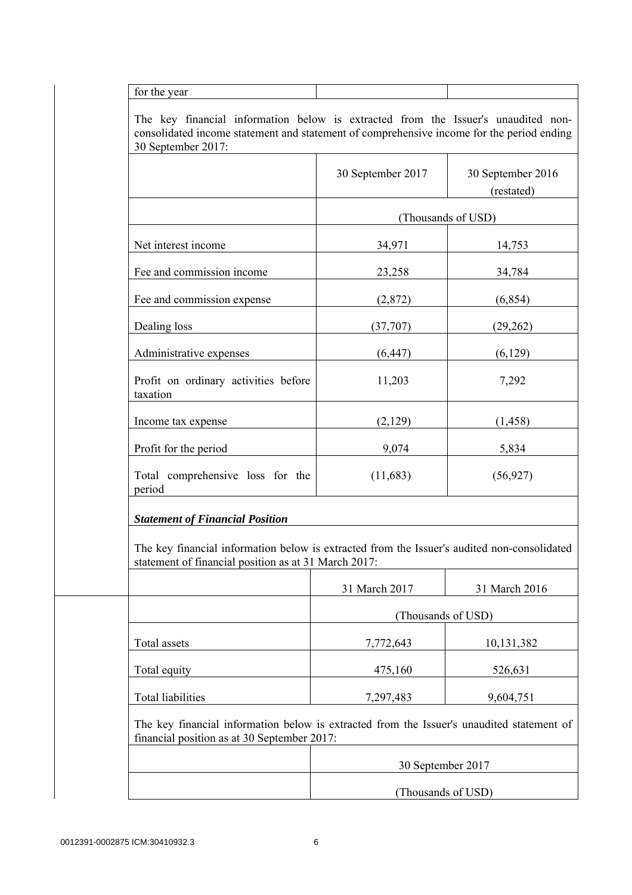for the year

 The key financial information below is extracted from the Issuer's unaudited nonconsolidated income statement and statement of comprehensive income for the period ending 30 September 2017:

|                                                                                                                                                     | 30 September 2017  | 30 September 2016<br>(restated) |
|-----------------------------------------------------------------------------------------------------------------------------------------------------|--------------------|---------------------------------|
|                                                                                                                                                     |                    | (Thousands of USD)              |
| Net interest income                                                                                                                                 | 34,971             | 14,753                          |
| Fee and commission income                                                                                                                           | 23,258             | 34,784                          |
| Fee and commission expense                                                                                                                          | (2,872)            | (6, 854)                        |
| Dealing loss                                                                                                                                        | (37,707)           | (29, 262)                       |
| Administrative expenses                                                                                                                             | (6, 447)           | (6,129)                         |
| Profit on ordinary activities before<br>taxation                                                                                                    | 11,203             | 7,292                           |
| Income tax expense                                                                                                                                  | (2,129)            | (1, 458)                        |
| Profit for the period                                                                                                                               | 9,074              | 5,834                           |
| Total comprehensive loss for the<br>period                                                                                                          | (11,683)           | (56, 927)                       |
| <b>Statement of Financial Position</b>                                                                                                              |                    |                                 |
| The key financial information below is extracted from the Issuer's audited non-consolidated<br>statement of financial position as at 31 March 2017: |                    |                                 |
|                                                                                                                                                     | 31 March 2017      | 31 March 2016                   |
|                                                                                                                                                     | (Thousands of USD) |                                 |
| Total assets                                                                                                                                        | 7,772,643          | 10,131,382                      |
| Total equity                                                                                                                                        | 475,160            | 526,631                         |
|                                                                                                                                                     |                    |                                 |

| 30 September 2017  |
|--------------------|
|                    |
| (Thousands of USD) |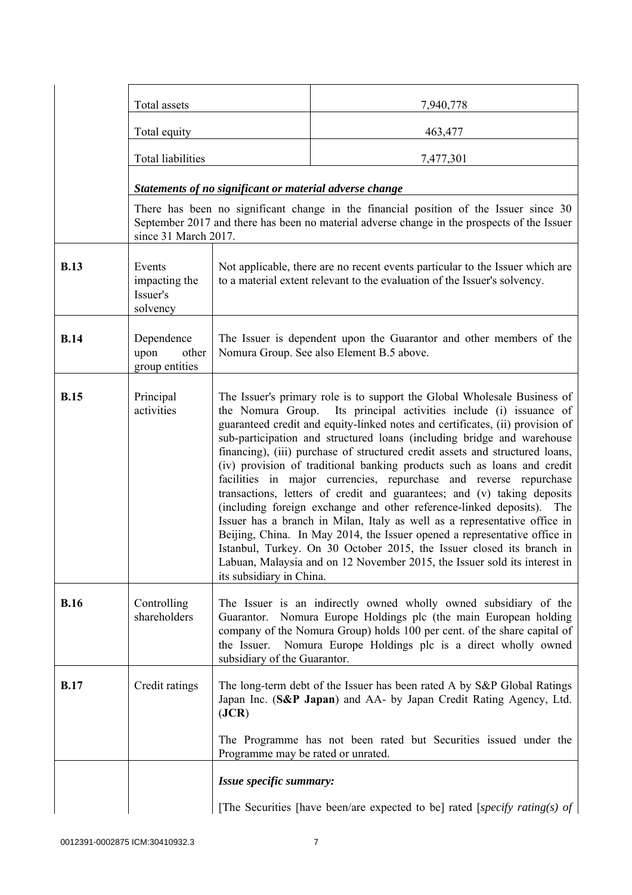|             | Total assets                                    |                                                                                                                                                                                                                                     | 7,940,778                                                                                                                                                                                                                                                                                                                                                                                                                                                                                                                                                                                                                                                                                                                                                                                                                                                                                                                                                                                                     |
|-------------|-------------------------------------------------|-------------------------------------------------------------------------------------------------------------------------------------------------------------------------------------------------------------------------------------|---------------------------------------------------------------------------------------------------------------------------------------------------------------------------------------------------------------------------------------------------------------------------------------------------------------------------------------------------------------------------------------------------------------------------------------------------------------------------------------------------------------------------------------------------------------------------------------------------------------------------------------------------------------------------------------------------------------------------------------------------------------------------------------------------------------------------------------------------------------------------------------------------------------------------------------------------------------------------------------------------------------|
|             | Total equity                                    |                                                                                                                                                                                                                                     | 463,477                                                                                                                                                                                                                                                                                                                                                                                                                                                                                                                                                                                                                                                                                                                                                                                                                                                                                                                                                                                                       |
|             | <b>Total liabilities</b>                        |                                                                                                                                                                                                                                     | 7,477,301                                                                                                                                                                                                                                                                                                                                                                                                                                                                                                                                                                                                                                                                                                                                                                                                                                                                                                                                                                                                     |
|             |                                                 | Statements of no significant or material adverse change                                                                                                                                                                             |                                                                                                                                                                                                                                                                                                                                                                                                                                                                                                                                                                                                                                                                                                                                                                                                                                                                                                                                                                                                               |
|             | since 31 March 2017.                            |                                                                                                                                                                                                                                     | There has been no significant change in the financial position of the Issuer since 30<br>September 2017 and there has been no material adverse change in the prospects of the Issuer                                                                                                                                                                                                                                                                                                                                                                                                                                                                                                                                                                                                                                                                                                                                                                                                                          |
| <b>B.13</b> | Events<br>impacting the<br>Issuer's<br>solvency |                                                                                                                                                                                                                                     | Not applicable, there are no recent events particular to the Issuer which are<br>to a material extent relevant to the evaluation of the Issuer's solvency.                                                                                                                                                                                                                                                                                                                                                                                                                                                                                                                                                                                                                                                                                                                                                                                                                                                    |
| <b>B.14</b> | Dependence<br>upon<br>other<br>group entities   |                                                                                                                                                                                                                                     | The Issuer is dependent upon the Guarantor and other members of the<br>Nomura Group. See also Element B.5 above.                                                                                                                                                                                                                                                                                                                                                                                                                                                                                                                                                                                                                                                                                                                                                                                                                                                                                              |
| <b>B.15</b> | Principal<br>activities                         | its subsidiary in China.                                                                                                                                                                                                            | The Issuer's primary role is to support the Global Wholesale Business of<br>the Nomura Group. Its principal activities include (i) issuance of<br>guaranteed credit and equity-linked notes and certificates, (ii) provision of<br>sub-participation and structured loans (including bridge and warehouse<br>financing), (iii) purchase of structured credit assets and structured loans,<br>(iv) provision of traditional banking products such as loans and credit<br>facilities in major currencies, repurchase and reverse repurchase<br>transactions, letters of credit and guarantees; and (v) taking deposits<br>(including foreign exchange and other reference-linked deposits). The<br>Issuer has a branch in Milan, Italy as well as a representative office in<br>Beijing, China. In May 2014, the Issuer opened a representative office in<br>Istanbul, Turkey. On 30 October 2015, the Issuer closed its branch in<br>Labuan, Malaysia and on 12 November 2015, the Issuer sold its interest in |
| <b>B.16</b> | Controlling<br>shareholders                     | the Issuer.<br>subsidiary of the Guarantor.                                                                                                                                                                                         | The Issuer is an indirectly owned wholly owned subsidiary of the<br>Guarantor. Nomura Europe Holdings plc (the main European holding<br>company of the Nomura Group) holds 100 per cent. of the share capital of<br>Nomura Europe Holdings plc is a direct wholly owned                                                                                                                                                                                                                                                                                                                                                                                                                                                                                                                                                                                                                                                                                                                                       |
| <b>B.17</b> | Credit ratings                                  | The long-term debt of the Issuer has been rated A by S&P Global Ratings<br>Japan Inc. (S&P Japan) and AA- by Japan Credit Rating Agency, Ltd.<br>( <b>JCR</b> )<br>The Programme has not been rated but Securities issued under the |                                                                                                                                                                                                                                                                                                                                                                                                                                                                                                                                                                                                                                                                                                                                                                                                                                                                                                                                                                                                               |
|             |                                                 | Programme may be rated or unrated.<br>Issue specific summary:                                                                                                                                                                       |                                                                                                                                                                                                                                                                                                                                                                                                                                                                                                                                                                                                                                                                                                                                                                                                                                                                                                                                                                                                               |
|             |                                                 |                                                                                                                                                                                                                                     | [The Securities [have been/are expected to be] rated [specify rating(s) of                                                                                                                                                                                                                                                                                                                                                                                                                                                                                                                                                                                                                                                                                                                                                                                                                                                                                                                                    |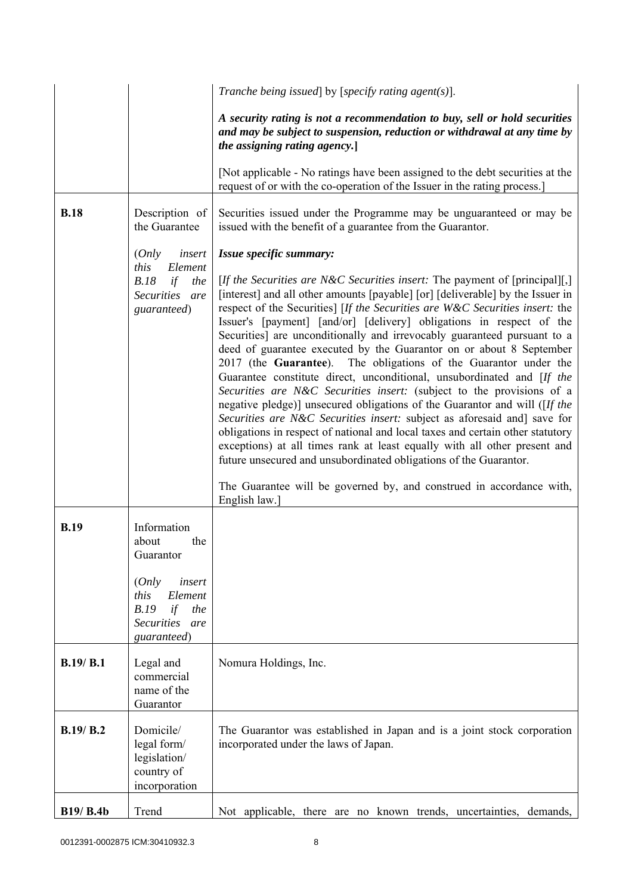|             |                                                                                                    | Tranche being issued] by [specify rating agent(s)].                                                                                                                                                                                                                                                                                                                                                                                                                                                                                                                                                                                                                                                                                                                                                                                                                                                                                                                                                                                                                                                                                                                                                              |
|-------------|----------------------------------------------------------------------------------------------------|------------------------------------------------------------------------------------------------------------------------------------------------------------------------------------------------------------------------------------------------------------------------------------------------------------------------------------------------------------------------------------------------------------------------------------------------------------------------------------------------------------------------------------------------------------------------------------------------------------------------------------------------------------------------------------------------------------------------------------------------------------------------------------------------------------------------------------------------------------------------------------------------------------------------------------------------------------------------------------------------------------------------------------------------------------------------------------------------------------------------------------------------------------------------------------------------------------------|
|             |                                                                                                    | A security rating is not a recommendation to buy, sell or hold securities<br>and may be subject to suspension, reduction or withdrawal at any time by<br>the assigning rating agency.                                                                                                                                                                                                                                                                                                                                                                                                                                                                                                                                                                                                                                                                                                                                                                                                                                                                                                                                                                                                                            |
|             |                                                                                                    | [Not applicable - No ratings have been assigned to the debt securities at the<br>request of or with the co-operation of the Issuer in the rating process.                                                                                                                                                                                                                                                                                                                                                                                                                                                                                                                                                                                                                                                                                                                                                                                                                                                                                                                                                                                                                                                        |
| <b>B.18</b> | Description of<br>the Guarantee                                                                    | Securities issued under the Programme may be unguaranteed or may be<br>issued with the benefit of a guarantee from the Guarantor.                                                                                                                                                                                                                                                                                                                                                                                                                                                                                                                                                                                                                                                                                                                                                                                                                                                                                                                                                                                                                                                                                |
|             | (Only<br>insert<br>this<br>Element<br>B.18<br>if<br>the<br>Securities are<br>guaranteed)           | Issue specific summary:<br>[If the Securities are N&C Securities insert: The payment of [principal][,]<br>[interest] and all other amounts [payable] [or] [deliverable] by the Issuer in<br>respect of the Securities] [If the Securities are W&C Securities insert: the<br>Issuer's [payment] [and/or] [delivery] obligations in respect of the<br>Securities] are unconditionally and irrevocably guaranteed pursuant to a<br>deed of guarantee executed by the Guarantor on or about 8 September<br>2017 (the Guarantee). The obligations of the Guarantor under the<br>Guarantee constitute direct, unconditional, unsubordinated and [If the<br>Securities are N&C Securities insert: (subject to the provisions of a<br>negative pledge)] unsecured obligations of the Guarantor and will ([If the<br>Securities are N&C Securities insert: subject as aforesaid and] save for<br>obligations in respect of national and local taxes and certain other statutory<br>exceptions) at all times rank at least equally with all other present and<br>future unsecured and unsubordinated obligations of the Guarantor.<br>The Guarantee will be governed by, and construed in accordance with,<br>English law. |
| <b>B.19</b> | Information<br>the<br>about<br>Guarantor                                                           |                                                                                                                                                                                                                                                                                                                                                                                                                                                                                                                                                                                                                                                                                                                                                                                                                                                                                                                                                                                                                                                                                                                                                                                                                  |
|             | (Only<br>insert<br>this<br>Element<br>B.19<br>if<br>the<br><b>Securities</b><br>are<br>guaranteed) |                                                                                                                                                                                                                                                                                                                                                                                                                                                                                                                                                                                                                                                                                                                                                                                                                                                                                                                                                                                                                                                                                                                                                                                                                  |
| B.19/ B.1   | Legal and<br>commercial<br>name of the<br>Guarantor                                                | Nomura Holdings, Inc.                                                                                                                                                                                                                                                                                                                                                                                                                                                                                                                                                                                                                                                                                                                                                                                                                                                                                                                                                                                                                                                                                                                                                                                            |
| B.19/ B.2   | Domicile/<br>legal form/<br>legislation/<br>country of<br>incorporation                            | The Guarantor was established in Japan and is a joint stock corporation<br>incorporated under the laws of Japan.                                                                                                                                                                                                                                                                                                                                                                                                                                                                                                                                                                                                                                                                                                                                                                                                                                                                                                                                                                                                                                                                                                 |
| B19/ B.4b   | Trend                                                                                              | Not applicable, there are no known trends, uncertainties, demands,                                                                                                                                                                                                                                                                                                                                                                                                                                                                                                                                                                                                                                                                                                                                                                                                                                                                                                                                                                                                                                                                                                                                               |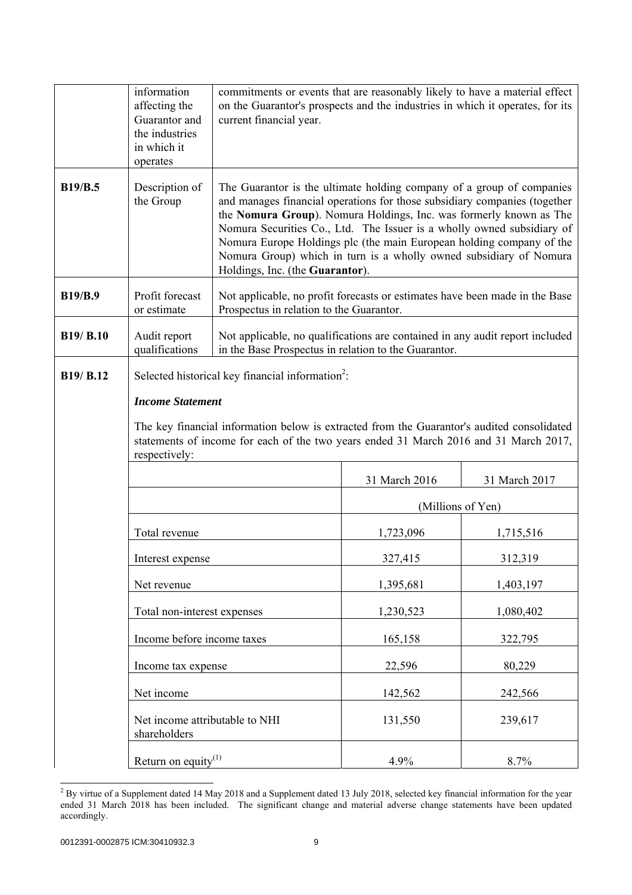|                  | information<br>affecting the<br>Guarantor and<br>the industries<br>in which it<br>operates | commitments or events that are reasonably likely to have a material effect<br>on the Guarantor's prospects and the industries in which it operates, for its<br>current financial year.                                                                                                                                                                                                                                                                                              |                   |               |  |
|------------------|--------------------------------------------------------------------------------------------|-------------------------------------------------------------------------------------------------------------------------------------------------------------------------------------------------------------------------------------------------------------------------------------------------------------------------------------------------------------------------------------------------------------------------------------------------------------------------------------|-------------------|---------------|--|
| <b>B19/B.5</b>   | Description of<br>the Group                                                                | The Guarantor is the ultimate holding company of a group of companies<br>and manages financial operations for those subsidiary companies (together<br>the Nomura Group). Nomura Holdings, Inc. was formerly known as The<br>Nomura Securities Co., Ltd. The Issuer is a wholly owned subsidiary of<br>Nomura Europe Holdings plc (the main European holding company of the<br>Nomura Group) which in turn is a wholly owned subsidiary of Nomura<br>Holdings, Inc. (the Guarantor). |                   |               |  |
| <b>B19/B.9</b>   | Profit forecast<br>or estimate                                                             | Not applicable, no profit forecasts or estimates have been made in the Base<br>Prospectus in relation to the Guarantor.                                                                                                                                                                                                                                                                                                                                                             |                   |               |  |
| <b>B19/ B.10</b> | Audit report<br>qualifications                                                             | Not applicable, no qualifications are contained in any audit report included<br>in the Base Prospectus in relation to the Guarantor.                                                                                                                                                                                                                                                                                                                                                |                   |               |  |
| B19/ B.12        | <b>Income Statement</b><br>respectively:                                                   | Selected historical key financial information <sup>2</sup> :<br>The key financial information below is extracted from the Guarantor's audited consolidated<br>statements of income for each of the two years ended 31 March 2016 and 31 March 2017,                                                                                                                                                                                                                                 |                   |               |  |
|                  |                                                                                            |                                                                                                                                                                                                                                                                                                                                                                                                                                                                                     | 31 March 2016     | 31 March 2017 |  |
|                  |                                                                                            |                                                                                                                                                                                                                                                                                                                                                                                                                                                                                     | (Millions of Yen) |               |  |
|                  | Total revenue                                                                              |                                                                                                                                                                                                                                                                                                                                                                                                                                                                                     | 1,723,096         | 1,715,516     |  |
|                  | Interest expense                                                                           |                                                                                                                                                                                                                                                                                                                                                                                                                                                                                     | 327,415           | 312,319       |  |
|                  | Net revenue                                                                                |                                                                                                                                                                                                                                                                                                                                                                                                                                                                                     | 1,395,681         | 1,403,197     |  |
|                  | Total non-interest expenses                                                                |                                                                                                                                                                                                                                                                                                                                                                                                                                                                                     | 1,230,523         | 1,080,402     |  |
|                  | Income before income taxes                                                                 |                                                                                                                                                                                                                                                                                                                                                                                                                                                                                     | 165,158           | 322,795       |  |
|                  | Income tax expense                                                                         |                                                                                                                                                                                                                                                                                                                                                                                                                                                                                     | 22,596            | 80,229        |  |
|                  | Net income                                                                                 |                                                                                                                                                                                                                                                                                                                                                                                                                                                                                     | 142,562           | 242,566       |  |
|                  | Net income attributable to NHI<br>shareholders                                             |                                                                                                                                                                                                                                                                                                                                                                                                                                                                                     | 131,550           | 239,617       |  |
|                  | Return on equity $^{(1)}$                                                                  |                                                                                                                                                                                                                                                                                                                                                                                                                                                                                     | 4.9%              | 8.7%          |  |

<sup>&</sup>lt;sup>2</sup> By virtue of a Supplement dated 14 May 2018 and a Supplement dated 13 July 2018, selected key financial information for the year ended 31 March 2018 has been included. The significant change and material adverse change statements have been updated accordingly.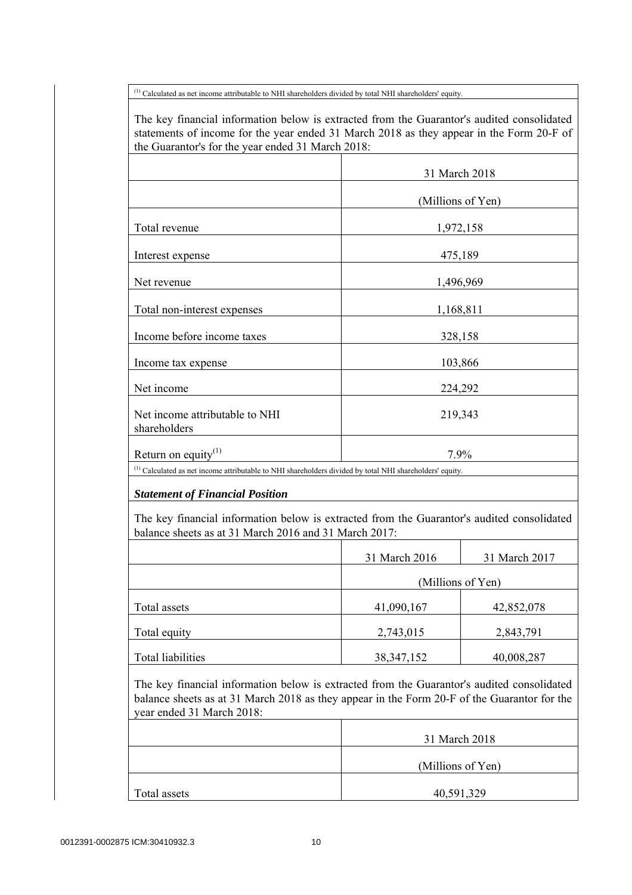(1) Calculated as net income attributable to NHI shareholders divided by total NHI shareholders' equity.

 The key financial information below is extracted from the Guarantor's audited consolidated statements of income for the year ended 31 March 2018 as they appear in the Form 20-F of the Guarantor's for the year ended 31 March 2018:

|                                                                                                                                                                                           |                   | 31 March 2018     |
|-------------------------------------------------------------------------------------------------------------------------------------------------------------------------------------------|-------------------|-------------------|
|                                                                                                                                                                                           |                   | (Millions of Yen) |
| Total revenue                                                                                                                                                                             |                   | 1,972,158         |
| Interest expense                                                                                                                                                                          |                   | 475,189           |
| Net revenue                                                                                                                                                                               |                   | 1,496,969         |
| Total non-interest expenses                                                                                                                                                               |                   | 1,168,811         |
| Income before income taxes                                                                                                                                                                |                   | 328,158           |
| Income tax expense                                                                                                                                                                        |                   | 103,866           |
| Net income                                                                                                                                                                                |                   | 224,292           |
| Net income attributable to NHI<br>shareholders                                                                                                                                            |                   | 219,343           |
| Return on equity $(1)$                                                                                                                                                                    |                   | 7.9%              |
| The key financial information below is extracted from the Guarantor's audited consolidated<br>balance sheets as at 31 March 2016 and 31 March 2017:                                       |                   |                   |
|                                                                                                                                                                                           | 31 March 2016     | 31 March 2017     |
|                                                                                                                                                                                           | (Millions of Yen) |                   |
| Total assets                                                                                                                                                                              | 41,090,167        | 42,852,078        |
| Total equity                                                                                                                                                                              | 2,743,015         | 2,843,791         |
| <b>Total liabilities</b>                                                                                                                                                                  | 38, 347, 152      | 40,008,287        |
| The key financial information below is extracted from the Guarantor's audited consolidated<br>balance sheets as at 31 March 2018 as they appear in the Form 20-F of the Guarantor for the |                   |                   |
| year ended 31 March 2018:                                                                                                                                                                 |                   |                   |
|                                                                                                                                                                                           |                   | 31 March 2018     |
|                                                                                                                                                                                           |                   | (Millions of Yen) |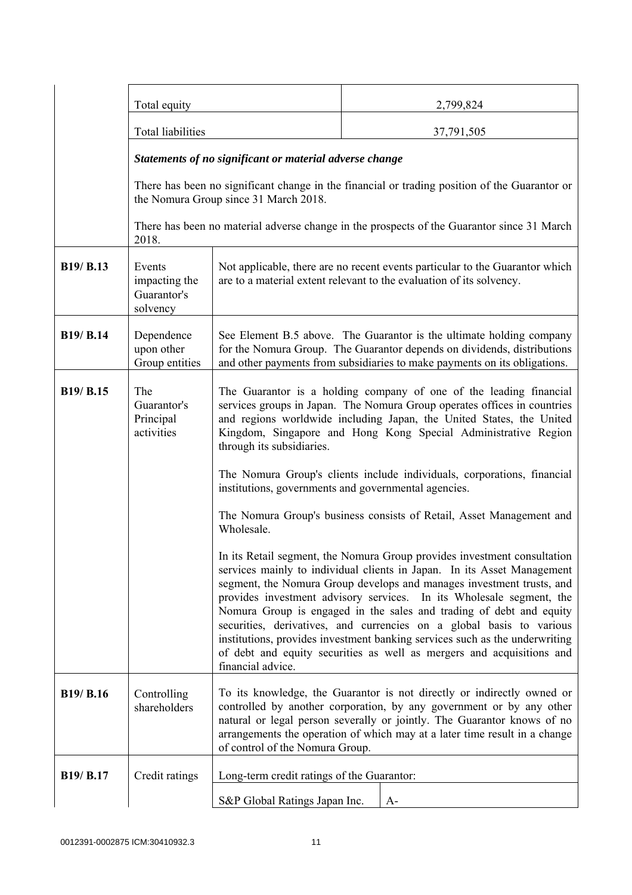|           | Total equity                                            |                                                                                                                                                                                                                                                                                                                                                                                                                                                                                                                                                                                                                                  |            | 2,799,824                                                                                     |
|-----------|---------------------------------------------------------|----------------------------------------------------------------------------------------------------------------------------------------------------------------------------------------------------------------------------------------------------------------------------------------------------------------------------------------------------------------------------------------------------------------------------------------------------------------------------------------------------------------------------------------------------------------------------------------------------------------------------------|------------|-----------------------------------------------------------------------------------------------|
|           | Total liabilities                                       |                                                                                                                                                                                                                                                                                                                                                                                                                                                                                                                                                                                                                                  | 37,791,505 |                                                                                               |
|           | Statements of no significant or material adverse change |                                                                                                                                                                                                                                                                                                                                                                                                                                                                                                                                                                                                                                  |            |                                                                                               |
|           |                                                         | the Nomura Group since 31 March 2018.                                                                                                                                                                                                                                                                                                                                                                                                                                                                                                                                                                                            |            | There has been no significant change in the financial or trading position of the Guarantor or |
|           | 2018.                                                   |                                                                                                                                                                                                                                                                                                                                                                                                                                                                                                                                                                                                                                  |            | There has been no material adverse change in the prospects of the Guarantor since 31 March    |
| B19/ B.13 | Events<br>impacting the<br>Guarantor's<br>solvency      | Not applicable, there are no recent events particular to the Guarantor which<br>are to a material extent relevant to the evaluation of its solvency.                                                                                                                                                                                                                                                                                                                                                                                                                                                                             |            |                                                                                               |
| B19/ B.14 | Dependence<br>upon other<br>Group entities              | See Element B.5 above. The Guarantor is the ultimate holding company<br>for the Nomura Group. The Guarantor depends on dividends, distributions<br>and other payments from subsidiaries to make payments on its obligations.                                                                                                                                                                                                                                                                                                                                                                                                     |            |                                                                                               |
| B19/ B.15 | The<br>Guarantor's<br>Principal<br>activities           | The Guarantor is a holding company of one of the leading financial<br>services groups in Japan. The Nomura Group operates offices in countries<br>and regions worldwide including Japan, the United States, the United<br>Kingdom, Singapore and Hong Kong Special Administrative Region<br>through its subsidiaries.                                                                                                                                                                                                                                                                                                            |            |                                                                                               |
|           |                                                         | The Nomura Group's clients include individuals, corporations, financial<br>institutions, governments and governmental agencies.                                                                                                                                                                                                                                                                                                                                                                                                                                                                                                  |            |                                                                                               |
|           |                                                         | The Nomura Group's business consists of Retail, Asset Management and<br>Wholesale.                                                                                                                                                                                                                                                                                                                                                                                                                                                                                                                                               |            |                                                                                               |
|           |                                                         | In its Retail segment, the Nomura Group provides investment consultation<br>services mainly to individual clients in Japan. In its Asset Management<br>segment, the Nomura Group develops and manages investment trusts, and<br>provides investment advisory services. In its Wholesale segment, the<br>Nomura Group is engaged in the sales and trading of debt and equity<br>securities, derivatives, and currencies on a global basis to various<br>institutions, provides investment banking services such as the underwriting<br>of debt and equity securities as well as mergers and acquisitions and<br>financial advice. |            |                                                                                               |
| B19/ B.16 | Controlling<br>shareholders                             | To its knowledge, the Guarantor is not directly or indirectly owned or<br>controlled by another corporation, by any government or by any other<br>natural or legal person severally or jointly. The Guarantor knows of no<br>arrangements the operation of which may at a later time result in a change<br>of control of the Nomura Group.                                                                                                                                                                                                                                                                                       |            |                                                                                               |
| B19/ B.17 | Credit ratings                                          | Long-term credit ratings of the Guarantor:                                                                                                                                                                                                                                                                                                                                                                                                                                                                                                                                                                                       |            |                                                                                               |
|           |                                                         | S&P Global Ratings Japan Inc.<br>$A-$                                                                                                                                                                                                                                                                                                                                                                                                                                                                                                                                                                                            |            |                                                                                               |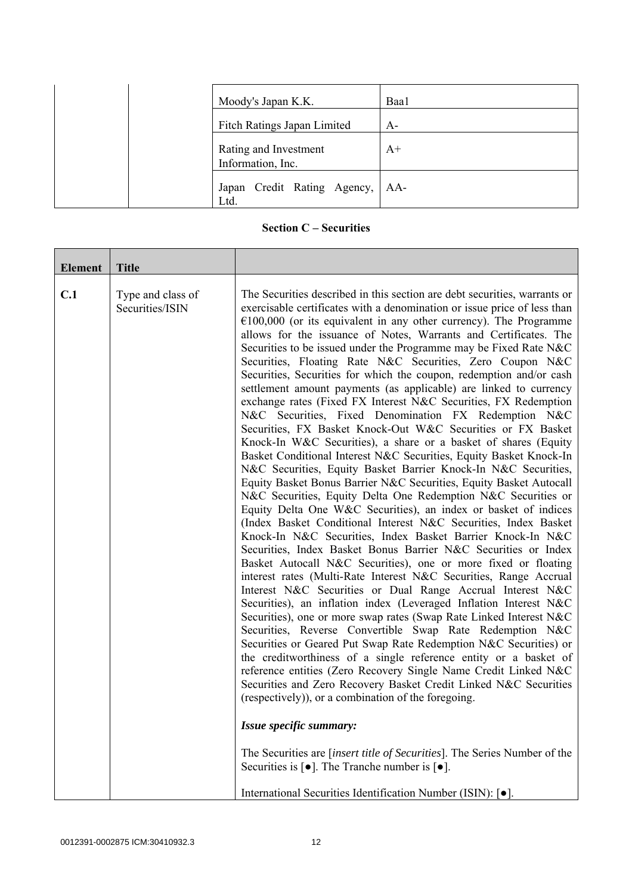| Moody's Japan K.K.                         | Baa1 |
|--------------------------------------------|------|
| Fitch Ratings Japan Limited                | $A-$ |
| Rating and Investment<br>Information, Inc. | $A+$ |
| Japan Credit Rating Agency, AA-<br>Ltd.    |      |

## **Section C – Securities**

| Element | <b>Title</b>                         |                                                                                                                                                                                                                                                                                                                                                                                                                                                                                                                                                                                                                                                                                                                                                                                                                                                                                                                                                                                                                                                                                                                                                                                                                                                                                                                                                                                                                                                                                                                                                                                                                                                                                                                                                                                                                                                                                                                                                                                                                                                                                                                                                                                                                                                                                                                                                                                                                      |
|---------|--------------------------------------|----------------------------------------------------------------------------------------------------------------------------------------------------------------------------------------------------------------------------------------------------------------------------------------------------------------------------------------------------------------------------------------------------------------------------------------------------------------------------------------------------------------------------------------------------------------------------------------------------------------------------------------------------------------------------------------------------------------------------------------------------------------------------------------------------------------------------------------------------------------------------------------------------------------------------------------------------------------------------------------------------------------------------------------------------------------------------------------------------------------------------------------------------------------------------------------------------------------------------------------------------------------------------------------------------------------------------------------------------------------------------------------------------------------------------------------------------------------------------------------------------------------------------------------------------------------------------------------------------------------------------------------------------------------------------------------------------------------------------------------------------------------------------------------------------------------------------------------------------------------------------------------------------------------------------------------------------------------------------------------------------------------------------------------------------------------------------------------------------------------------------------------------------------------------------------------------------------------------------------------------------------------------------------------------------------------------------------------------------------------------------------------------------------------------|
| C.1     | Type and class of<br>Securities/ISIN | The Securities described in this section are debt securities, warrants or<br>exercisable certificates with a denomination or issue price of less than<br>$€100,000$ (or its equivalent in any other currency). The Programme<br>allows for the issuance of Notes, Warrants and Certificates. The<br>Securities to be issued under the Programme may be Fixed Rate N&C<br>Securities, Floating Rate N&C Securities, Zero Coupon N&C<br>Securities, Securities for which the coupon, redemption and/or cash<br>settlement amount payments (as applicable) are linked to currency<br>exchange rates (Fixed FX Interest N&C Securities, FX Redemption<br>N&C Securities, Fixed Denomination FX Redemption N&C<br>Securities, FX Basket Knock-Out W&C Securities or FX Basket<br>Knock-In W&C Securities), a share or a basket of shares (Equity<br>Basket Conditional Interest N&C Securities, Equity Basket Knock-In<br>N&C Securities, Equity Basket Barrier Knock-In N&C Securities,<br>Equity Basket Bonus Barrier N&C Securities, Equity Basket Autocall<br>N&C Securities, Equity Delta One Redemption N&C Securities or<br>Equity Delta One W&C Securities), an index or basket of indices<br>(Index Basket Conditional Interest N&C Securities, Index Basket<br>Knock-In N&C Securities, Index Basket Barrier Knock-In N&C<br>Securities, Index Basket Bonus Barrier N&C Securities or Index<br>Basket Autocall N&C Securities), one or more fixed or floating<br>interest rates (Multi-Rate Interest N&C Securities, Range Accrual<br>Interest N&C Securities or Dual Range Accrual Interest N&C<br>Securities), an inflation index (Leveraged Inflation Interest N&C<br>Securities), one or more swap rates (Swap Rate Linked Interest N&C<br>Securities, Reverse Convertible Swap Rate Redemption N&C<br>Securities or Geared Put Swap Rate Redemption N&C Securities) or<br>the creditworthiness of a single reference entity or a basket of<br>reference entities (Zero Recovery Single Name Credit Linked N&C<br>Securities and Zero Recovery Basket Credit Linked N&C Securities<br>(respectively)), or a combination of the foregoing.<br>Issue specific summary:<br>The Securities are [insert title of Securities]. The Series Number of the<br>Securities is $\lceil \bullet \rceil$ . The Tranche number is $\lceil \bullet \rceil$ .<br>International Securities Identification Number (ISIN): [•]. |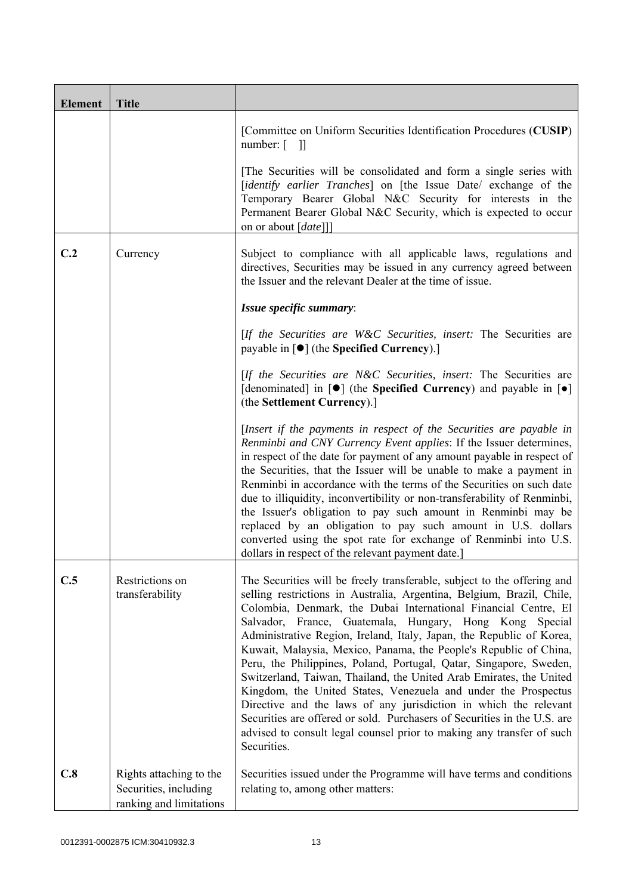| <b>Element</b> | <b>Title</b>                                                                |                                                                                                                                                                                                                                                                                                                                                                                                                                                                                                                                                                                                                                                                                                                                                                                                                                                                                    |
|----------------|-----------------------------------------------------------------------------|------------------------------------------------------------------------------------------------------------------------------------------------------------------------------------------------------------------------------------------------------------------------------------------------------------------------------------------------------------------------------------------------------------------------------------------------------------------------------------------------------------------------------------------------------------------------------------------------------------------------------------------------------------------------------------------------------------------------------------------------------------------------------------------------------------------------------------------------------------------------------------|
|                |                                                                             | [Committee on Uniform Securities Identification Procedures (CUSIP)<br>number: $\lceil$<br>- 11                                                                                                                                                                                                                                                                                                                                                                                                                                                                                                                                                                                                                                                                                                                                                                                     |
|                |                                                                             | The Securities will be consolidated and form a single series with<br>[identify earlier Tranches] on [the Issue Date/ exchange of the<br>Temporary Bearer Global N&C Security for interests in the<br>Permanent Bearer Global N&C Security, which is expected to occur<br>on or about [date]]]                                                                                                                                                                                                                                                                                                                                                                                                                                                                                                                                                                                      |
| C.2            | Currency                                                                    | Subject to compliance with all applicable laws, regulations and<br>directives, Securities may be issued in any currency agreed between<br>the Issuer and the relevant Dealer at the time of issue.                                                                                                                                                                                                                                                                                                                                                                                                                                                                                                                                                                                                                                                                                 |
|                |                                                                             | Issue specific summary:                                                                                                                                                                                                                                                                                                                                                                                                                                                                                                                                                                                                                                                                                                                                                                                                                                                            |
|                |                                                                             | [If the Securities are W&C Securities, insert: The Securities are<br>payable in $\lceil \bullet \rceil$ (the Specified Currency).]                                                                                                                                                                                                                                                                                                                                                                                                                                                                                                                                                                                                                                                                                                                                                 |
|                |                                                                             | [If the Securities are N&C Securities, insert: The Securities are<br>[denominated] in $[\bullet]$ (the Specified Currency) and payable in $[\bullet]$<br>(the Settlement Currency).]                                                                                                                                                                                                                                                                                                                                                                                                                                                                                                                                                                                                                                                                                               |
|                |                                                                             | [Insert if the payments in respect of the Securities are payable in<br>Renminbi and CNY Currency Event applies: If the Issuer determines,<br>in respect of the date for payment of any amount payable in respect of<br>the Securities, that the Issuer will be unable to make a payment in<br>Renminbi in accordance with the terms of the Securities on such date<br>due to illiquidity, inconvertibility or non-transferability of Renminbi,<br>the Issuer's obligation to pay such amount in Renminbi may be<br>replaced by an obligation to pay such amount in U.S. dollars<br>converted using the spot rate for exchange of Renminbi into U.S.<br>dollars in respect of the relevant payment date.]                                                                                                                                                                           |
| C.5            | Restrictions on<br>transferability                                          | The Securities will be freely transferable, subject to the offering and<br>selling restrictions in Australia, Argentina, Belgium, Brazil, Chile,<br>Colombia, Denmark, the Dubai International Financial Centre, El<br>Salvador, France, Guatemala, Hungary, Hong Kong Special<br>Administrative Region, Ireland, Italy, Japan, the Republic of Korea,<br>Kuwait, Malaysia, Mexico, Panama, the People's Republic of China,<br>Peru, the Philippines, Poland, Portugal, Qatar, Singapore, Sweden,<br>Switzerland, Taiwan, Thailand, the United Arab Emirates, the United<br>Kingdom, the United States, Venezuela and under the Prospectus<br>Directive and the laws of any jurisdiction in which the relevant<br>Securities are offered or sold. Purchasers of Securities in the U.S. are<br>advised to consult legal counsel prior to making any transfer of such<br>Securities. |
| C.8            | Rights attaching to the<br>Securities, including<br>ranking and limitations | Securities issued under the Programme will have terms and conditions<br>relating to, among other matters:                                                                                                                                                                                                                                                                                                                                                                                                                                                                                                                                                                                                                                                                                                                                                                          |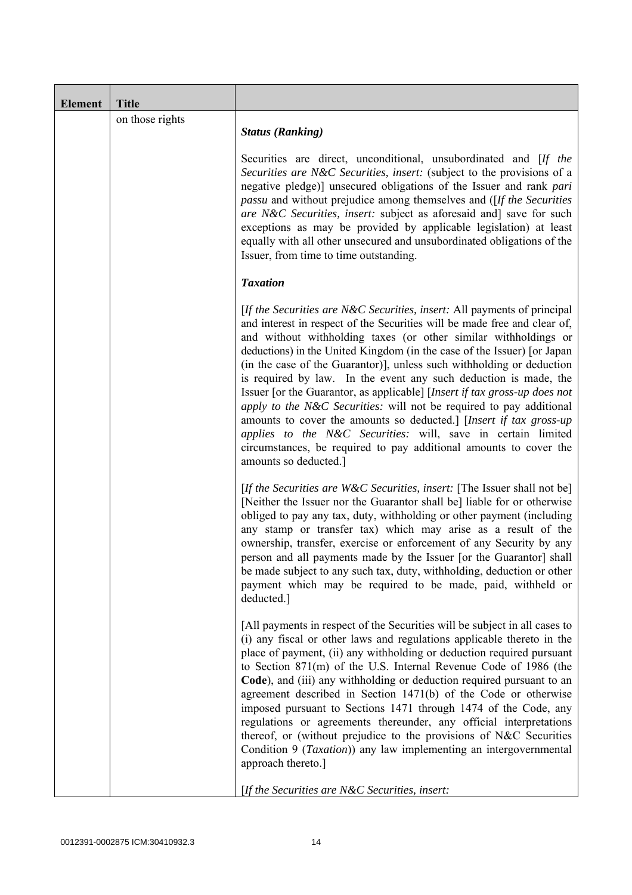| <b>Element</b> | <b>Title</b>    |                                                                                                                                                                                                                                                                                                                                                                                                                                                                                                                                                                                                                                                                                                                                                                                                                                          |
|----------------|-----------------|------------------------------------------------------------------------------------------------------------------------------------------------------------------------------------------------------------------------------------------------------------------------------------------------------------------------------------------------------------------------------------------------------------------------------------------------------------------------------------------------------------------------------------------------------------------------------------------------------------------------------------------------------------------------------------------------------------------------------------------------------------------------------------------------------------------------------------------|
|                | on those rights | <b>Status (Ranking)</b>                                                                                                                                                                                                                                                                                                                                                                                                                                                                                                                                                                                                                                                                                                                                                                                                                  |
|                |                 | Securities are direct, unconditional, unsubordinated and [If the<br>Securities are N&C Securities, insert: (subject to the provisions of a<br>negative pledge)] unsecured obligations of the Issuer and rank pari<br><i>passu</i> and without prejudice among themselves and ([If the Securities]<br>are N&C Securities, insert: subject as aforesaid and] save for such<br>exceptions as may be provided by applicable legislation) at least<br>equally with all other unsecured and unsubordinated obligations of the<br>Issuer, from time to time outstanding.                                                                                                                                                                                                                                                                        |
|                |                 | <b>Taxation</b>                                                                                                                                                                                                                                                                                                                                                                                                                                                                                                                                                                                                                                                                                                                                                                                                                          |
|                |                 | [If the Securities are N&C Securities, insert: All payments of principal<br>and interest in respect of the Securities will be made free and clear of,<br>and without withholding taxes (or other similar withholdings or<br>deductions) in the United Kingdom (in the case of the Issuer) [or Japan<br>(in the case of the Guarantor)], unless such withholding or deduction<br>is required by law. In the event any such deduction is made, the<br>Issuer [or the Guarantor, as applicable] [Insert if tax gross-up does not<br>apply to the N&C Securities: will not be required to pay additional<br>amounts to cover the amounts so deducted.] [Insert if tax gross-up<br>applies to the N&C Securities: will, save in certain limited<br>circumstances, be required to pay additional amounts to cover the<br>amounts so deducted.] |
|                |                 | [If the Securities are W&C Securities, insert: [The Issuer shall not be]<br>[Neither the Issuer nor the Guarantor shall be] liable for or otherwise<br>obliged to pay any tax, duty, withholding or other payment (including<br>any stamp or transfer tax) which may arise as a result of the<br>ownership, transfer, exercise or enforcement of any Security by any<br>person and all payments made by the Issuer [or the Guarantor] shall<br>be made subject to any such tax, duty, withholding, deduction or other<br>payment which may be required to be made, paid, withheld or<br>deducted.]                                                                                                                                                                                                                                       |
|                |                 | [All payments in respect of the Securities will be subject in all cases to<br>(i) any fiscal or other laws and regulations applicable thereto in the<br>place of payment, (ii) any withholding or deduction required pursuant<br>to Section 871(m) of the U.S. Internal Revenue Code of 1986 (the<br>Code), and (iii) any withholding or deduction required pursuant to an<br>agreement described in Section 1471(b) of the Code or otherwise<br>imposed pursuant to Sections 1471 through 1474 of the Code, any<br>regulations or agreements thereunder, any official interpretations<br>thereof, or (without prejudice to the provisions of N&C Securities<br>Condition 9 (Taxation)) any law implementing an intergovernmental<br>approach thereto.]                                                                                  |
|                |                 | [If the Securities are N&C Securities, insert:                                                                                                                                                                                                                                                                                                                                                                                                                                                                                                                                                                                                                                                                                                                                                                                           |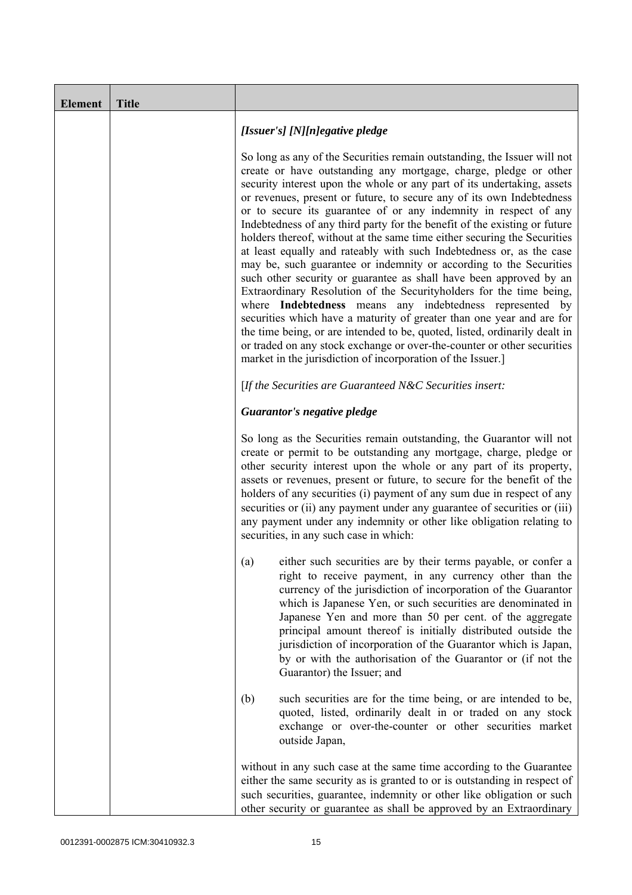| <b>Element</b> | <b>Title</b> |                                                                                                                                                                                                                                                                                                                                                                                                                                                                                                                                                                                                                                                                                                                                                                                                                                                                                                                                                                                                                                                                                                                                                                                       |
|----------------|--------------|---------------------------------------------------------------------------------------------------------------------------------------------------------------------------------------------------------------------------------------------------------------------------------------------------------------------------------------------------------------------------------------------------------------------------------------------------------------------------------------------------------------------------------------------------------------------------------------------------------------------------------------------------------------------------------------------------------------------------------------------------------------------------------------------------------------------------------------------------------------------------------------------------------------------------------------------------------------------------------------------------------------------------------------------------------------------------------------------------------------------------------------------------------------------------------------|
|                |              | [Issuer's] [N][n]egative pledge                                                                                                                                                                                                                                                                                                                                                                                                                                                                                                                                                                                                                                                                                                                                                                                                                                                                                                                                                                                                                                                                                                                                                       |
|                |              | So long as any of the Securities remain outstanding, the Issuer will not<br>create or have outstanding any mortgage, charge, pledge or other<br>security interest upon the whole or any part of its undertaking, assets<br>or revenues, present or future, to secure any of its own Indebtedness<br>or to secure its guarantee of or any indemnity in respect of any<br>Indebtedness of any third party for the benefit of the existing or future<br>holders thereof, without at the same time either securing the Securities<br>at least equally and rateably with such Indebtedness or, as the case<br>may be, such guarantee or indemnity or according to the Securities<br>such other security or guarantee as shall have been approved by an<br>Extraordinary Resolution of the Securityholders for the time being,<br>where Indebtedness means any indebtedness represented by<br>securities which have a maturity of greater than one year and are for<br>the time being, or are intended to be, quoted, listed, ordinarily dealt in<br>or traded on any stock exchange or over-the-counter or other securities<br>market in the jurisdiction of incorporation of the Issuer.] |
|                |              | [If the Securities are Guaranteed N&C Securities insert:                                                                                                                                                                                                                                                                                                                                                                                                                                                                                                                                                                                                                                                                                                                                                                                                                                                                                                                                                                                                                                                                                                                              |
|                |              | Guarantor's negative pledge                                                                                                                                                                                                                                                                                                                                                                                                                                                                                                                                                                                                                                                                                                                                                                                                                                                                                                                                                                                                                                                                                                                                                           |
|                |              | So long as the Securities remain outstanding, the Guarantor will not<br>create or permit to be outstanding any mortgage, charge, pledge or<br>other security interest upon the whole or any part of its property,<br>assets or revenues, present or future, to secure for the benefit of the<br>holders of any securities (i) payment of any sum due in respect of any<br>securities or (ii) any payment under any guarantee of securities or (iii)<br>any payment under any indemnity or other like obligation relating to<br>securities, in any such case in which:                                                                                                                                                                                                                                                                                                                                                                                                                                                                                                                                                                                                                 |
|                |              | either such securities are by their terms payable, or confer a<br>(a)<br>right to receive payment, in any currency other than the<br>currency of the jurisdiction of incorporation of the Guarantor<br>which is Japanese Yen, or such securities are denominated in<br>Japanese Yen and more than 50 per cent. of the aggregate<br>principal amount thereof is initially distributed outside the<br>jurisdiction of incorporation of the Guarantor which is Japan,<br>by or with the authorisation of the Guarantor or (if not the<br>Guarantor) the Issuer; and                                                                                                                                                                                                                                                                                                                                                                                                                                                                                                                                                                                                                      |
|                |              | (b)<br>such securities are for the time being, or are intended to be,<br>quoted, listed, ordinarily dealt in or traded on any stock<br>exchange or over-the-counter or other securities market<br>outside Japan,                                                                                                                                                                                                                                                                                                                                                                                                                                                                                                                                                                                                                                                                                                                                                                                                                                                                                                                                                                      |
|                |              | without in any such case at the same time according to the Guarantee<br>either the same security as is granted to or is outstanding in respect of<br>such securities, guarantee, indemnity or other like obligation or such<br>other security or guarantee as shall be approved by an Extraordinary                                                                                                                                                                                                                                                                                                                                                                                                                                                                                                                                                                                                                                                                                                                                                                                                                                                                                   |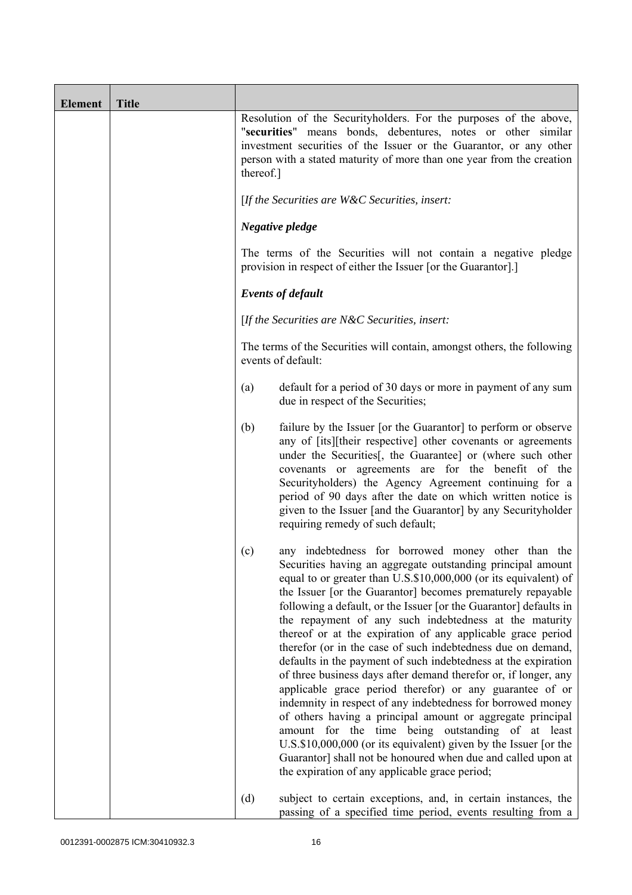| <b>Element</b> | <b>Title</b> |                                                                                                                                                                                                                                                                                                                                                                                                                                                                                                                                                                                                                                                                                                                                                                                                                                                                                                                                                                                                                                                                                                    |
|----------------|--------------|----------------------------------------------------------------------------------------------------------------------------------------------------------------------------------------------------------------------------------------------------------------------------------------------------------------------------------------------------------------------------------------------------------------------------------------------------------------------------------------------------------------------------------------------------------------------------------------------------------------------------------------------------------------------------------------------------------------------------------------------------------------------------------------------------------------------------------------------------------------------------------------------------------------------------------------------------------------------------------------------------------------------------------------------------------------------------------------------------|
|                |              | Resolution of the Securityholders. For the purposes of the above,<br>"securities" means bonds, debentures, notes or other similar<br>investment securities of the Issuer or the Guarantor, or any other<br>person with a stated maturity of more than one year from the creation<br>thereof.]                                                                                                                                                                                                                                                                                                                                                                                                                                                                                                                                                                                                                                                                                                                                                                                                      |
|                |              | [If the Securities are $W\&C$ Securities, insert:                                                                                                                                                                                                                                                                                                                                                                                                                                                                                                                                                                                                                                                                                                                                                                                                                                                                                                                                                                                                                                                  |
|                |              | Negative pledge                                                                                                                                                                                                                                                                                                                                                                                                                                                                                                                                                                                                                                                                                                                                                                                                                                                                                                                                                                                                                                                                                    |
|                |              | The terms of the Securities will not contain a negative pledge<br>provision in respect of either the Issuer [or the Guarantor].]                                                                                                                                                                                                                                                                                                                                                                                                                                                                                                                                                                                                                                                                                                                                                                                                                                                                                                                                                                   |
|                |              | <b>Events of default</b>                                                                                                                                                                                                                                                                                                                                                                                                                                                                                                                                                                                                                                                                                                                                                                                                                                                                                                                                                                                                                                                                           |
|                |              | [If the Securities are $N\&C$ Securities, insert:                                                                                                                                                                                                                                                                                                                                                                                                                                                                                                                                                                                                                                                                                                                                                                                                                                                                                                                                                                                                                                                  |
|                |              | The terms of the Securities will contain, amongst others, the following<br>events of default:                                                                                                                                                                                                                                                                                                                                                                                                                                                                                                                                                                                                                                                                                                                                                                                                                                                                                                                                                                                                      |
|                |              | default for a period of 30 days or more in payment of any sum<br>(a)<br>due in respect of the Securities;                                                                                                                                                                                                                                                                                                                                                                                                                                                                                                                                                                                                                                                                                                                                                                                                                                                                                                                                                                                          |
|                |              | (b)<br>failure by the Issuer [or the Guarantor] to perform or observe<br>any of [its][their respective] other covenants or agreements<br>under the Securities[, the Guarantee] or (where such other<br>covenants or agreements are for the benefit of the<br>Securityholders) the Agency Agreement continuing for a<br>period of 90 days after the date on which written notice is<br>given to the Issuer [and the Guarantor] by any Securityholder<br>requiring remedy of such default;                                                                                                                                                                                                                                                                                                                                                                                                                                                                                                                                                                                                           |
|                |              | any indebtedness for borrowed money other than the<br>(c)<br>Securities having an aggregate outstanding principal amount<br>equal to or greater than U.S.\$10,000,000 (or its equivalent) of<br>the Issuer [or the Guarantor] becomes prematurely repayable<br>following a default, or the Issuer [or the Guarantor] defaults in<br>the repayment of any such indebtedness at the maturity<br>thereof or at the expiration of any applicable grace period<br>therefor (or in the case of such indebtedness due on demand,<br>defaults in the payment of such indebtedness at the expiration<br>of three business days after demand therefor or, if longer, any<br>applicable grace period therefor) or any guarantee of or<br>indemnity in respect of any indebtedness for borrowed money<br>of others having a principal amount or aggregate principal<br>amount for the time being outstanding of at least<br>U.S.\$10,000,000 (or its equivalent) given by the Issuer [or the<br>Guarantor] shall not be honoured when due and called upon at<br>the expiration of any applicable grace period; |
|                |              | (d)<br>subject to certain exceptions, and, in certain instances, the<br>passing of a specified time period, events resulting from a                                                                                                                                                                                                                                                                                                                                                                                                                                                                                                                                                                                                                                                                                                                                                                                                                                                                                                                                                                |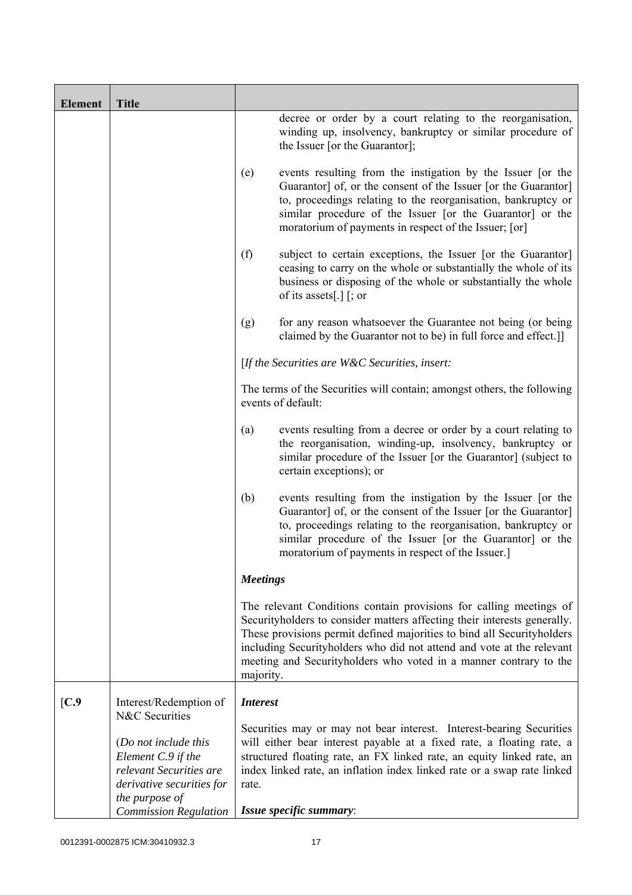| <b>Element</b> | <b>Title</b>                                                                                                         |                 |                                                                                                                                                                                                                                                                                                                                                                        |
|----------------|----------------------------------------------------------------------------------------------------------------------|-----------------|------------------------------------------------------------------------------------------------------------------------------------------------------------------------------------------------------------------------------------------------------------------------------------------------------------------------------------------------------------------------|
|                |                                                                                                                      |                 | decree or order by a court relating to the reorganisation,<br>winding up, insolvency, bankruptcy or similar procedure of<br>the Issuer [or the Guarantor];                                                                                                                                                                                                             |
|                |                                                                                                                      | (e)             | events resulting from the instigation by the Issuer [or the<br>Guarantor] of, or the consent of the Issuer [or the Guarantor]<br>to, proceedings relating to the reorganisation, bankruptcy or<br>similar procedure of the Issuer [or the Guarantor] or the<br>moratorium of payments in respect of the Issuer; [or]                                                   |
|                |                                                                                                                      | (f)             | subject to certain exceptions, the Issuer [or the Guarantor]<br>ceasing to carry on the whole or substantially the whole of its<br>business or disposing of the whole or substantially the whole<br>of its assets[.] $\lceil$ ; or                                                                                                                                     |
|                |                                                                                                                      | (g)             | for any reason whatsoever the Guarantee not being (or being<br>claimed by the Guarantor not to be) in full force and effect.]                                                                                                                                                                                                                                          |
|                |                                                                                                                      |                 | [If the Securities are W&C Securities, insert:                                                                                                                                                                                                                                                                                                                         |
|                |                                                                                                                      |                 | The terms of the Securities will contain; amongst others, the following<br>events of default:                                                                                                                                                                                                                                                                          |
|                |                                                                                                                      | (a)             | events resulting from a decree or order by a court relating to<br>the reorganisation, winding-up, insolvency, bankruptcy or<br>similar procedure of the Issuer [or the Guarantor] (subject to<br>certain exceptions); or                                                                                                                                               |
|                |                                                                                                                      | (b)             | events resulting from the instigation by the Issuer [or the<br>Guarantor] of, or the consent of the Issuer [or the Guarantor]<br>to, proceedings relating to the reorganisation, bankruptcy or<br>similar procedure of the Issuer [or the Guarantor] or the<br>moratorium of payments in respect of the Issuer.]                                                       |
|                |                                                                                                                      | <b>Meetings</b> |                                                                                                                                                                                                                                                                                                                                                                        |
|                |                                                                                                                      | majority.       | The relevant Conditions contain provisions for calling meetings of<br>Securityholders to consider matters affecting their interests generally.<br>These provisions permit defined majorities to bind all Securityholders<br>including Securityholders who did not attend and vote at the relevant<br>meeting and Securityholders who voted in a manner contrary to the |
| [C.9]          | Interest/Redemption of<br>N&C Securities                                                                             | <b>Interest</b> |                                                                                                                                                                                                                                                                                                                                                                        |
|                | (Do not include this<br>Element C.9 if the<br>relevant Securities are<br>derivative securities for<br>the purpose of | rate.           | Securities may or may not bear interest. Interest-bearing Securities<br>will either bear interest payable at a fixed rate, a floating rate, a<br>structured floating rate, an FX linked rate, an equity linked rate, an<br>index linked rate, an inflation index linked rate or a swap rate linked                                                                     |
|                | <b>Commission Regulation</b>                                                                                         |                 | Issue specific summary:                                                                                                                                                                                                                                                                                                                                                |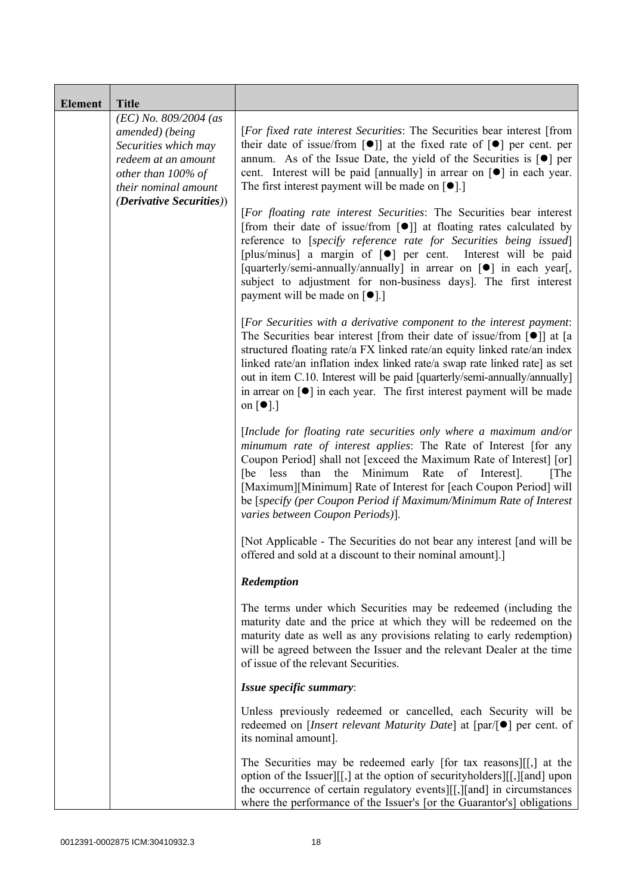| <b>Element</b> | <b>Title</b>                                                                                                                            |                                                                                                                                                                                                                                                                                                                                                                                                                                                                                                                                            |
|----------------|-----------------------------------------------------------------------------------------------------------------------------------------|--------------------------------------------------------------------------------------------------------------------------------------------------------------------------------------------------------------------------------------------------------------------------------------------------------------------------------------------------------------------------------------------------------------------------------------------------------------------------------------------------------------------------------------------|
|                | $(EC)$ No. 809/2004 (as<br>amended) (being<br>Securities which may<br>redeem at an amount<br>other than 100% of<br>their nominal amount | [For fixed rate interest Securities: The Securities bear interest [from<br>their date of issue/from $\lceil \bullet \rceil$ at the fixed rate of $\lceil \bullet \rceil$ per cent. per<br>annum. As of the Issue Date, the yield of the Securities is $\lceil \bullet \rceil$ per<br>cent. Interest will be paid [annually] in arrear on [ $\bullet$ ] in each year.<br>The first interest payment will be made on $\lceil \bullet \rceil$ .]                                                                                              |
|                | <i>(Derivative Securities))</i>                                                                                                         | [For floating rate interest Securities: The Securities bear interest<br>[from their date of issue/from $\lceil \bullet \rceil$ ] at floating rates calculated by<br>reference to [specify reference rate for Securities being issued]<br>[plus/minus] a margin of [ $\bullet$ ] per cent. Interest will be paid<br>[quarterly/semi-annually/annually] in arrear on [ $\bullet$ ] in each year[,<br>subject to adjustment for non-business days]. The first interest<br>payment will be made on [●].]                                       |
|                |                                                                                                                                         | [For Securities with a derivative component to the interest payment:<br>The Securities bear interest [from their date of issue/from $\lceil \bullet \rceil$ ] at [a<br>structured floating rate/a FX linked rate/an equity linked rate/an index<br>linked rate/an inflation index linked rate/a swap rate linked rate] as set<br>out in item C.10. Interest will be paid [quarterly/semi-annually/annually]<br>in arrear on $\lceil \bullet \rceil$ in each year. The first interest payment will be made<br>on $\lceil \bullet \rceil$ .] |
|                |                                                                                                                                         | [Include for floating rate securities only where a maximum and/or<br>minumum rate of interest applies: The Rate of Interest [for any<br>Coupon Period] shall not [exceed the Maximum Rate of Interest] [or]<br>than the Minimum<br>Rate<br>[be<br>less<br>of Interest].<br>[The]<br>[Maximum][Minimum] Rate of Interest for [each Coupon Period] will<br>be [specify (per Coupon Period if Maximum/Minimum Rate of Interest<br>varies between Coupon Periods)].                                                                            |
|                |                                                                                                                                         | [Not Applicable - The Securities do not bear any interest [and will be<br>offered and sold at a discount to their nominal amount].]                                                                                                                                                                                                                                                                                                                                                                                                        |
|                |                                                                                                                                         | Redemption                                                                                                                                                                                                                                                                                                                                                                                                                                                                                                                                 |
|                |                                                                                                                                         | The terms under which Securities may be redeemed (including the<br>maturity date and the price at which they will be redeemed on the<br>maturity date as well as any provisions relating to early redemption)<br>will be agreed between the Issuer and the relevant Dealer at the time<br>of issue of the relevant Securities.                                                                                                                                                                                                             |
|                |                                                                                                                                         | Issue specific summary:                                                                                                                                                                                                                                                                                                                                                                                                                                                                                                                    |
|                |                                                                                                                                         | Unless previously redeemed or cancelled, each Security will be<br>redeemed on [ <i>Insert relevant Maturity Date</i> ] at $[par/\lceil \bullet]$ per cent. of<br>its nominal amount].                                                                                                                                                                                                                                                                                                                                                      |
|                |                                                                                                                                         | The Securities may be redeemed early [for tax reasons][[,] at the<br>option of the Issuer][[,] at the option of security holders][[,][and] upon<br>the occurrence of certain regulatory events][[,][and] in circumstances<br>where the performance of the Issuer's [or the Guarantor's] obligations                                                                                                                                                                                                                                        |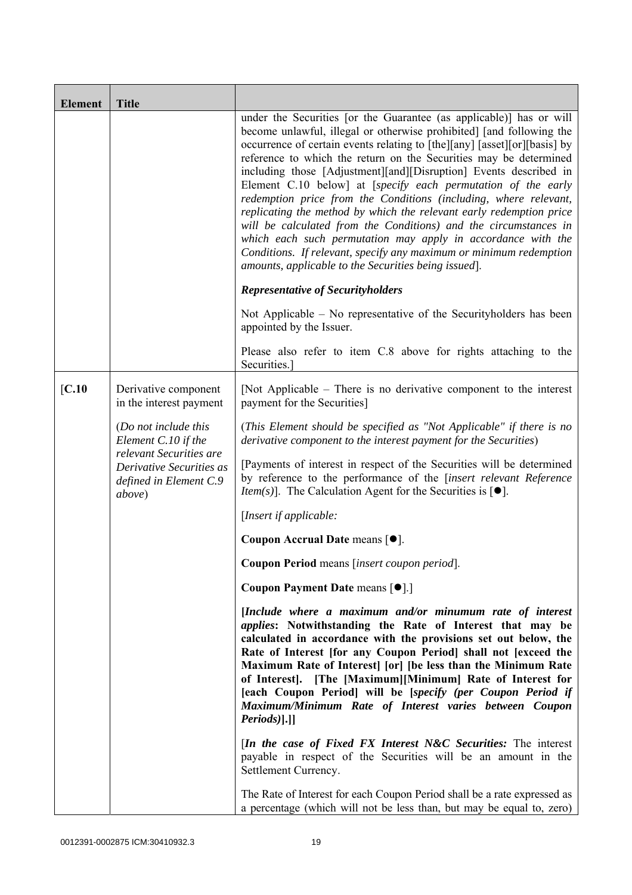| <b>Element</b>    | <b>Title</b>                                                           |                                                                                                                                                                                                                                                                                                                                                                                                                                                                                                                                                                                                                                                                                                                                                                                                                                                 |
|-------------------|------------------------------------------------------------------------|-------------------------------------------------------------------------------------------------------------------------------------------------------------------------------------------------------------------------------------------------------------------------------------------------------------------------------------------------------------------------------------------------------------------------------------------------------------------------------------------------------------------------------------------------------------------------------------------------------------------------------------------------------------------------------------------------------------------------------------------------------------------------------------------------------------------------------------------------|
|                   |                                                                        | under the Securities [or the Guarantee (as applicable)] has or will<br>become unlawful, illegal or otherwise prohibited] [and following the<br>occurrence of certain events relating to [the][any] [asset][or][basis] by<br>reference to which the return on the Securities may be determined<br>including those [Adjustment][and][Disruption] Events described in<br>Element C.10 below] at [specify each permutation of the early<br>redemption price from the Conditions (including, where relevant,<br>replicating the method by which the relevant early redemption price<br>will be calculated from the Conditions) and the circumstances in<br>which each such permutation may apply in accordance with the<br>Conditions. If relevant, specify any maximum or minimum redemption<br>amounts, applicable to the Securities being issued. |
|                   |                                                                        | <b>Representative of Securityholders</b>                                                                                                                                                                                                                                                                                                                                                                                                                                                                                                                                                                                                                                                                                                                                                                                                        |
|                   |                                                                        | Not Applicable – No representative of the Security holders has been<br>appointed by the Issuer.                                                                                                                                                                                                                                                                                                                                                                                                                                                                                                                                                                                                                                                                                                                                                 |
|                   |                                                                        | Please also refer to item C.8 above for rights attaching to the<br>Securities.                                                                                                                                                                                                                                                                                                                                                                                                                                                                                                                                                                                                                                                                                                                                                                  |
| $\mathbf{[C.10]}$ | Derivative component<br>in the interest payment                        | [Not Applicable – There is no derivative component to the interest<br>payment for the Securities]                                                                                                                                                                                                                                                                                                                                                                                                                                                                                                                                                                                                                                                                                                                                               |
|                   | (Do not include this<br>Element C.10 if the<br>relevant Securities are | (This Element should be specified as "Not Applicable" if there is no<br>derivative component to the interest payment for the Securities)                                                                                                                                                                                                                                                                                                                                                                                                                                                                                                                                                                                                                                                                                                        |
|                   | Derivative Securities as<br>defined in Element C.9<br>above)           | [Payments of interest in respect of the Securities will be determined<br>by reference to the performance of the [insert relevant Reference<br><i>Item(s)</i> ]. The Calculation Agent for the Securities is $[•]$ .                                                                                                                                                                                                                                                                                                                                                                                                                                                                                                                                                                                                                             |
|                   |                                                                        | [Insert if applicable:                                                                                                                                                                                                                                                                                                                                                                                                                                                                                                                                                                                                                                                                                                                                                                                                                          |
|                   |                                                                        | Coupon Accrual Date means [ $\bullet$ ].                                                                                                                                                                                                                                                                                                                                                                                                                                                                                                                                                                                                                                                                                                                                                                                                        |
|                   |                                                                        | Coupon Period means [insert coupon period].                                                                                                                                                                                                                                                                                                                                                                                                                                                                                                                                                                                                                                                                                                                                                                                                     |
|                   |                                                                        | Coupon Payment Date means [ $\bullet$ ].]                                                                                                                                                                                                                                                                                                                                                                                                                                                                                                                                                                                                                                                                                                                                                                                                       |
|                   |                                                                        | [Include where a maximum and/or minumum rate of interest<br><i>applies:</i> Notwithstanding the Rate of Interest that may be<br>calculated in accordance with the provisions set out below, the<br>Rate of Interest [for any Coupon Period] shall not [exceed the<br>Maximum Rate of Interest [or] [be less than the Minimum Rate<br>of Interest]. [The [Maximum][Minimum] Rate of Interest for<br>[each Coupon Period] will be [specify (per Coupon Period if<br>Maximum/Minimum Rate of Interest varies between Coupon<br>Periods)].]]                                                                                                                                                                                                                                                                                                        |
|                   |                                                                        | <i>In the case of Fixed FX Interest N&amp;C Securities:</i> The interest<br>payable in respect of the Securities will be an amount in the<br>Settlement Currency.                                                                                                                                                                                                                                                                                                                                                                                                                                                                                                                                                                                                                                                                               |
|                   |                                                                        | The Rate of Interest for each Coupon Period shall be a rate expressed as<br>a percentage (which will not be less than, but may be equal to, zero)                                                                                                                                                                                                                                                                                                                                                                                                                                                                                                                                                                                                                                                                                               |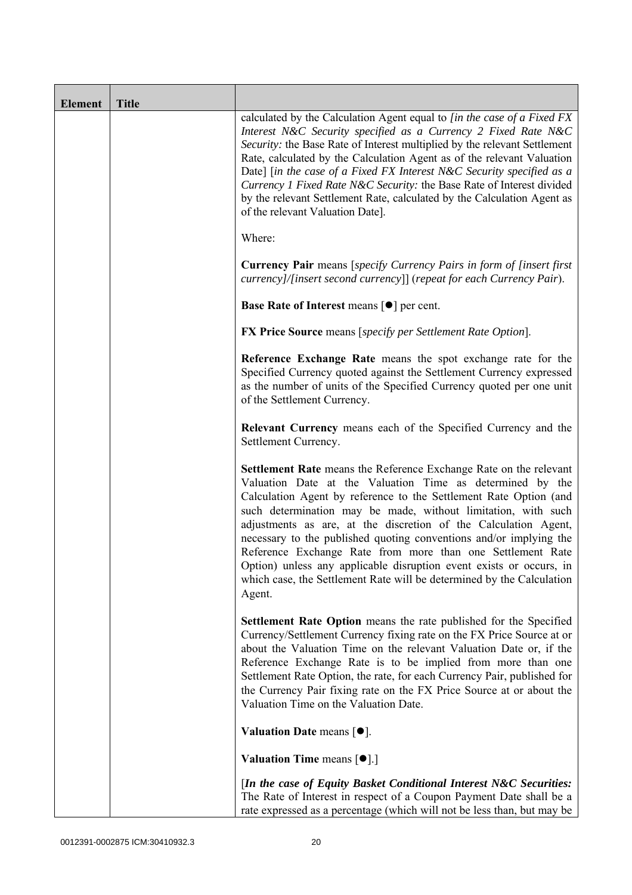| <b>Element</b> | <b>Title</b> |                                                                                                                                                                                                                                                                                                                                                                                                                                                                                                                                                                                                                                       |
|----------------|--------------|---------------------------------------------------------------------------------------------------------------------------------------------------------------------------------------------------------------------------------------------------------------------------------------------------------------------------------------------------------------------------------------------------------------------------------------------------------------------------------------------------------------------------------------------------------------------------------------------------------------------------------------|
|                |              | calculated by the Calculation Agent equal to [in the case of a Fixed FX<br>Interest N&C Security specified as a Currency 2 Fixed Rate N&C<br>Security: the Base Rate of Interest multiplied by the relevant Settlement<br>Rate, calculated by the Calculation Agent as of the relevant Valuation<br>Date] [in the case of a Fixed FX Interest N&C Security specified as a<br>Currency 1 Fixed Rate N&C Security: the Base Rate of Interest divided<br>by the relevant Settlement Rate, calculated by the Calculation Agent as<br>of the relevant Valuation Date].                                                                     |
|                |              | Where:                                                                                                                                                                                                                                                                                                                                                                                                                                                                                                                                                                                                                                |
|                |              | <b>Currency Pair</b> means [specify Currency Pairs in form of [insert first]<br>currency]/[insert second currency]] (repeat for each Currency Pair).                                                                                                                                                                                                                                                                                                                                                                                                                                                                                  |
|                |              | Base Rate of Interest means [ $\bullet$ ] per cent.                                                                                                                                                                                                                                                                                                                                                                                                                                                                                                                                                                                   |
|                |              | <b>FX Price Source</b> means [specify per Settlement Rate Option].                                                                                                                                                                                                                                                                                                                                                                                                                                                                                                                                                                    |
|                |              | Reference Exchange Rate means the spot exchange rate for the<br>Specified Currency quoted against the Settlement Currency expressed<br>as the number of units of the Specified Currency quoted per one unit<br>of the Settlement Currency.                                                                                                                                                                                                                                                                                                                                                                                            |
|                |              | Relevant Currency means each of the Specified Currency and the<br>Settlement Currency.                                                                                                                                                                                                                                                                                                                                                                                                                                                                                                                                                |
|                |              | Settlement Rate means the Reference Exchange Rate on the relevant<br>Valuation Date at the Valuation Time as determined by the<br>Calculation Agent by reference to the Settlement Rate Option (and<br>such determination may be made, without limitation, with such<br>adjustments as are, at the discretion of the Calculation Agent,<br>necessary to the published quoting conventions and/or implying the<br>Reference Exchange Rate from more than one Settlement Rate<br>Option) unless any applicable disruption event exists or occurs, in<br>which case, the Settlement Rate will be determined by the Calculation<br>Agent. |
|                |              | <b>Settlement Rate Option</b> means the rate published for the Specified<br>Currency/Settlement Currency fixing rate on the FX Price Source at or<br>about the Valuation Time on the relevant Valuation Date or, if the<br>Reference Exchange Rate is to be implied from more than one<br>Settlement Rate Option, the rate, for each Currency Pair, published for<br>the Currency Pair fixing rate on the FX Price Source at or about the<br>Valuation Time on the Valuation Date.                                                                                                                                                    |
|                |              | Valuation Date means $[•]$ .                                                                                                                                                                                                                                                                                                                                                                                                                                                                                                                                                                                                          |
|                |              | <b>Valuation Time means <math>\lceil \bullet \rceil</math>.</b>                                                                                                                                                                                                                                                                                                                                                                                                                                                                                                                                                                       |
|                |              | [In the case of Equity Basket Conditional Interest N&C Securities:<br>The Rate of Interest in respect of a Coupon Payment Date shall be a<br>rate expressed as a percentage (which will not be less than, but may be                                                                                                                                                                                                                                                                                                                                                                                                                  |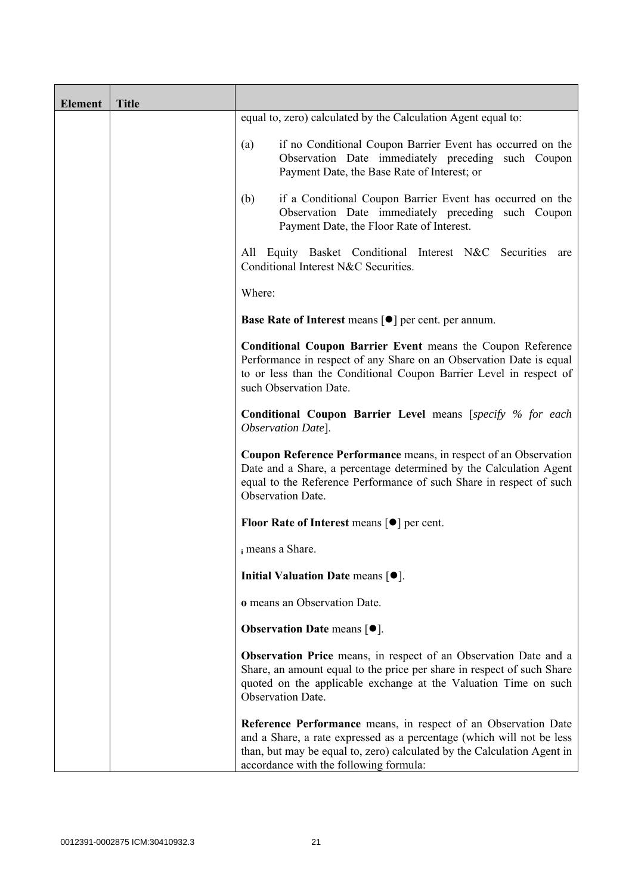| <b>Element</b> | <b>Title</b> |                                                                                                                                                                                                                                                              |
|----------------|--------------|--------------------------------------------------------------------------------------------------------------------------------------------------------------------------------------------------------------------------------------------------------------|
|                |              | equal to, zero) calculated by the Calculation Agent equal to:                                                                                                                                                                                                |
|                |              | if no Conditional Coupon Barrier Event has occurred on the<br>(a)<br>Observation Date immediately preceding such Coupon<br>Payment Date, the Base Rate of Interest; or                                                                                       |
|                |              | if a Conditional Coupon Barrier Event has occurred on the<br>(b)<br>Observation Date immediately preceding such Coupon<br>Payment Date, the Floor Rate of Interest.                                                                                          |
|                |              | Equity Basket Conditional Interest N&C Securities are<br>All<br>Conditional Interest N&C Securities.                                                                                                                                                         |
|                |              | Where:                                                                                                                                                                                                                                                       |
|                |              | <b>Base Rate of Interest means [<math>\bullet</math>] per cent. per annum.</b>                                                                                                                                                                               |
|                |              | <b>Conditional Coupon Barrier Event means the Coupon Reference</b><br>Performance in respect of any Share on an Observation Date is equal<br>to or less than the Conditional Coupon Barrier Level in respect of<br>such Observation Date.                    |
|                |              | <b>Conditional Coupon Barrier Level means [specify % for each</b><br>Observation Date].                                                                                                                                                                      |
|                |              | Coupon Reference Performance means, in respect of an Observation<br>Date and a Share, a percentage determined by the Calculation Agent<br>equal to the Reference Performance of such Share in respect of such<br>Observation Date.                           |
|                |              | <b>Floor Rate of Interest means <math>\lceil \bullet \rceil</math> per cent.</b>                                                                                                                                                                             |
|                |              | i means a Share.                                                                                                                                                                                                                                             |
|                |              | Initial Valuation Date means $[•]$ .                                                                                                                                                                                                                         |
|                |              | o means an Observation Date.                                                                                                                                                                                                                                 |
|                |              | <b>Observation Date means <math>[•]</math>.</b>                                                                                                                                                                                                              |
|                |              | <b>Observation Price</b> means, in respect of an Observation Date and a<br>Share, an amount equal to the price per share in respect of such Share<br>quoted on the applicable exchange at the Valuation Time on such<br>Observation Date.                    |
|                |              | Reference Performance means, in respect of an Observation Date<br>and a Share, a rate expressed as a percentage (which will not be less<br>than, but may be equal to, zero) calculated by the Calculation Agent in<br>accordance with the following formula: |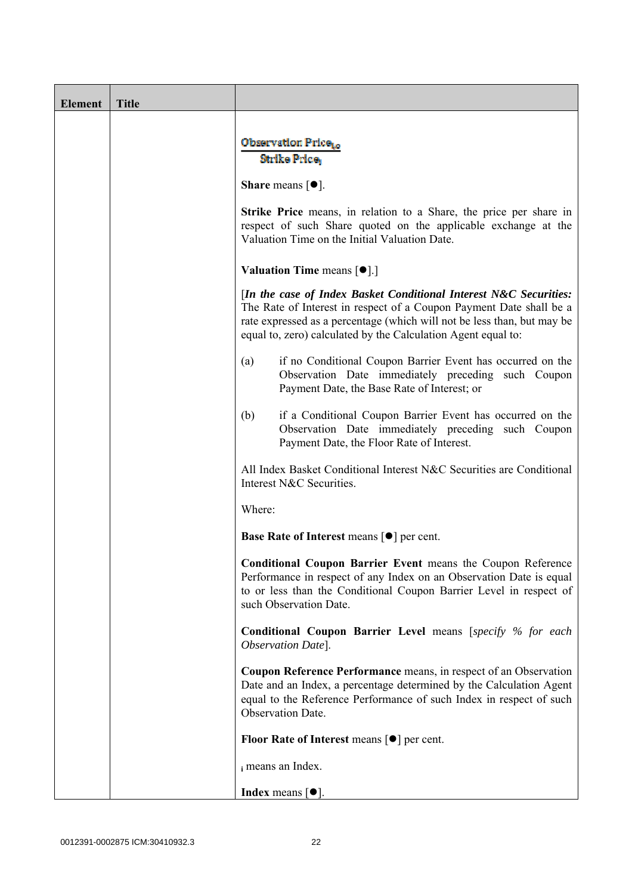| <b>Element</b> | <b>Title</b> |                                                                                                                                                                                                                                                                                      |
|----------------|--------------|--------------------------------------------------------------------------------------------------------------------------------------------------------------------------------------------------------------------------------------------------------------------------------------|
|                |              | Observation Price <sub>to</sub><br>Strike Price,                                                                                                                                                                                                                                     |
|                |              | <b>Share</b> means $\lceil \bullet \rceil$ .                                                                                                                                                                                                                                         |
|                |              | <b>Strike Price</b> means, in relation to a Share, the price per share in<br>respect of such Share quoted on the applicable exchange at the<br>Valuation Time on the Initial Valuation Date.                                                                                         |
|                |              | <b>Valuation Time means <math>\lceil \bullet \rceil</math>.</b>                                                                                                                                                                                                                      |
|                |              | [In the case of Index Basket Conditional Interest N&C Securities:<br>The Rate of Interest in respect of a Coupon Payment Date shall be a<br>rate expressed as a percentage (which will not be less than, but may be<br>equal to, zero) calculated by the Calculation Agent equal to: |
|                |              | if no Conditional Coupon Barrier Event has occurred on the<br>(a)<br>Observation Date immediately preceding such Coupon<br>Payment Date, the Base Rate of Interest; or                                                                                                               |
|                |              | if a Conditional Coupon Barrier Event has occurred on the<br>(b)<br>Observation Date immediately preceding such Coupon<br>Payment Date, the Floor Rate of Interest.                                                                                                                  |
|                |              | All Index Basket Conditional Interest N&C Securities are Conditional<br>Interest N&C Securities.                                                                                                                                                                                     |
|                |              | Where:                                                                                                                                                                                                                                                                               |
|                |              | <b>Base Rate of Interest means <math>\lceil \bullet \rceil</math> per cent.</b>                                                                                                                                                                                                      |
|                |              | <b>Conditional Coupon Barrier Event means the Coupon Reference</b><br>Performance in respect of any Index on an Observation Date is equal<br>to or less than the Conditional Coupon Barrier Level in respect of<br>such Observation Date.                                            |
|                |              | <b>Conditional Coupon Barrier Level means [specify % for each</b><br>Observation Date].                                                                                                                                                                                              |
|                |              | Coupon Reference Performance means, in respect of an Observation<br>Date and an Index, a percentage determined by the Calculation Agent<br>equal to the Reference Performance of such Index in respect of such<br><b>Observation Date.</b>                                           |
|                |              | Floor Rate of Interest means $[\bullet]$ per cent.                                                                                                                                                                                                                                   |
|                |              | i means an Index.                                                                                                                                                                                                                                                                    |
|                |              | <b>Index</b> means $\lceil \bullet \rceil$ .                                                                                                                                                                                                                                         |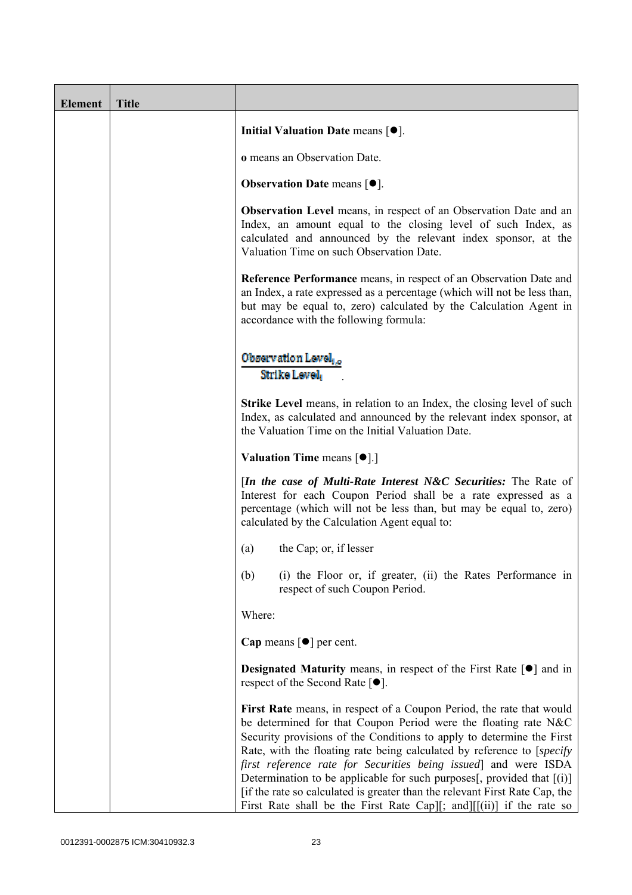| <b>Element</b> | <b>Title</b> |                                                                                                                                                                                                                                                                                                                                                                                                                                                                                                                                                                                                     |
|----------------|--------------|-----------------------------------------------------------------------------------------------------------------------------------------------------------------------------------------------------------------------------------------------------------------------------------------------------------------------------------------------------------------------------------------------------------------------------------------------------------------------------------------------------------------------------------------------------------------------------------------------------|
|                |              | Initial Valuation Date means $[•]$ .                                                                                                                                                                                                                                                                                                                                                                                                                                                                                                                                                                |
|                |              | <b>o</b> means an Observation Date.                                                                                                                                                                                                                                                                                                                                                                                                                                                                                                                                                                 |
|                |              | <b>Observation Date means <math>[•]</math>.</b>                                                                                                                                                                                                                                                                                                                                                                                                                                                                                                                                                     |
|                |              | <b>Observation Level</b> means, in respect of an Observation Date and an<br>Index, an amount equal to the closing level of such Index, as<br>calculated and announced by the relevant index sponsor, at the<br>Valuation Time on such Observation Date.                                                                                                                                                                                                                                                                                                                                             |
|                |              | <b>Reference Performance</b> means, in respect of an Observation Date and<br>an Index, a rate expressed as a percentage (which will not be less than,<br>but may be equal to, zero) calculated by the Calculation Agent in<br>accordance with the following formula:                                                                                                                                                                                                                                                                                                                                |
|                |              | Observation Level,<br>Strike Level,                                                                                                                                                                                                                                                                                                                                                                                                                                                                                                                                                                 |
|                |              | <b>Strike Level</b> means, in relation to an Index, the closing level of such<br>Index, as calculated and announced by the relevant index sponsor, at<br>the Valuation Time on the Initial Valuation Date.                                                                                                                                                                                                                                                                                                                                                                                          |
|                |              | <b>Valuation Time means <math>\lceil \bullet \rceil</math>.</b>                                                                                                                                                                                                                                                                                                                                                                                                                                                                                                                                     |
|                |              | <i>In the case of Multi-Rate Interest N&amp;C Securities:</i> The Rate of<br>Interest for each Coupon Period shall be a rate expressed as a<br>percentage (which will not be less than, but may be equal to, zero)<br>calculated by the Calculation Agent equal to:                                                                                                                                                                                                                                                                                                                                 |
|                |              | the Cap; or, if lesser<br>(a)                                                                                                                                                                                                                                                                                                                                                                                                                                                                                                                                                                       |
|                |              | (b)<br>(i) the Floor or, if greater, (ii) the Rates Performance in<br>respect of such Coupon Period.                                                                                                                                                                                                                                                                                                                                                                                                                                                                                                |
|                |              | Where:                                                                                                                                                                                                                                                                                                                                                                                                                                                                                                                                                                                              |
|                |              | Cap means $\lceil \bullet \rceil$ per cent.                                                                                                                                                                                                                                                                                                                                                                                                                                                                                                                                                         |
|                |              | <b>Designated Maturity</b> means, in respect of the First Rate $\lceil \bullet \rceil$ and in<br>respect of the Second Rate $[•]$ .                                                                                                                                                                                                                                                                                                                                                                                                                                                                 |
|                |              | First Rate means, in respect of a Coupon Period, the rate that would<br>be determined for that Coupon Period were the floating rate N&C<br>Security provisions of the Conditions to apply to determine the First<br>Rate, with the floating rate being calculated by reference to [specify]<br>first reference rate for Securities being issued and were ISDA<br>Determination to be applicable for such purposes[, provided that [(i)]<br>[if the rate so calculated is greater than the relevant First Rate Cap, the<br>First Rate shall be the First Rate Cap][; and] $[[ (ii) ]$ if the rate so |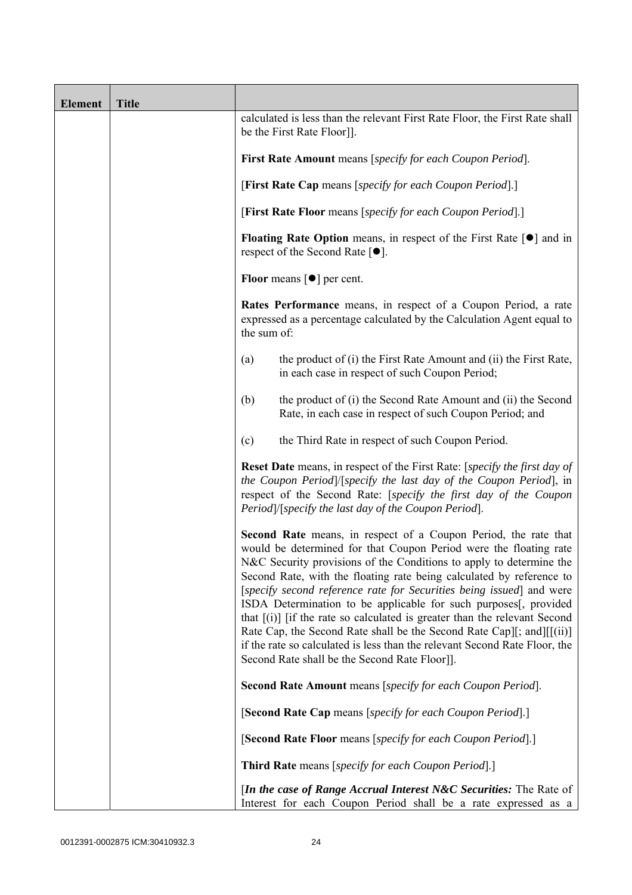| <b>Element</b> | <b>Title</b> |                                                                                                                                                                                                                                                                                                                                                                                                                                                                                                                                                                                                                                                                                                                              |
|----------------|--------------|------------------------------------------------------------------------------------------------------------------------------------------------------------------------------------------------------------------------------------------------------------------------------------------------------------------------------------------------------------------------------------------------------------------------------------------------------------------------------------------------------------------------------------------------------------------------------------------------------------------------------------------------------------------------------------------------------------------------------|
|                |              | calculated is less than the relevant First Rate Floor, the First Rate shall<br>be the First Rate Floor]].                                                                                                                                                                                                                                                                                                                                                                                                                                                                                                                                                                                                                    |
|                |              | First Rate Amount means [specify for each Coupon Period].                                                                                                                                                                                                                                                                                                                                                                                                                                                                                                                                                                                                                                                                    |
|                |              | [First Rate Cap means [specify for each Coupon Period].]                                                                                                                                                                                                                                                                                                                                                                                                                                                                                                                                                                                                                                                                     |
|                |              | [First Rate Floor means [specify for each Coupon Period].]                                                                                                                                                                                                                                                                                                                                                                                                                                                                                                                                                                                                                                                                   |
|                |              | Floating Rate Option means, in respect of the First Rate $\lceil \bullet \rceil$ and in<br>respect of the Second Rate $[•]$ .                                                                                                                                                                                                                                                                                                                                                                                                                                                                                                                                                                                                |
|                |              | <b>Floor</b> means $\lceil \bullet \rceil$ per cent.                                                                                                                                                                                                                                                                                                                                                                                                                                                                                                                                                                                                                                                                         |
|                |              | Rates Performance means, in respect of a Coupon Period, a rate<br>expressed as a percentage calculated by the Calculation Agent equal to<br>the sum of:                                                                                                                                                                                                                                                                                                                                                                                                                                                                                                                                                                      |
|                |              | the product of (i) the First Rate Amount and (ii) the First Rate,<br>(a)<br>in each case in respect of such Coupon Period;                                                                                                                                                                                                                                                                                                                                                                                                                                                                                                                                                                                                   |
|                |              | the product of (i) the Second Rate Amount and (ii) the Second<br>(b)<br>Rate, in each case in respect of such Coupon Period; and                                                                                                                                                                                                                                                                                                                                                                                                                                                                                                                                                                                             |
|                |              | the Third Rate in respect of such Coupon Period.<br>(c)                                                                                                                                                                                                                                                                                                                                                                                                                                                                                                                                                                                                                                                                      |
|                |              | <b>Reset Date</b> means, in respect of the First Rate: [specify the first day of<br>the Coupon Period]/[specify the last day of the Coupon Period], in<br>respect of the Second Rate: [specify the first day of the Coupon<br>Period /[specify the last day of the Coupon Period].                                                                                                                                                                                                                                                                                                                                                                                                                                           |
|                |              | <b>Second Rate</b> means, in respect of a Coupon Period, the rate that<br>would be determined for that Coupon Period were the floating rate<br>N&C Security provisions of the Conditions to apply to determine the<br>Second Rate, with the floating rate being calculated by reference to<br>[specify second reference rate for Securities being issued] and were<br>ISDA Determination to be applicable for such purposes[, provided<br>that $[(i)]$ if the rate so calculated is greater than the relevant Second<br>Rate Cap, the Second Rate shall be the Second Rate Cap][; and][[(ii)]<br>if the rate so calculated is less than the relevant Second Rate Floor, the<br>Second Rate shall be the Second Rate Floor]]. |
|                |              | Second Rate Amount means [specify for each Coupon Period].                                                                                                                                                                                                                                                                                                                                                                                                                                                                                                                                                                                                                                                                   |
|                |              | [Second Rate Cap means [specify for each Coupon Period].]                                                                                                                                                                                                                                                                                                                                                                                                                                                                                                                                                                                                                                                                    |
|                |              | [Second Rate Floor means [specify for each Coupon Period].]                                                                                                                                                                                                                                                                                                                                                                                                                                                                                                                                                                                                                                                                  |
|                |              | <b>Third Rate</b> means [specify for each Coupon Period].]                                                                                                                                                                                                                                                                                                                                                                                                                                                                                                                                                                                                                                                                   |
|                |              | <i>In the case of Range Accrual Interest N&amp;C Securities:</i> The Rate of<br>Interest for each Coupon Period shall be a rate expressed as a                                                                                                                                                                                                                                                                                                                                                                                                                                                                                                                                                                               |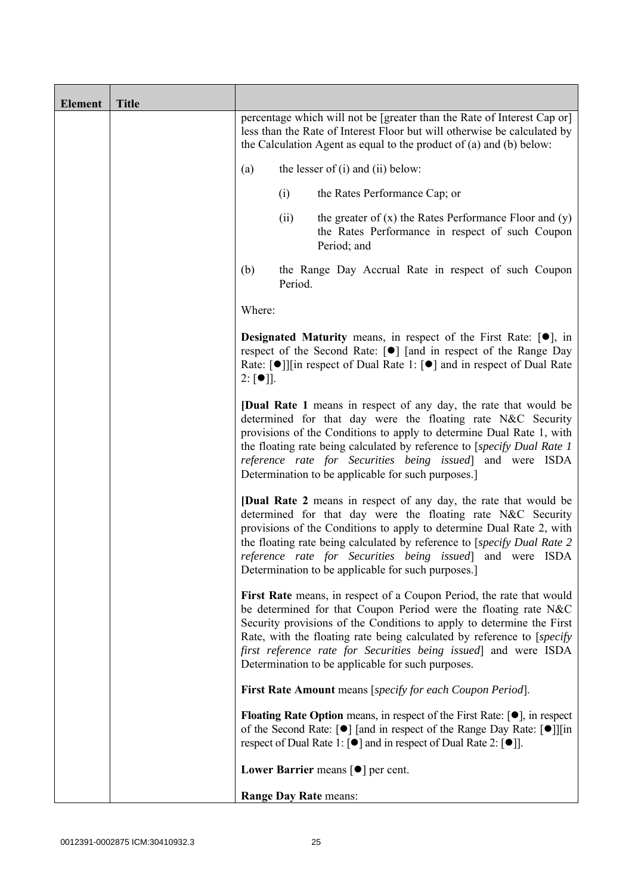| Element | <b>Title</b> |                                                                                                                                                                                                                                                                                                                                                                                                                   |
|---------|--------------|-------------------------------------------------------------------------------------------------------------------------------------------------------------------------------------------------------------------------------------------------------------------------------------------------------------------------------------------------------------------------------------------------------------------|
|         |              | percentage which will not be [greater than the Rate of Interest Cap or]<br>less than the Rate of Interest Floor but will otherwise be calculated by<br>the Calculation Agent as equal to the product of (a) and (b) below:                                                                                                                                                                                        |
|         |              | the lesser of $(i)$ and $(ii)$ below:<br>(a)                                                                                                                                                                                                                                                                                                                                                                      |
|         |              | (i)<br>the Rates Performance Cap; or                                                                                                                                                                                                                                                                                                                                                                              |
|         |              | the greater of $(x)$ the Rates Performance Floor and $(y)$<br>(ii)<br>the Rates Performance in respect of such Coupon<br>Period; and                                                                                                                                                                                                                                                                              |
|         |              | (b)<br>the Range Day Accrual Rate in respect of such Coupon<br>Period.                                                                                                                                                                                                                                                                                                                                            |
|         |              | Where:                                                                                                                                                                                                                                                                                                                                                                                                            |
|         |              | <b>Designated Maturity</b> means, in respect of the First Rate: $[•]$ , in<br>respect of the Second Rate: [●] [and in respect of the Range Day<br>Rate: [●]][in respect of Dual Rate 1: [●] and in respect of Dual Rate<br>$2: [\bullet]$ .                                                                                                                                                                       |
|         |              | <b>[Dual Rate 1</b> means in respect of any day, the rate that would be<br>determined for that day were the floating rate N&C Security<br>provisions of the Conditions to apply to determine Dual Rate 1, with<br>the floating rate being calculated by reference to [specify Dual Rate 1]<br>reference rate for Securities being issued] and were ISDA<br>Determination to be applicable for such purposes.      |
|         |              | <b>[Dual Rate 2</b> means in respect of any day, the rate that would be<br>determined for that day were the floating rate N&C Security<br>provisions of the Conditions to apply to determine Dual Rate 2, with<br>the floating rate being calculated by reference to [specify Dual Rate 2<br>reference rate for Securities being issued] and were ISDA<br>Determination to be applicable for such purposes.       |
|         |              | First Rate means, in respect of a Coupon Period, the rate that would<br>be determined for that Coupon Period were the floating rate N&C<br>Security provisions of the Conditions to apply to determine the First<br>Rate, with the floating rate being calculated by reference to [specify<br>first reference rate for Securities being issued and were ISDA<br>Determination to be applicable for such purposes. |
|         |              | First Rate Amount means [specify for each Coupon Period].                                                                                                                                                                                                                                                                                                                                                         |
|         |              | <b>Floating Rate Option</b> means, in respect of the First Rate: $[•]$ , in respect<br>of the Second Rate: [ $\bullet$ ] [and in respect of the Range Day Rate: [ $\bullet$ ]][in<br>respect of Dual Rate 1: $\lceil \bullet \rceil$ and in respect of Dual Rate 2: $\lceil \bullet \rceil$ .                                                                                                                     |
|         |              | Lower Barrier means $\lceil \bullet \rceil$ per cent.                                                                                                                                                                                                                                                                                                                                                             |
|         |              | Range Day Rate means:                                                                                                                                                                                                                                                                                                                                                                                             |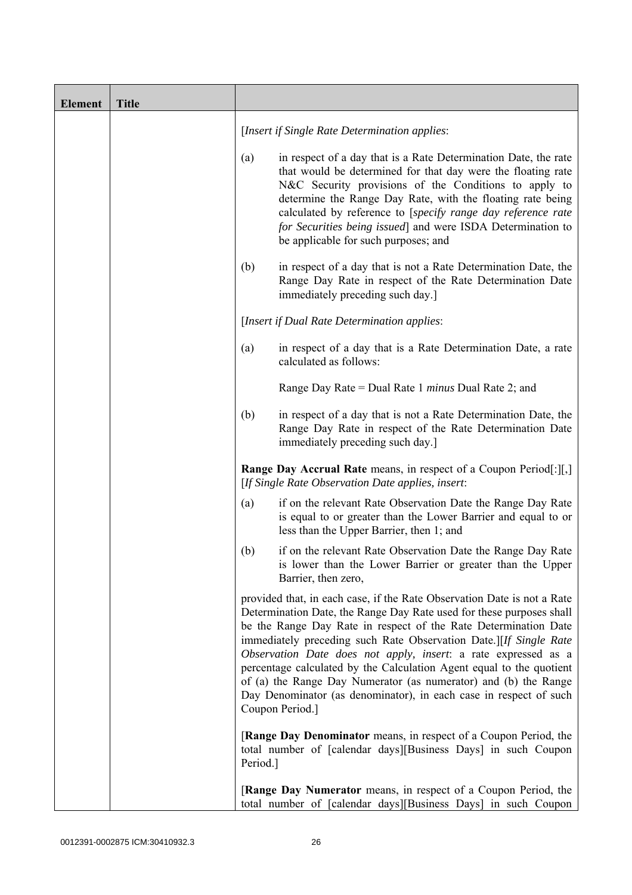| <b>Element</b> | <b>Title</b> |          |                                                                                                                                                                                                                                                                                                                                                                                                                                                                                                                                                                                              |
|----------------|--------------|----------|----------------------------------------------------------------------------------------------------------------------------------------------------------------------------------------------------------------------------------------------------------------------------------------------------------------------------------------------------------------------------------------------------------------------------------------------------------------------------------------------------------------------------------------------------------------------------------------------|
|                |              |          | [Insert if Single Rate Determination applies:                                                                                                                                                                                                                                                                                                                                                                                                                                                                                                                                                |
|                |              | (a)      | in respect of a day that is a Rate Determination Date, the rate<br>that would be determined for that day were the floating rate<br>N&C Security provisions of the Conditions to apply to<br>determine the Range Day Rate, with the floating rate being<br>calculated by reference to [specify range day reference rate<br>for Securities being issued] and were ISDA Determination to<br>be applicable for such purposes; and                                                                                                                                                                |
|                |              | (b)      | in respect of a day that is not a Rate Determination Date, the<br>Range Day Rate in respect of the Rate Determination Date<br>immediately preceding such day.]                                                                                                                                                                                                                                                                                                                                                                                                                               |
|                |              |          | [Insert if Dual Rate Determination applies:                                                                                                                                                                                                                                                                                                                                                                                                                                                                                                                                                  |
|                |              | (a)      | in respect of a day that is a Rate Determination Date, a rate<br>calculated as follows:                                                                                                                                                                                                                                                                                                                                                                                                                                                                                                      |
|                |              |          | Range Day Rate = Dual Rate 1 minus Dual Rate 2; and                                                                                                                                                                                                                                                                                                                                                                                                                                                                                                                                          |
|                |              | (b)      | in respect of a day that is not a Rate Determination Date, the<br>Range Day Rate in respect of the Rate Determination Date<br>immediately preceding such day.]                                                                                                                                                                                                                                                                                                                                                                                                                               |
|                |              |          | <b>Range Day Accrual Rate</b> means, in respect of a Coupon Period[:][,]<br>[If Single Rate Observation Date applies, insert:                                                                                                                                                                                                                                                                                                                                                                                                                                                                |
|                |              | (a)      | if on the relevant Rate Observation Date the Range Day Rate<br>is equal to or greater than the Lower Barrier and equal to or<br>less than the Upper Barrier, then 1; and                                                                                                                                                                                                                                                                                                                                                                                                                     |
|                |              | (b)      | if on the relevant Rate Observation Date the Range Day Rate<br>is lower than the Lower Barrier or greater than the Upper<br>Barrier, then zero,                                                                                                                                                                                                                                                                                                                                                                                                                                              |
|                |              |          | provided that, in each case, if the Rate Observation Date is not a Rate<br>Determination Date, the Range Day Rate used for these purposes shall<br>be the Range Day Rate in respect of the Rate Determination Date<br>immediately preceding such Rate Observation Date.][If Single Rate<br>Observation Date does not apply, insert: a rate expressed as a<br>percentage calculated by the Calculation Agent equal to the quotient<br>of (a) the Range Day Numerator (as numerator) and (b) the Range<br>Day Denominator (as denominator), in each case in respect of such<br>Coupon Period.] |
|                |              | Period.] | [Range Day Denominator means, in respect of a Coupon Period, the<br>total number of [calendar days][Business Days] in such Coupon                                                                                                                                                                                                                                                                                                                                                                                                                                                            |
|                |              |          | [Range Day Numerator means, in respect of a Coupon Period, the<br>total number of [calendar days][Business Days] in such Coupon                                                                                                                                                                                                                                                                                                                                                                                                                                                              |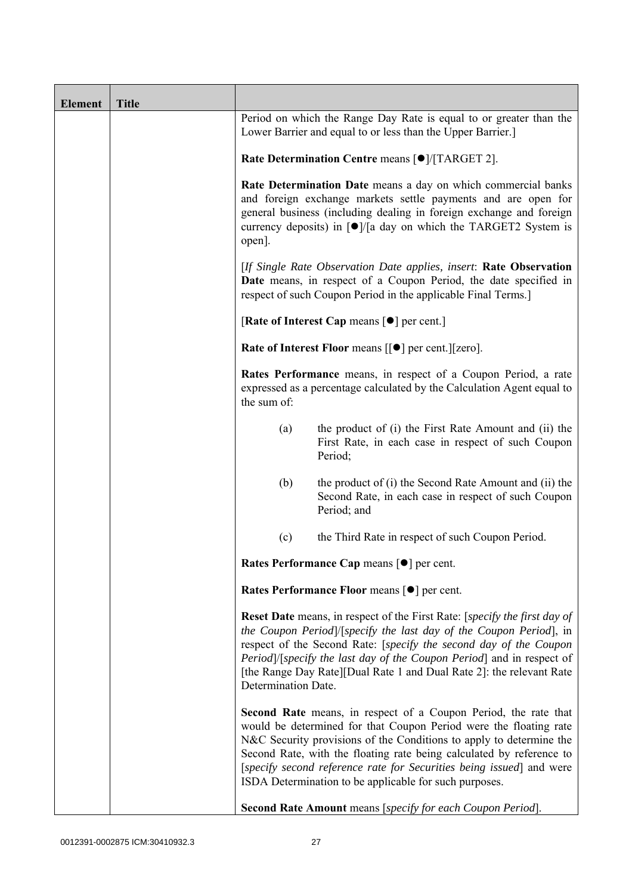| <b>Element</b> | <b>Title</b> |                                                                                                                                                                                                                                                                                                                       |                                                                                                                                                                                                                                                                                                                                                                                                                       |  |
|----------------|--------------|-----------------------------------------------------------------------------------------------------------------------------------------------------------------------------------------------------------------------------------------------------------------------------------------------------------------------|-----------------------------------------------------------------------------------------------------------------------------------------------------------------------------------------------------------------------------------------------------------------------------------------------------------------------------------------------------------------------------------------------------------------------|--|
|                |              |                                                                                                                                                                                                                                                                                                                       | Period on which the Range Day Rate is equal to or greater than the<br>Lower Barrier and equal to or less than the Upper Barrier.]                                                                                                                                                                                                                                                                                     |  |
|                |              | Rate Determination Centre means [ $\bullet$ ]/[TARGET 2].                                                                                                                                                                                                                                                             |                                                                                                                                                                                                                                                                                                                                                                                                                       |  |
|                |              | Rate Determination Date means a day on which commercial banks<br>and foreign exchange markets settle payments and are open for<br>general business (including dealing in foreign exchange and foreign<br>currency deposits) in $\lceil \bullet \rceil / \lceil a \rceil$ day on which the TARGET2 System is<br>open]. |                                                                                                                                                                                                                                                                                                                                                                                                                       |  |
|                |              | [If Single Rate Observation Date applies, insert: Rate Observation<br>Date means, in respect of a Coupon Period, the date specified in<br>respect of such Coupon Period in the applicable Final Terms.]                                                                                                               |                                                                                                                                                                                                                                                                                                                                                                                                                       |  |
|                |              |                                                                                                                                                                                                                                                                                                                       | [Rate of Interest Cap means $[•]$ per cent.]                                                                                                                                                                                                                                                                                                                                                                          |  |
|                |              |                                                                                                                                                                                                                                                                                                                       | Rate of Interest Floor means [[ $\bullet$ ] per cent.][zero].                                                                                                                                                                                                                                                                                                                                                         |  |
|                |              | the sum of:                                                                                                                                                                                                                                                                                                           | Rates Performance means, in respect of a Coupon Period, a rate<br>expressed as a percentage calculated by the Calculation Agent equal to                                                                                                                                                                                                                                                                              |  |
|                |              | (a)                                                                                                                                                                                                                                                                                                                   | the product of (i) the First Rate Amount and (ii) the<br>First Rate, in each case in respect of such Coupon<br>Period;                                                                                                                                                                                                                                                                                                |  |
|                |              | (b)                                                                                                                                                                                                                                                                                                                   | the product of (i) the Second Rate Amount and (ii) the<br>Second Rate, in each case in respect of such Coupon<br>Period; and                                                                                                                                                                                                                                                                                          |  |
|                |              | (c)                                                                                                                                                                                                                                                                                                                   | the Third Rate in respect of such Coupon Period.                                                                                                                                                                                                                                                                                                                                                                      |  |
|                |              | Rates Performance Cap means [ $\bullet$ ] per cent.                                                                                                                                                                                                                                                                   |                                                                                                                                                                                                                                                                                                                                                                                                                       |  |
|                |              |                                                                                                                                                                                                                                                                                                                       | Rates Performance Floor means [ $\bullet$ ] per cent.                                                                                                                                                                                                                                                                                                                                                                 |  |
|                |              | Determination Date.                                                                                                                                                                                                                                                                                                   | <b>Reset Date</b> means, in respect of the First Rate: [specify the first day of<br>the Coupon Period /[specify the last day of the Coupon Period], in<br>respect of the Second Rate: [specify the second day of the Coupon<br>Period]/[specify the last day of the Coupon Period] and in respect of<br>[the Range Day Rate][Dual Rate 1 and Dual Rate 2]: the relevant Rate                                          |  |
|                |              |                                                                                                                                                                                                                                                                                                                       | Second Rate means, in respect of a Coupon Period, the rate that<br>would be determined for that Coupon Period were the floating rate<br>N&C Security provisions of the Conditions to apply to determine the<br>Second Rate, with the floating rate being calculated by reference to<br>[specify second reference rate for Securities being issued] and were<br>ISDA Determination to be applicable for such purposes. |  |
|                |              |                                                                                                                                                                                                                                                                                                                       | Second Rate Amount means [specify for each Coupon Period].                                                                                                                                                                                                                                                                                                                                                            |  |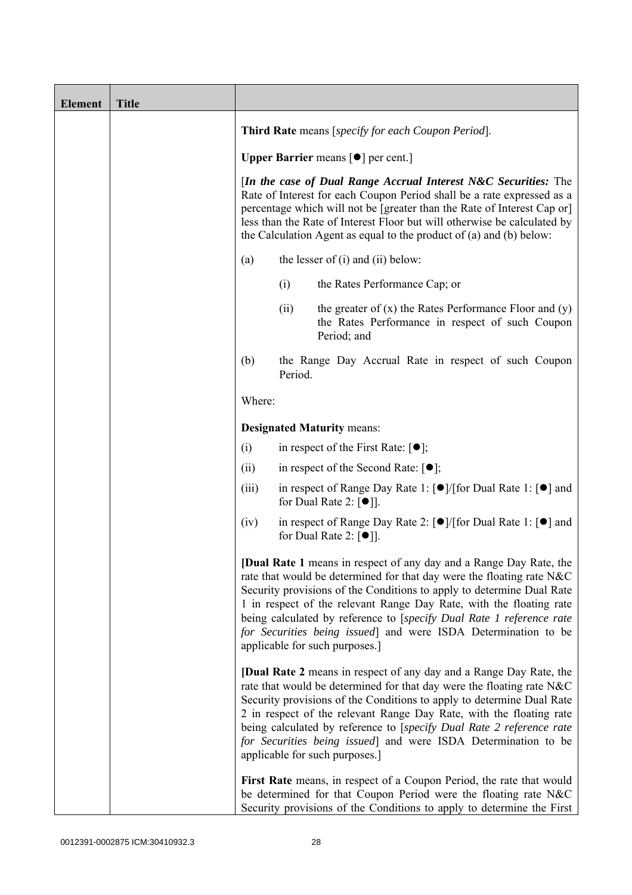| <b>Element</b> | <b>Title</b> |                                                                                                                                                                                                                                                                                                                                                                             |         |                                                                                                                                                                                                                                                                                                                                                                                                                                                                                |
|----------------|--------------|-----------------------------------------------------------------------------------------------------------------------------------------------------------------------------------------------------------------------------------------------------------------------------------------------------------------------------------------------------------------------------|---------|--------------------------------------------------------------------------------------------------------------------------------------------------------------------------------------------------------------------------------------------------------------------------------------------------------------------------------------------------------------------------------------------------------------------------------------------------------------------------------|
|                |              | Third Rate means [specify for each Coupon Period].                                                                                                                                                                                                                                                                                                                          |         |                                                                                                                                                                                                                                                                                                                                                                                                                                                                                |
|                |              | <b>Upper Barrier</b> means $\lceil \bullet \rceil$ per cent.]                                                                                                                                                                                                                                                                                                               |         |                                                                                                                                                                                                                                                                                                                                                                                                                                                                                |
|                |              | [In the case of Dual Range Accrual Interest N&C Securities: The<br>Rate of Interest for each Coupon Period shall be a rate expressed as a<br>percentage which will not be [greater than the Rate of Interest Cap or]<br>less than the Rate of Interest Floor but will otherwise be calculated by<br>the Calculation Agent as equal to the product of $(a)$ and $(b)$ below: |         |                                                                                                                                                                                                                                                                                                                                                                                                                                                                                |
|                |              | (a)                                                                                                                                                                                                                                                                                                                                                                         |         | the lesser of $(i)$ and $(ii)$ below:                                                                                                                                                                                                                                                                                                                                                                                                                                          |
|                |              |                                                                                                                                                                                                                                                                                                                                                                             | (i)     | the Rates Performance Cap; or                                                                                                                                                                                                                                                                                                                                                                                                                                                  |
|                |              |                                                                                                                                                                                                                                                                                                                                                                             | (ii)    | the greater of $(x)$ the Rates Performance Floor and $(y)$<br>the Rates Performance in respect of such Coupon<br>Period; and                                                                                                                                                                                                                                                                                                                                                   |
|                |              | (b)                                                                                                                                                                                                                                                                                                                                                                         | Period. | the Range Day Accrual Rate in respect of such Coupon                                                                                                                                                                                                                                                                                                                                                                                                                           |
|                |              | Where:                                                                                                                                                                                                                                                                                                                                                                      |         |                                                                                                                                                                                                                                                                                                                                                                                                                                                                                |
|                |              |                                                                                                                                                                                                                                                                                                                                                                             |         | <b>Designated Maturity means:</b>                                                                                                                                                                                                                                                                                                                                                                                                                                              |
|                |              | (i)                                                                                                                                                                                                                                                                                                                                                                         |         | in respect of the First Rate: $[•]$ ;                                                                                                                                                                                                                                                                                                                                                                                                                                          |
|                |              | (ii)                                                                                                                                                                                                                                                                                                                                                                        |         | in respect of the Second Rate: $[•]$ ;                                                                                                                                                                                                                                                                                                                                                                                                                                         |
|                |              | (iii)                                                                                                                                                                                                                                                                                                                                                                       |         | in respect of Range Day Rate 1: $\lceil \bullet \rceil / \lceil \text{for Dual Rate 1} : \lceil \bullet \rceil \text{ and }$<br>for Dual Rate 2: $[①$ ].                                                                                                                                                                                                                                                                                                                       |
|                |              | (iv)                                                                                                                                                                                                                                                                                                                                                                        |         | in respect of Range Day Rate 2: [●]/[for Dual Rate 1: [●] and<br>for Dual Rate 2: $\lceil \bullet \rceil$ .                                                                                                                                                                                                                                                                                                                                                                    |
|                |              |                                                                                                                                                                                                                                                                                                                                                                             |         | [Dual Rate 1 means in respect of any day and a Range Day Rate, the<br>rate that would be determined for that day were the floating rate N&C<br>Security provisions of the Conditions to apply to determine Dual Rate<br>1 in respect of the relevant Range Day Rate, with the floating rate<br>being calculated by reference to [specify Dual Rate 1 reference rate<br>for Securities being issued] and were ISDA Determination to be<br>applicable for such purposes.]        |
|                |              |                                                                                                                                                                                                                                                                                                                                                                             |         | <b>[Dual Rate 2</b> means in respect of any day and a Range Day Rate, the<br>rate that would be determined for that day were the floating rate N&C<br>Security provisions of the Conditions to apply to determine Dual Rate<br>2 in respect of the relevant Range Day Rate, with the floating rate<br>being calculated by reference to [specify Dual Rate 2 reference rate<br>for Securities being issued] and were ISDA Determination to be<br>applicable for such purposes.] |
|                |              |                                                                                                                                                                                                                                                                                                                                                                             |         | First Rate means, in respect of a Coupon Period, the rate that would<br>be determined for that Coupon Period were the floating rate N&C<br>Security provisions of the Conditions to apply to determine the First                                                                                                                                                                                                                                                               |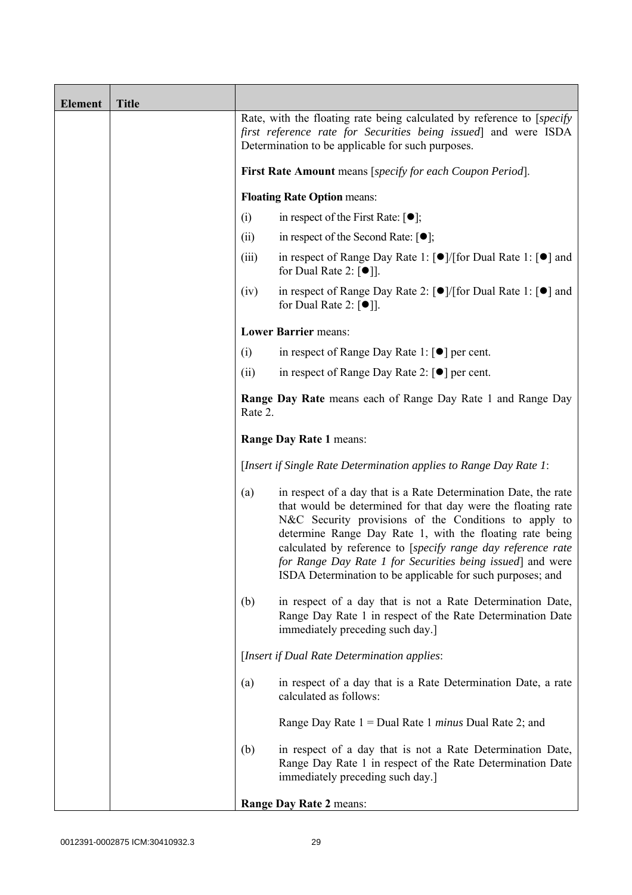| <b>Element</b> | <b>Title</b> |                                                                                                                                                                                                |                                                                                                                                                                                                                                                                                                                                                                                                                                                  |
|----------------|--------------|------------------------------------------------------------------------------------------------------------------------------------------------------------------------------------------------|--------------------------------------------------------------------------------------------------------------------------------------------------------------------------------------------------------------------------------------------------------------------------------------------------------------------------------------------------------------------------------------------------------------------------------------------------|
|                |              | Rate, with the floating rate being calculated by reference to [specify]<br>first reference rate for Securities being issued and were ISDA<br>Determination to be applicable for such purposes. |                                                                                                                                                                                                                                                                                                                                                                                                                                                  |
|                |              |                                                                                                                                                                                                | First Rate Amount means [specify for each Coupon Period].                                                                                                                                                                                                                                                                                                                                                                                        |
|                |              |                                                                                                                                                                                                | <b>Floating Rate Option means:</b>                                                                                                                                                                                                                                                                                                                                                                                                               |
|                |              | (i)                                                                                                                                                                                            | in respect of the First Rate: $\lceil \bullet \rceil$ ;                                                                                                                                                                                                                                                                                                                                                                                          |
|                |              | (ii)                                                                                                                                                                                           | in respect of the Second Rate: $[•]$ ;                                                                                                                                                                                                                                                                                                                                                                                                           |
|                |              | (iii)                                                                                                                                                                                          | in respect of Range Day Rate 1: $\lceil \bullet \rceil / \lceil \text{for Dual Rate 1} \rceil \rceil$ and<br>for Dual Rate 2: $\lceil \bullet \rceil$ .                                                                                                                                                                                                                                                                                          |
|                |              | (iv)                                                                                                                                                                                           | in respect of Range Day Rate 2: $\lceil \bullet \rceil / \lceil \text{for Dual Rate 1} \rceil \rceil$ and<br>for Dual Rate 2: $\lceil \bullet \rceil$ .                                                                                                                                                                                                                                                                                          |
|                |              |                                                                                                                                                                                                | <b>Lower Barrier means:</b>                                                                                                                                                                                                                                                                                                                                                                                                                      |
|                |              | (i)                                                                                                                                                                                            | in respect of Range Day Rate 1: $\lceil \bullet \rceil$ per cent.                                                                                                                                                                                                                                                                                                                                                                                |
|                |              | (ii)                                                                                                                                                                                           | in respect of Range Day Rate 2: $\lceil \bullet \rceil$ per cent.                                                                                                                                                                                                                                                                                                                                                                                |
|                |              | Rate 2.                                                                                                                                                                                        | Range Day Rate means each of Range Day Rate 1 and Range Day                                                                                                                                                                                                                                                                                                                                                                                      |
|                |              | Range Day Rate 1 means:                                                                                                                                                                        |                                                                                                                                                                                                                                                                                                                                                                                                                                                  |
|                |              |                                                                                                                                                                                                | [Insert if Single Rate Determination applies to Range Day Rate 1:                                                                                                                                                                                                                                                                                                                                                                                |
|                |              | (a)                                                                                                                                                                                            | in respect of a day that is a Rate Determination Date, the rate<br>that would be determined for that day were the floating rate<br>N&C Security provisions of the Conditions to apply to<br>determine Range Day Rate 1, with the floating rate being<br>calculated by reference to [specify range day reference rate<br>for Range Day Rate 1 for Securities being issued] and were<br>ISDA Determination to be applicable for such purposes; and |
|                |              | (b)                                                                                                                                                                                            | in respect of a day that is not a Rate Determination Date,<br>Range Day Rate 1 in respect of the Rate Determination Date<br>immediately preceding such day.]                                                                                                                                                                                                                                                                                     |
|                |              |                                                                                                                                                                                                | [Insert if Dual Rate Determination applies:                                                                                                                                                                                                                                                                                                                                                                                                      |
|                |              | (a)                                                                                                                                                                                            | in respect of a day that is a Rate Determination Date, a rate<br>calculated as follows:                                                                                                                                                                                                                                                                                                                                                          |
|                |              |                                                                                                                                                                                                | Range Day Rate $1 =$ Dual Rate 1 <i>minus</i> Dual Rate 2; and                                                                                                                                                                                                                                                                                                                                                                                   |
|                |              | (b)                                                                                                                                                                                            | in respect of a day that is not a Rate Determination Date,<br>Range Day Rate 1 in respect of the Rate Determination Date<br>immediately preceding such day.]                                                                                                                                                                                                                                                                                     |
|                |              |                                                                                                                                                                                                | Range Day Rate 2 means:                                                                                                                                                                                                                                                                                                                                                                                                                          |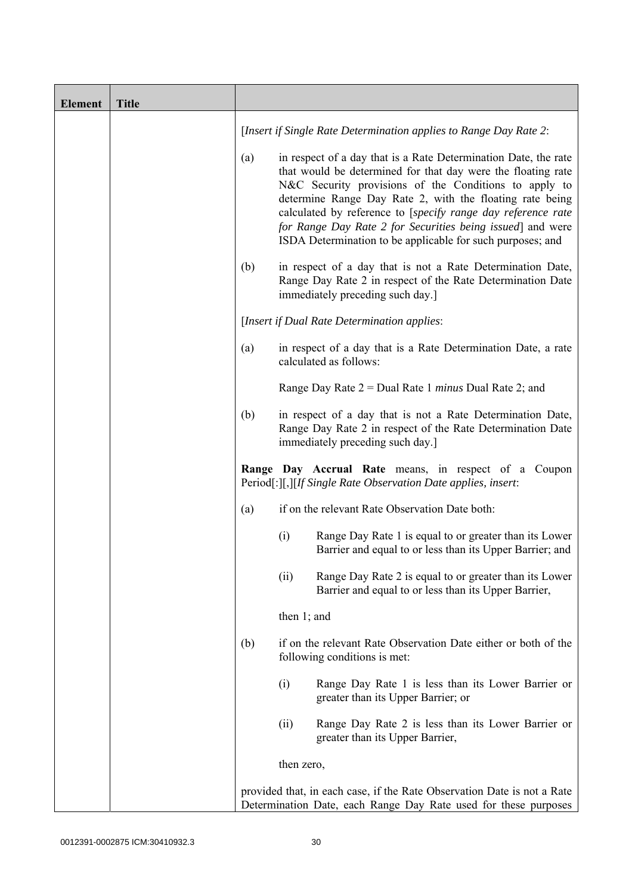| <b>Element</b> | <b>Title</b> |     |                                                                                                                                                                                                                                                                                                                                                                                                                                                  |
|----------------|--------------|-----|--------------------------------------------------------------------------------------------------------------------------------------------------------------------------------------------------------------------------------------------------------------------------------------------------------------------------------------------------------------------------------------------------------------------------------------------------|
|                |              |     | [Insert if Single Rate Determination applies to Range Day Rate 2:                                                                                                                                                                                                                                                                                                                                                                                |
|                |              | (a) | in respect of a day that is a Rate Determination Date, the rate<br>that would be determined for that day were the floating rate<br>N&C Security provisions of the Conditions to apply to<br>determine Range Day Rate 2, with the floating rate being<br>calculated by reference to [specify range day reference rate<br>for Range Day Rate 2 for Securities being issued] and were<br>ISDA Determination to be applicable for such purposes; and |
|                |              | (b) | in respect of a day that is not a Rate Determination Date,<br>Range Day Rate 2 in respect of the Rate Determination Date<br>immediately preceding such day.]                                                                                                                                                                                                                                                                                     |
|                |              |     | [Insert if Dual Rate Determination applies:                                                                                                                                                                                                                                                                                                                                                                                                      |
|                |              | (a) | in respect of a day that is a Rate Determination Date, a rate<br>calculated as follows:                                                                                                                                                                                                                                                                                                                                                          |
|                |              |     | Range Day Rate $2 =$ Dual Rate 1 <i>minus</i> Dual Rate 2; and                                                                                                                                                                                                                                                                                                                                                                                   |
|                |              | (b) | in respect of a day that is not a Rate Determination Date,<br>Range Day Rate 2 in respect of the Rate Determination Date<br>immediately preceding such day.]                                                                                                                                                                                                                                                                                     |
|                |              |     | Range Day Accrual Rate means, in respect of a Coupon<br>Period[:][,][If Single Rate Observation Date applies, insert:                                                                                                                                                                                                                                                                                                                            |
|                |              | (a) | if on the relevant Rate Observation Date both:                                                                                                                                                                                                                                                                                                                                                                                                   |
|                |              |     | (i)<br>Range Day Rate 1 is equal to or greater than its Lower<br>Barrier and equal to or less than its Upper Barrier; and                                                                                                                                                                                                                                                                                                                        |
|                |              |     | Range Day Rate 2 is equal to or greater than its Lower<br>(ii)<br>Barrier and equal to or less than its Upper Barrier,                                                                                                                                                                                                                                                                                                                           |
|                |              |     | then $1$ ; and                                                                                                                                                                                                                                                                                                                                                                                                                                   |
|                |              | (b) | if on the relevant Rate Observation Date either or both of the<br>following conditions is met:                                                                                                                                                                                                                                                                                                                                                   |
|                |              |     | (i)<br>Range Day Rate 1 is less than its Lower Barrier or<br>greater than its Upper Barrier; or                                                                                                                                                                                                                                                                                                                                                  |
|                |              |     | (ii)<br>Range Day Rate 2 is less than its Lower Barrier or<br>greater than its Upper Barrier,                                                                                                                                                                                                                                                                                                                                                    |
|                |              |     | then zero,                                                                                                                                                                                                                                                                                                                                                                                                                                       |
|                |              |     | provided that, in each case, if the Rate Observation Date is not a Rate<br>Determination Date, each Range Day Rate used for these purposes                                                                                                                                                                                                                                                                                                       |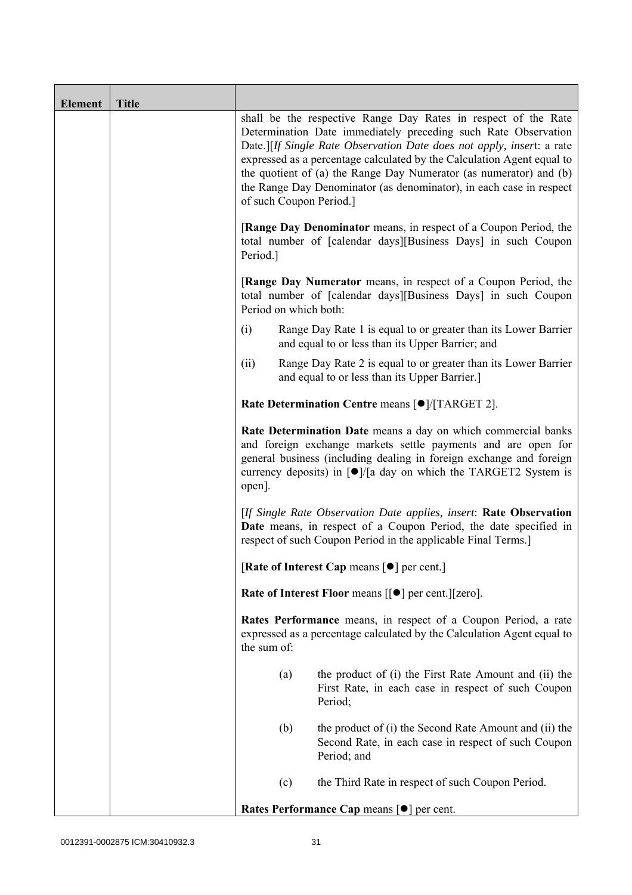| <b>Element</b> | <b>Title</b> |                                                                                                                                                                                                         |                                                     |                                                                                                                                                                                                                                                                                                                                                                                                                                                             |  |
|----------------|--------------|---------------------------------------------------------------------------------------------------------------------------------------------------------------------------------------------------------|-----------------------------------------------------|-------------------------------------------------------------------------------------------------------------------------------------------------------------------------------------------------------------------------------------------------------------------------------------------------------------------------------------------------------------------------------------------------------------------------------------------------------------|--|
|                |              |                                                                                                                                                                                                         |                                                     | shall be the respective Range Day Rates in respect of the Rate<br>Determination Date immediately preceding such Rate Observation<br>Date.][If Single Rate Observation Date does not apply, insert: a rate<br>expressed as a percentage calculated by the Calculation Agent equal to<br>the quotient of (a) the Range Day Numerator (as numerator) and (b)<br>the Range Day Denominator (as denominator), in each case in respect<br>of such Coupon Period.] |  |
|                |              | Period.]                                                                                                                                                                                                |                                                     | [Range Day Denominator means, in respect of a Coupon Period, the<br>total number of [calendar days][Business Days] in such Coupon                                                                                                                                                                                                                                                                                                                           |  |
|                |              |                                                                                                                                                                                                         | Period on which both:                               | <b>[Range Day Numerator</b> means, in respect of a Coupon Period, the<br>total number of [calendar days][Business Days] in such Coupon                                                                                                                                                                                                                                                                                                                      |  |
|                |              | (i)                                                                                                                                                                                                     |                                                     | Range Day Rate 1 is equal to or greater than its Lower Barrier<br>and equal to or less than its Upper Barrier; and                                                                                                                                                                                                                                                                                                                                          |  |
|                |              | (ii)                                                                                                                                                                                                    |                                                     | Range Day Rate 2 is equal to or greater than its Lower Barrier<br>and equal to or less than its Upper Barrier.]                                                                                                                                                                                                                                                                                                                                             |  |
|                |              | Rate Determination Centre means [ $\bullet$ ]/[TARGET 2].                                                                                                                                               |                                                     |                                                                                                                                                                                                                                                                                                                                                                                                                                                             |  |
|                |              | open].                                                                                                                                                                                                  |                                                     | Rate Determination Date means a day on which commercial banks<br>and foreign exchange markets settle payments and are open for<br>general business (including dealing in foreign exchange and foreign<br>currency deposits) in $\lceil \bullet \rceil / \lceil a \rceil$ day on which the TARGET2 System is                                                                                                                                                 |  |
|                |              | [If Single Rate Observation Date applies, insert: Rate Observation<br>Date means, in respect of a Coupon Period, the date specified in<br>respect of such Coupon Period in the applicable Final Terms.] |                                                     |                                                                                                                                                                                                                                                                                                                                                                                                                                                             |  |
|                |              | [Rate of Interest Cap means [ $\bullet$ ] per cent.]                                                                                                                                                    |                                                     |                                                                                                                                                                                                                                                                                                                                                                                                                                                             |  |
|                |              |                                                                                                                                                                                                         |                                                     | Rate of Interest Floor means [[ $\bullet$ ] per cent.][zero].                                                                                                                                                                                                                                                                                                                                                                                               |  |
|                |              | Rates Performance means, in respect of a Coupon Period, a rate<br>expressed as a percentage calculated by the Calculation Agent equal to<br>the sum of:                                                 |                                                     |                                                                                                                                                                                                                                                                                                                                                                                                                                                             |  |
|                |              |                                                                                                                                                                                                         | (a)                                                 | the product of (i) the First Rate Amount and (ii) the<br>First Rate, in each case in respect of such Coupon<br>Period;                                                                                                                                                                                                                                                                                                                                      |  |
|                |              |                                                                                                                                                                                                         | (b)                                                 | the product of (i) the Second Rate Amount and (ii) the<br>Second Rate, in each case in respect of such Coupon<br>Period; and                                                                                                                                                                                                                                                                                                                                |  |
|                |              |                                                                                                                                                                                                         | (c)                                                 | the Third Rate in respect of such Coupon Period.                                                                                                                                                                                                                                                                                                                                                                                                            |  |
|                |              |                                                                                                                                                                                                         | Rates Performance Cap means [ $\bullet$ ] per cent. |                                                                                                                                                                                                                                                                                                                                                                                                                                                             |  |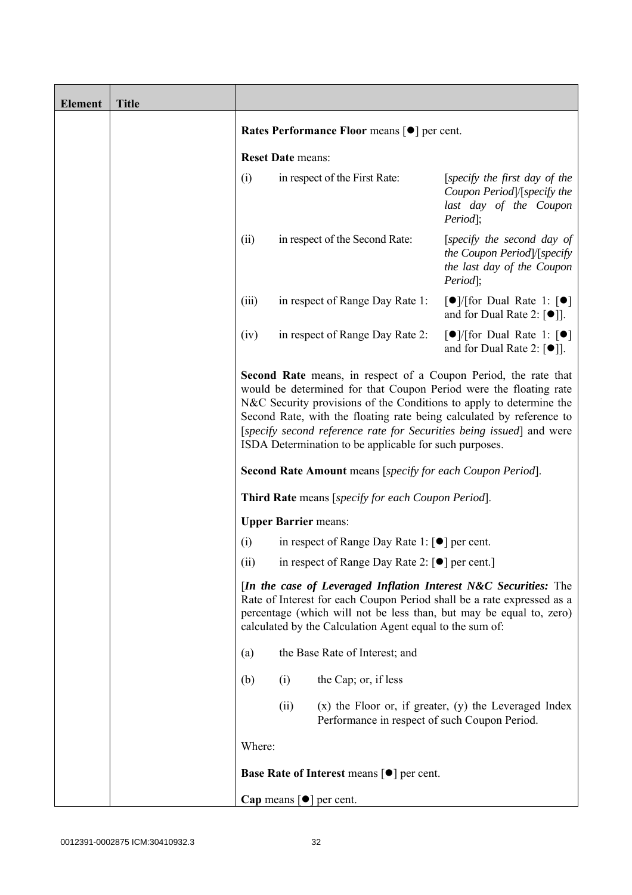| <b>Element</b> | <b>Title</b> |                                                                                                                                                                                                                                                                                                                                         |                          |                                                                                                                             |                                                                                                                                                                                                                                                                                                                                                                    |
|----------------|--------------|-----------------------------------------------------------------------------------------------------------------------------------------------------------------------------------------------------------------------------------------------------------------------------------------------------------------------------------------|--------------------------|-----------------------------------------------------------------------------------------------------------------------------|--------------------------------------------------------------------------------------------------------------------------------------------------------------------------------------------------------------------------------------------------------------------------------------------------------------------------------------------------------------------|
|                |              | <b>Rates Performance Floor means [●] per cent.</b>                                                                                                                                                                                                                                                                                      |                          |                                                                                                                             |                                                                                                                                                                                                                                                                                                                                                                    |
|                |              |                                                                                                                                                                                                                                                                                                                                         | <b>Reset Date means:</b> |                                                                                                                             |                                                                                                                                                                                                                                                                                                                                                                    |
|                |              | (i)                                                                                                                                                                                                                                                                                                                                     |                          | in respect of the First Rate:                                                                                               | [specify the first day of the<br>Coupon Period /[specify the<br>last day of the Coupon<br>Period];                                                                                                                                                                                                                                                                 |
|                |              | (ii)                                                                                                                                                                                                                                                                                                                                    |                          | in respect of the Second Rate:                                                                                              | [specify the second day of<br>the Coupon Period /[specify<br>the last day of the Coupon<br>Period];                                                                                                                                                                                                                                                                |
|                |              | (iii)                                                                                                                                                                                                                                                                                                                                   |                          | in respect of Range Day Rate 1:                                                                                             | $\lceil \bullet \rceil$ (for Dual Rate 1: $\lceil \bullet \rceil$<br>and for Dual Rate 2: $[\bullet]$ ].                                                                                                                                                                                                                                                           |
|                |              | (iv)                                                                                                                                                                                                                                                                                                                                    |                          | in respect of Range Day Rate 2:                                                                                             | $\lceil \bullet \rceil$ (for Dual Rate 1: $\lceil \bullet \rceil$<br>and for Dual Rate 2: $\lceil \bullet \rceil$ .                                                                                                                                                                                                                                                |
|                |              |                                                                                                                                                                                                                                                                                                                                         |                          | ISDA Determination to be applicable for such purposes.<br><b>Second Rate Amount</b> means [specify for each Coupon Period]. | <b>Second Rate</b> means, in respect of a Coupon Period, the rate that<br>would be determined for that Coupon Period were the floating rate<br>N&C Security provisions of the Conditions to apply to determine the<br>Second Rate, with the floating rate being calculated by reference to<br>[specify second reference rate for Securities being issued] and were |
|                |              |                                                                                                                                                                                                                                                                                                                                         |                          | <b>Third Rate</b> means [specify for each Coupon Period].                                                                   |                                                                                                                                                                                                                                                                                                                                                                    |
|                |              |                                                                                                                                                                                                                                                                                                                                         |                          | <b>Upper Barrier means:</b>                                                                                                 |                                                                                                                                                                                                                                                                                                                                                                    |
|                |              | (i)                                                                                                                                                                                                                                                                                                                                     |                          | in respect of Range Day Rate 1: $\lceil \bullet \rceil$ per cent.                                                           |                                                                                                                                                                                                                                                                                                                                                                    |
|                |              | in respect of Range Day Rate 2: [●] per cent.]<br>(ii)<br>[In the case of Leveraged Inflation Interest N&C Securities: The<br>Rate of Interest for each Coupon Period shall be a rate expressed as a<br>percentage (which will not be less than, but may be equal to, zero)<br>calculated by the Calculation Agent equal to the sum of: |                          |                                                                                                                             |                                                                                                                                                                                                                                                                                                                                                                    |
|                |              | (a)                                                                                                                                                                                                                                                                                                                                     |                          | the Base Rate of Interest; and                                                                                              |                                                                                                                                                                                                                                                                                                                                                                    |
|                |              | (b)                                                                                                                                                                                                                                                                                                                                     | (i)                      | the Cap; or, if less                                                                                                        |                                                                                                                                                                                                                                                                                                                                                                    |
|                |              |                                                                                                                                                                                                                                                                                                                                         | (ii)                     | Performance in respect of such Coupon Period.                                                                               | $(x)$ the Floor or, if greater, $(y)$ the Leveraged Index                                                                                                                                                                                                                                                                                                          |
|                |              | Where:                                                                                                                                                                                                                                                                                                                                  |                          |                                                                                                                             |                                                                                                                                                                                                                                                                                                                                                                    |
|                |              |                                                                                                                                                                                                                                                                                                                                         |                          | Base Rate of Interest means [ $\bullet$ ] per cent.                                                                         |                                                                                                                                                                                                                                                                                                                                                                    |
|                |              |                                                                                                                                                                                                                                                                                                                                         |                          | Cap means $[\bullet]$ per cent.                                                                                             |                                                                                                                                                                                                                                                                                                                                                                    |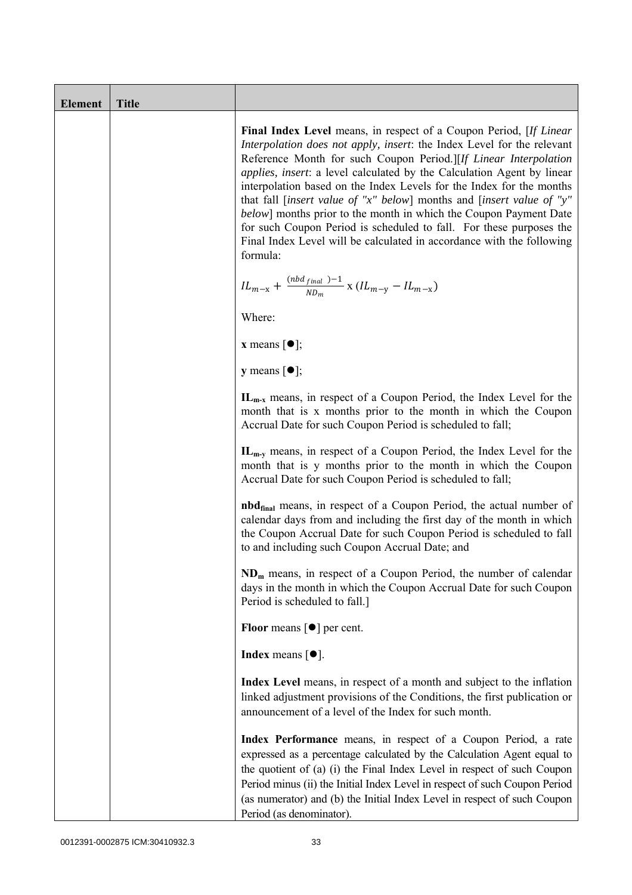| <b>Element</b> | <b>Title</b> |                                                                                                                                                                                                                                                                                                                                                                                                                                                                                                                                                                                                                                                                                     |
|----------------|--------------|-------------------------------------------------------------------------------------------------------------------------------------------------------------------------------------------------------------------------------------------------------------------------------------------------------------------------------------------------------------------------------------------------------------------------------------------------------------------------------------------------------------------------------------------------------------------------------------------------------------------------------------------------------------------------------------|
|                |              | Final Index Level means, in respect of a Coupon Period, [If Linear<br>Interpolation does not apply, insert: the Index Level for the relevant<br>Reference Month for such Coupon Period.][If Linear Interpolation<br><i>applies, insert: a level calculated by the Calculation Agent by linear</i><br>interpolation based on the Index Levels for the Index for the months<br>that fall [insert value of "x" below] months and [insert value of "y"<br>below] months prior to the month in which the Coupon Payment Date<br>for such Coupon Period is scheduled to fall. For these purposes the<br>Final Index Level will be calculated in accordance with the following<br>formula: |
|                |              | ${IL_{m-x}} + \frac{{\left( {nbd_{final} } \right) - 1}}{{N{D_m}}} \ge \left( {IL_{m-y}} - IL_{m-x} \right)$                                                                                                                                                                                                                                                                                                                                                                                                                                                                                                                                                                        |
|                |              | Where:                                                                                                                                                                                                                                                                                                                                                                                                                                                                                                                                                                                                                                                                              |
|                |              | <b>x</b> means $\lceil \bullet \rceil$ ;                                                                                                                                                                                                                                                                                                                                                                                                                                                                                                                                                                                                                                            |
|                |              | $y$ means $[\bullet]$ ;                                                                                                                                                                                                                                                                                                                                                                                                                                                                                                                                                                                                                                                             |
|                |              | $IL_{m-x}$ means, in respect of a Coupon Period, the Index Level for the<br>month that is x months prior to the month in which the Coupon<br>Accrual Date for such Coupon Period is scheduled to fall;                                                                                                                                                                                                                                                                                                                                                                                                                                                                              |
|                |              | $IL_{m-v}$ means, in respect of a Coupon Period, the Index Level for the<br>month that is y months prior to the month in which the Coupon<br>Accrual Date for such Coupon Period is scheduled to fall;                                                                                                                                                                                                                                                                                                                                                                                                                                                                              |
|                |              | <b>nbd</b> <sub>final</sub> means, in respect of a Coupon Period, the actual number of<br>calendar days from and including the first day of the month in which<br>the Coupon Accrual Date for such Coupon Period is scheduled to fall<br>to and including such Coupon Accrual Date; and                                                                                                                                                                                                                                                                                                                                                                                             |
|                |              | $NDm$ means, in respect of a Coupon Period, the number of calendar<br>days in the month in which the Coupon Accrual Date for such Coupon<br>Period is scheduled to fall.]                                                                                                                                                                                                                                                                                                                                                                                                                                                                                                           |
|                |              | <b>Floor</b> means $\lceil \bullet \rceil$ per cent.                                                                                                                                                                                                                                                                                                                                                                                                                                                                                                                                                                                                                                |
|                |              | <b>Index</b> means $\lceil \bullet \rceil$ .                                                                                                                                                                                                                                                                                                                                                                                                                                                                                                                                                                                                                                        |
|                |              | Index Level means, in respect of a month and subject to the inflation<br>linked adjustment provisions of the Conditions, the first publication or<br>announcement of a level of the Index for such month.                                                                                                                                                                                                                                                                                                                                                                                                                                                                           |
|                |              | Index Performance means, in respect of a Coupon Period, a rate<br>expressed as a percentage calculated by the Calculation Agent equal to<br>the quotient of (a) (i) the Final Index Level in respect of such Coupon<br>Period minus (ii) the Initial Index Level in respect of such Coupon Period<br>(as numerator) and (b) the Initial Index Level in respect of such Coupon<br>Period (as denominator).                                                                                                                                                                                                                                                                           |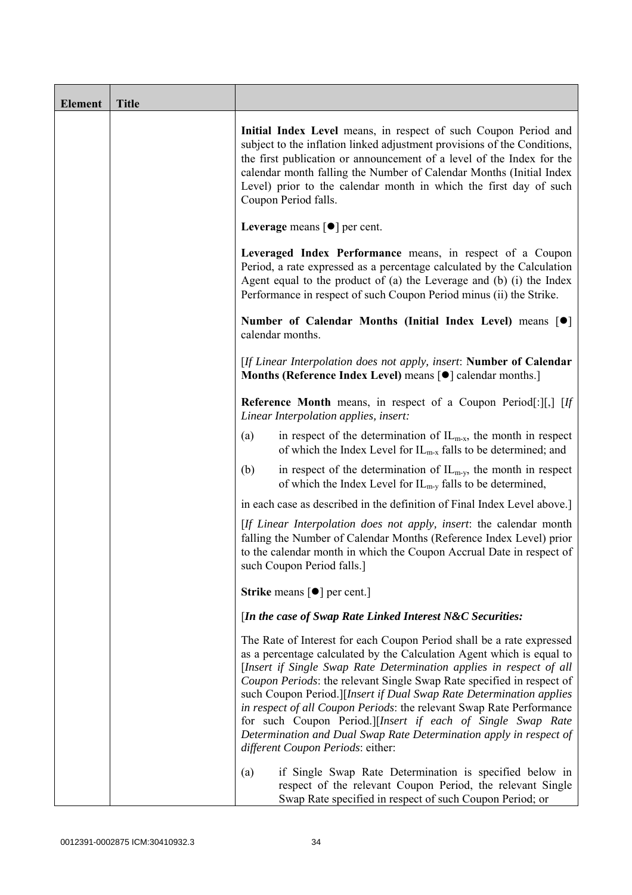| <b>Element</b> | <b>Title</b> |                                                                                                                                                                                                                                                                                                                                                                                                                                                                                                                                                                                                                         |
|----------------|--------------|-------------------------------------------------------------------------------------------------------------------------------------------------------------------------------------------------------------------------------------------------------------------------------------------------------------------------------------------------------------------------------------------------------------------------------------------------------------------------------------------------------------------------------------------------------------------------------------------------------------------------|
|                |              | Initial Index Level means, in respect of such Coupon Period and<br>subject to the inflation linked adjustment provisions of the Conditions,<br>the first publication or announcement of a level of the Index for the<br>calendar month falling the Number of Calendar Months (Initial Index<br>Level) prior to the calendar month in which the first day of such<br>Coupon Period falls.                                                                                                                                                                                                                                |
|                |              | Leverage means $\lceil \bullet \rceil$ per cent.                                                                                                                                                                                                                                                                                                                                                                                                                                                                                                                                                                        |
|                |              | Leveraged Index Performance means, in respect of a Coupon<br>Period, a rate expressed as a percentage calculated by the Calculation<br>Agent equal to the product of (a) the Leverage and (b) (i) the Index<br>Performance in respect of such Coupon Period minus (ii) the Strike.                                                                                                                                                                                                                                                                                                                                      |
|                |              | Number of Calendar Months (Initial Index Level) means [ $\bullet$ ]<br>calendar months.                                                                                                                                                                                                                                                                                                                                                                                                                                                                                                                                 |
|                |              | [If Linear Interpolation does not apply, insert: Number of Calendar<br>Months (Reference Index Level) means [ $\bullet$ ] calendar months.]                                                                                                                                                                                                                                                                                                                                                                                                                                                                             |
|                |              | <b>Reference Month</b> means, in respect of a Coupon Period[:][,] [If<br>Linear Interpolation applies, insert:                                                                                                                                                                                                                                                                                                                                                                                                                                                                                                          |
|                |              | in respect of the determination of $IL_{m-x}$ , the month in respect<br>(a)<br>of which the Index Level for $IL_{m-x}$ falls to be determined; and                                                                                                                                                                                                                                                                                                                                                                                                                                                                      |
|                |              | (b)<br>in respect of the determination of $IL_{m-y}$ , the month in respect<br>of which the Index Level for $IL_{m-v}$ falls to be determined,                                                                                                                                                                                                                                                                                                                                                                                                                                                                          |
|                |              | in each case as described in the definition of Final Index Level above.]                                                                                                                                                                                                                                                                                                                                                                                                                                                                                                                                                |
|                |              | [If Linear Interpolation does not apply, insert: the calendar month<br>falling the Number of Calendar Months (Reference Index Level) prior<br>to the calendar month in which the Coupon Accrual Date in respect of<br>such Coupon Period falls.]                                                                                                                                                                                                                                                                                                                                                                        |
|                |              | <b>Strike</b> means $\lceil \bullet \rceil$ per cent.]                                                                                                                                                                                                                                                                                                                                                                                                                                                                                                                                                                  |
|                |              | [In the case of Swap Rate Linked Interest N&C Securities:                                                                                                                                                                                                                                                                                                                                                                                                                                                                                                                                                               |
|                |              | The Rate of Interest for each Coupon Period shall be a rate expressed<br>as a percentage calculated by the Calculation Agent which is equal to<br>[Insert if Single Swap Rate Determination applies in respect of all<br>Coupon Periods: the relevant Single Swap Rate specified in respect of<br>such Coupon Period.][Insert if Dual Swap Rate Determination applies<br>in respect of all Coupon Periods: the relevant Swap Rate Performance<br>for such Coupon Period.][Insert if each of Single Swap Rate<br>Determination and Dual Swap Rate Determination apply in respect of<br>different Coupon Periods: either: |
|                |              | if Single Swap Rate Determination is specified below in<br>(a)<br>respect of the relevant Coupon Period, the relevant Single<br>Swap Rate specified in respect of such Coupon Period; or                                                                                                                                                                                                                                                                                                                                                                                                                                |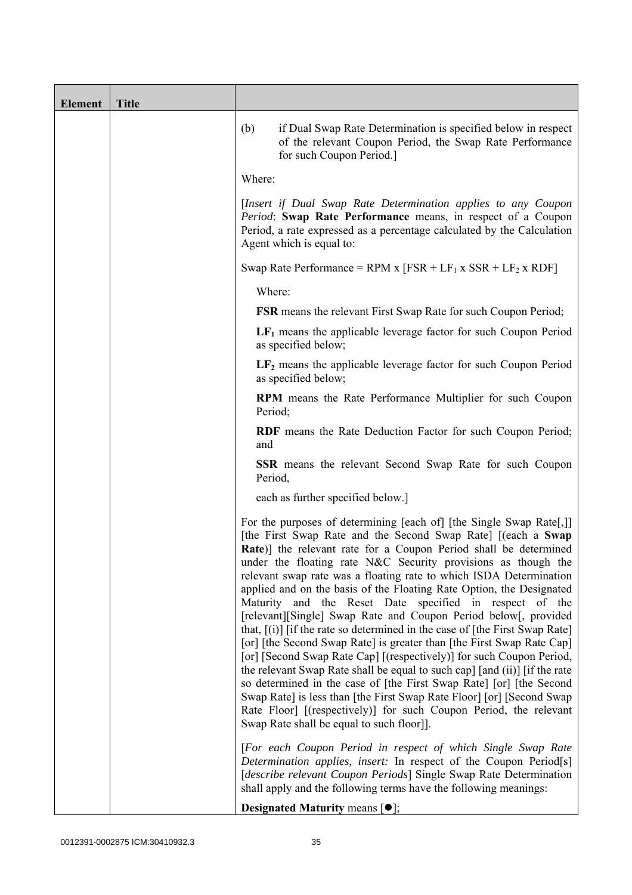| <b>Element</b> | <b>Title</b> |                                                                                                                                                                                                                                                                                                                                                                                                                                                                                                                                                                                                                                                                                                                                                                                                                                                                                                                                                                                                                                                                                                                                               |
|----------------|--------------|-----------------------------------------------------------------------------------------------------------------------------------------------------------------------------------------------------------------------------------------------------------------------------------------------------------------------------------------------------------------------------------------------------------------------------------------------------------------------------------------------------------------------------------------------------------------------------------------------------------------------------------------------------------------------------------------------------------------------------------------------------------------------------------------------------------------------------------------------------------------------------------------------------------------------------------------------------------------------------------------------------------------------------------------------------------------------------------------------------------------------------------------------|
|                |              | (b)<br>if Dual Swap Rate Determination is specified below in respect<br>of the relevant Coupon Period, the Swap Rate Performance<br>for such Coupon Period.]                                                                                                                                                                                                                                                                                                                                                                                                                                                                                                                                                                                                                                                                                                                                                                                                                                                                                                                                                                                  |
|                |              | Where:                                                                                                                                                                                                                                                                                                                                                                                                                                                                                                                                                                                                                                                                                                                                                                                                                                                                                                                                                                                                                                                                                                                                        |
|                |              | [Insert if Dual Swap Rate Determination applies to any Coupon<br>Period: Swap Rate Performance means, in respect of a Coupon<br>Period, a rate expressed as a percentage calculated by the Calculation<br>Agent which is equal to:                                                                                                                                                                                                                                                                                                                                                                                                                                                                                                                                                                                                                                                                                                                                                                                                                                                                                                            |
|                |              | Swap Rate Performance = RPM x $[FSR + LF_1 x SSR + LF_2 x RDF]$                                                                                                                                                                                                                                                                                                                                                                                                                                                                                                                                                                                                                                                                                                                                                                                                                                                                                                                                                                                                                                                                               |
|                |              | Where:                                                                                                                                                                                                                                                                                                                                                                                                                                                                                                                                                                                                                                                                                                                                                                                                                                                                                                                                                                                                                                                                                                                                        |
|                |              | <b>FSR</b> means the relevant First Swap Rate for such Coupon Period;                                                                                                                                                                                                                                                                                                                                                                                                                                                                                                                                                                                                                                                                                                                                                                                                                                                                                                                                                                                                                                                                         |
|                |              | $LF1$ means the applicable leverage factor for such Coupon Period<br>as specified below;                                                                                                                                                                                                                                                                                                                                                                                                                                                                                                                                                                                                                                                                                                                                                                                                                                                                                                                                                                                                                                                      |
|                |              | $LF2$ means the applicable leverage factor for such Coupon Period<br>as specified below;                                                                                                                                                                                                                                                                                                                                                                                                                                                                                                                                                                                                                                                                                                                                                                                                                                                                                                                                                                                                                                                      |
|                |              | <b>RPM</b> means the Rate Performance Multiplier for such Coupon<br>Period;                                                                                                                                                                                                                                                                                                                                                                                                                                                                                                                                                                                                                                                                                                                                                                                                                                                                                                                                                                                                                                                                   |
|                |              | RDF means the Rate Deduction Factor for such Coupon Period;<br>and                                                                                                                                                                                                                                                                                                                                                                                                                                                                                                                                                                                                                                                                                                                                                                                                                                                                                                                                                                                                                                                                            |
|                |              | <b>SSR</b> means the relevant Second Swap Rate for such Coupon<br>Period,                                                                                                                                                                                                                                                                                                                                                                                                                                                                                                                                                                                                                                                                                                                                                                                                                                                                                                                                                                                                                                                                     |
|                |              | each as further specified below.]                                                                                                                                                                                                                                                                                                                                                                                                                                                                                                                                                                                                                                                                                                                                                                                                                                                                                                                                                                                                                                                                                                             |
|                |              | For the purposes of determining [each of] [the Single Swap Rate[,]]<br>[the First Swap Rate and the Second Swap Rate] [(each a Swap<br><b>Rate</b> )] the relevant rate for a Coupon Period shall be determined<br>under the floating rate N&C Security provisions as though the<br>relevant swap rate was a floating rate to which ISDA Determination<br>applied and on the basis of the Floating Rate Option, the Designated<br>Maturity and the Reset Date specified in respect of the<br>[relevant][Single] Swap Rate and Coupon Period below[, provided<br>that, $[(i)]$ [if the rate so determined in the case of [the First Swap Rate]<br>[or] [the Second Swap Rate] is greater than [the First Swap Rate Cap]<br>[or] [Second Swap Rate Cap] [(respectively)] for such Coupon Period,<br>the relevant Swap Rate shall be equal to such cap] [and (ii)] [if the rate<br>so determined in the case of [the First Swap Rate] [or] [the Second<br>Swap Rate] is less than [the First Swap Rate Floor] [or] [Second Swap<br>Rate Floor] [(respectively)] for such Coupon Period, the relevant<br>Swap Rate shall be equal to such floor]. |
|                |              | [For each Coupon Period in respect of which Single Swap Rate<br>Determination applies, insert: In respect of the Coupon Period[s]<br>[describe relevant Coupon Periods] Single Swap Rate Determination<br>shall apply and the following terms have the following meanings:                                                                                                                                                                                                                                                                                                                                                                                                                                                                                                                                                                                                                                                                                                                                                                                                                                                                    |
|                |              | <b>Designated Maturity means <math>\lceil \bullet \rceil</math>;</b>                                                                                                                                                                                                                                                                                                                                                                                                                                                                                                                                                                                                                                                                                                                                                                                                                                                                                                                                                                                                                                                                          |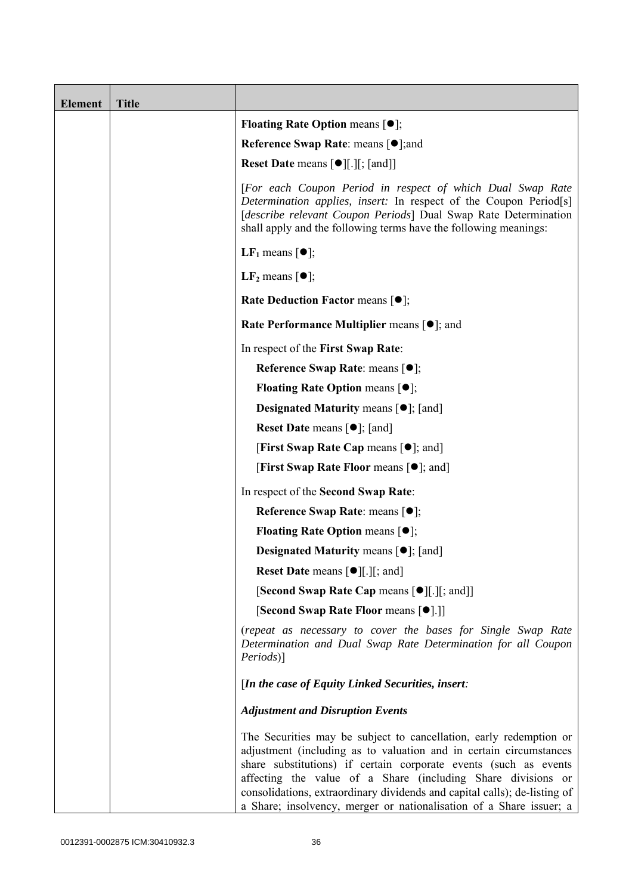| <b>Element</b> | <b>Title</b> |                                                                                                                                                                                                                                                                                                                                                                                                                                  |
|----------------|--------------|----------------------------------------------------------------------------------------------------------------------------------------------------------------------------------------------------------------------------------------------------------------------------------------------------------------------------------------------------------------------------------------------------------------------------------|
|                |              | <b>Floating Rate Option means <math>[•]</math>;</b>                                                                                                                                                                                                                                                                                                                                                                              |
|                |              | <b>Reference Swap Rate: means [●];and</b>                                                                                                                                                                                                                                                                                                                                                                                        |
|                |              | <b>Reset Date means [●][.][; [and]]</b>                                                                                                                                                                                                                                                                                                                                                                                          |
|                |              | [For each Coupon Period in respect of which Dual Swap Rate<br>Determination applies, insert: In respect of the Coupon Period <sup>[s]</sup><br>[describe relevant Coupon Periods] Dual Swap Rate Determination<br>shall apply and the following terms have the following meanings:                                                                                                                                               |
|                |              | <b>LF</b> <sub>1</sub> means $\lceil \bullet \rceil$ ;                                                                                                                                                                                                                                                                                                                                                                           |
|                |              | LF <sub>2</sub> means $\lceil \bullet \rceil$ ;                                                                                                                                                                                                                                                                                                                                                                                  |
|                |              | <b>Rate Deduction Factor means <math>[①]</math>;</b>                                                                                                                                                                                                                                                                                                                                                                             |
|                |              | <b>Rate Performance Multiplier means [●]; and</b>                                                                                                                                                                                                                                                                                                                                                                                |
|                |              | In respect of the First Swap Rate:                                                                                                                                                                                                                                                                                                                                                                                               |
|                |              | Reference Swap Rate: means [ $\bullet$ ];                                                                                                                                                                                                                                                                                                                                                                                        |
|                |              | <b>Floating Rate Option means <math>[•]</math>;</b>                                                                                                                                                                                                                                                                                                                                                                              |
|                |              | <b>Designated Maturity means <math>\lceil \bullet \rceil</math>; [and]</b>                                                                                                                                                                                                                                                                                                                                                       |
|                |              | <b>Reset Date means <math>[\bullet]</math>; [and]</b>                                                                                                                                                                                                                                                                                                                                                                            |
|                |              | <b>[First Swap Rate Cap means [<math>\bullet</math>]; and</b> ]                                                                                                                                                                                                                                                                                                                                                                  |
|                |              | <b>[First Swap Rate Floor means [<math>\bullet</math>]; and]</b>                                                                                                                                                                                                                                                                                                                                                                 |
|                |              | In respect of the Second Swap Rate:                                                                                                                                                                                                                                                                                                                                                                                              |
|                |              | Reference Swap Rate: means [●];                                                                                                                                                                                                                                                                                                                                                                                                  |
|                |              | <b>Floating Rate Option means <math>[①]</math>;</b>                                                                                                                                                                                                                                                                                                                                                                              |
|                |              | <b>Designated Maturity means <math>\lceil \bullet \rceil</math>; [and]</b>                                                                                                                                                                                                                                                                                                                                                       |
|                |              | <b>Reset Date means <math>[\bullet]</math>[.][; and]</b>                                                                                                                                                                                                                                                                                                                                                                         |
|                |              | [Second Swap Rate Cap means [ $\bullet$ ][.][; and]]                                                                                                                                                                                                                                                                                                                                                                             |
|                |              | [Second Swap Rate Floor means [●].]]                                                                                                                                                                                                                                                                                                                                                                                             |
|                |              | (repeat as necessary to cover the bases for Single Swap Rate<br>Determination and Dual Swap Rate Determination for all Coupon<br>Periods)]                                                                                                                                                                                                                                                                                       |
|                |              | [In the case of Equity Linked Securities, insert:                                                                                                                                                                                                                                                                                                                                                                                |
|                |              | <b>Adjustment and Disruption Events</b>                                                                                                                                                                                                                                                                                                                                                                                          |
|                |              | The Securities may be subject to cancellation, early redemption or<br>adjustment (including as to valuation and in certain circumstances<br>share substitutions) if certain corporate events (such as events<br>affecting the value of a Share (including Share divisions or<br>consolidations, extraordinary dividends and capital calls); de-listing of<br>a Share; insolvency, merger or nationalisation of a Share issuer; a |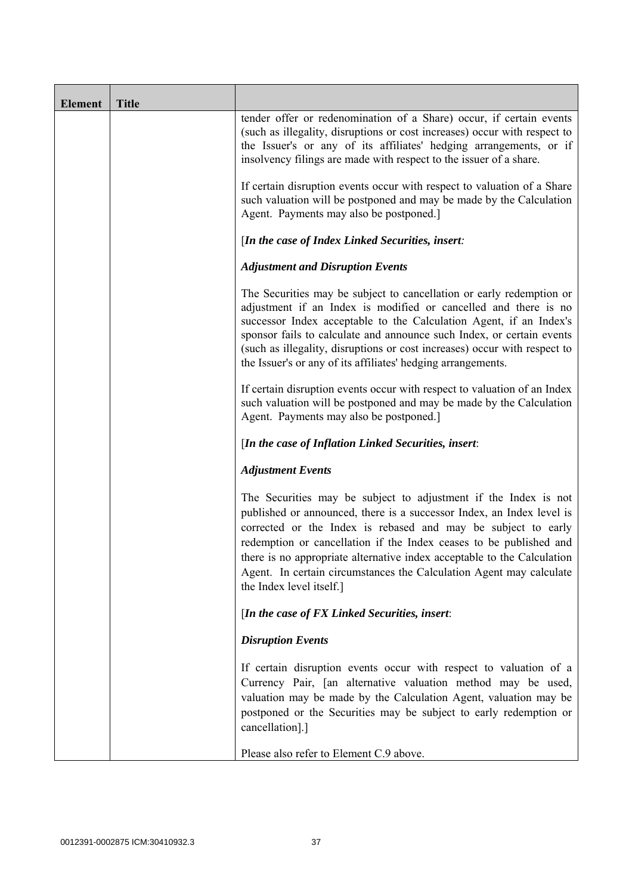| <b>Element</b> | <b>Title</b> |                                                                                                                                                                                                                                                                                                                                                                                                                                                               |  |
|----------------|--------------|---------------------------------------------------------------------------------------------------------------------------------------------------------------------------------------------------------------------------------------------------------------------------------------------------------------------------------------------------------------------------------------------------------------------------------------------------------------|--|
|                |              | tender offer or redenomination of a Share) occur, if certain events<br>(such as illegality, disruptions or cost increases) occur with respect to<br>the Issuer's or any of its affiliates' hedging arrangements, or if<br>insolvency filings are made with respect to the issuer of a share.                                                                                                                                                                  |  |
|                |              | If certain disruption events occur with respect to valuation of a Share<br>such valuation will be postponed and may be made by the Calculation<br>Agent. Payments may also be postponed.]                                                                                                                                                                                                                                                                     |  |
|                |              | [In the case of Index Linked Securities, insert:                                                                                                                                                                                                                                                                                                                                                                                                              |  |
|                |              | <b>Adjustment and Disruption Events</b>                                                                                                                                                                                                                                                                                                                                                                                                                       |  |
|                |              | The Securities may be subject to cancellation or early redemption or<br>adjustment if an Index is modified or cancelled and there is no<br>successor Index acceptable to the Calculation Agent, if an Index's<br>sponsor fails to calculate and announce such Index, or certain events<br>(such as illegality, disruptions or cost increases) occur with respect to<br>the Issuer's or any of its affiliates' hedging arrangements.                           |  |
|                |              | If certain disruption events occur with respect to valuation of an Index<br>such valuation will be postponed and may be made by the Calculation<br>Agent. Payments may also be postponed.]                                                                                                                                                                                                                                                                    |  |
|                |              | [In the case of Inflation Linked Securities, insert:                                                                                                                                                                                                                                                                                                                                                                                                          |  |
|                |              | <b>Adjustment Events</b>                                                                                                                                                                                                                                                                                                                                                                                                                                      |  |
|                |              | The Securities may be subject to adjustment if the Index is not<br>published or announced, there is a successor Index, an Index level is<br>corrected or the Index is rebased and may be subject to early<br>redemption or cancellation if the Index ceases to be published and<br>there is no appropriate alternative index acceptable to the Calculation<br>Agent. In certain circumstances the Calculation Agent may calculate<br>the Index level itself.] |  |
|                |              | [In the case of $FX$ Linked Securities, insert:                                                                                                                                                                                                                                                                                                                                                                                                               |  |
|                |              | <b>Disruption Events</b>                                                                                                                                                                                                                                                                                                                                                                                                                                      |  |
|                |              | If certain disruption events occur with respect to valuation of a<br>Currency Pair, [an alternative valuation method may be used,<br>valuation may be made by the Calculation Agent, valuation may be<br>postponed or the Securities may be subject to early redemption or<br>cancellation].]                                                                                                                                                                 |  |
|                |              | Please also refer to Element C.9 above.                                                                                                                                                                                                                                                                                                                                                                                                                       |  |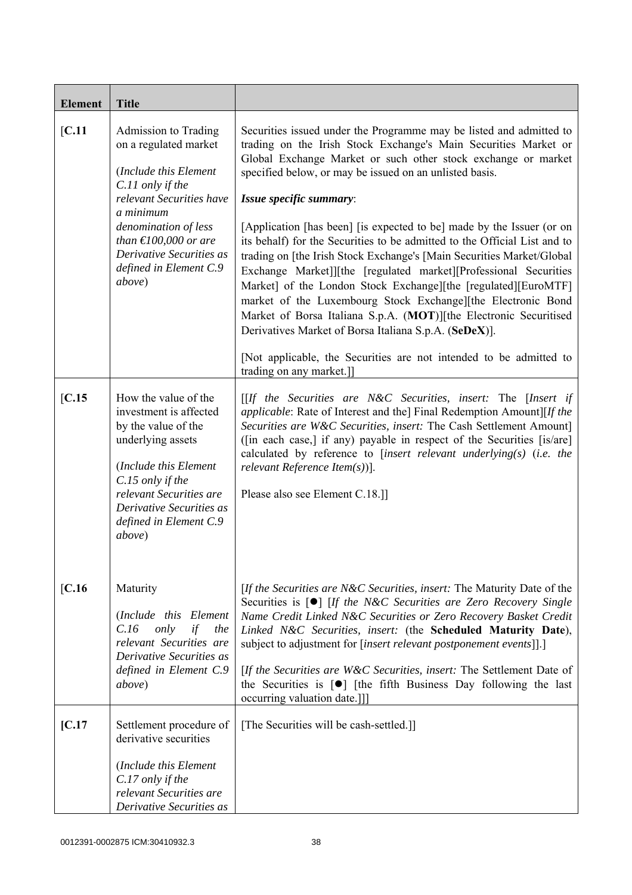| <b>Element</b> | <b>Title</b>                                                                                                                                                                                                                                                             |                                                                                                                                                                                                                                                                                                                                                                                                                                                                                                                                                                                                                                                                                                                                                                                                                                                                                                                                                                     |
|----------------|--------------------------------------------------------------------------------------------------------------------------------------------------------------------------------------------------------------------------------------------------------------------------|---------------------------------------------------------------------------------------------------------------------------------------------------------------------------------------------------------------------------------------------------------------------------------------------------------------------------------------------------------------------------------------------------------------------------------------------------------------------------------------------------------------------------------------------------------------------------------------------------------------------------------------------------------------------------------------------------------------------------------------------------------------------------------------------------------------------------------------------------------------------------------------------------------------------------------------------------------------------|
| [C.11]         | Admission to Trading<br>on a regulated market<br>(Include this Element<br>C.11 only if the<br>relevant Securities have<br>a minimum<br>denomination of less<br>than $\text{\textsterling}100,000$ or are<br>Derivative Securities as<br>defined in Element C.9<br>above) | Securities issued under the Programme may be listed and admitted to<br>trading on the Irish Stock Exchange's Main Securities Market or<br>Global Exchange Market or such other stock exchange or market<br>specified below, or may be issued on an unlisted basis.<br>Issue specific summary:<br>[Application [has been] [is expected to be] made by the Issuer (or on<br>its behalf) for the Securities to be admitted to the Official List and to<br>trading on [the Irish Stock Exchange's [Main Securities Market/Global]<br>Exchange Market]][the [regulated market][Professional Securities<br>Market] of the London Stock Exchange][the [regulated][EuroMTF]<br>market of the Luxembourg Stock Exchange][the Electronic Bond<br>Market of Borsa Italiana S.p.A. (MOT)][the Electronic Securitised<br>Derivatives Market of Borsa Italiana S.p.A. (SeDeX)].<br>[Not applicable, the Securities are not intended to be admitted to<br>trading on any market.]] |
| [C.15]         | How the value of the<br>investment is affected<br>by the value of the<br>underlying assets<br>(Include this Element<br>C.15 only if the<br>relevant Securities are<br>Derivative Securities as<br>defined in Element C.9<br>above)                                       | $[If the Securities are N&C Securities, insert: The [Insert if]$<br><i>applicable:</i> Rate of Interest and the] Final Redemption Amount][If the<br>Securities are W&C Securities, insert: The Cash Settlement Amount]<br>([in each case,] if any) payable in respect of the Securities [is/are]<br>calculated by reference to [insert relevant underlying(s) (i.e. the<br>relevant Reference Item $(s)$ ].<br>Please also see Element C.18.]                                                                                                                                                                                                                                                                                                                                                                                                                                                                                                                       |
| [C.16]         | Maturity<br>(Include this Element<br>only<br>if<br>C.16<br>the<br>relevant Securities are<br>Derivative Securities as<br>defined in Element C.9<br><i>above</i> )                                                                                                        | [If the Securities are N&C Securities, insert: The Maturity Date of the<br>Securities is [ <sup>o</sup> ] [If the N&C Securities are Zero Recovery Single<br>Name Credit Linked N&C Securities or Zero Recovery Basket Credit<br>Linked N&C Securities, insert: (the Scheduled Maturity Date),<br>subject to adjustment for [insert relevant postponement events]].]<br>[If the Securities are W&C Securities, insert: The Settlement Date of<br>the Securities is $\lceil \bullet \rceil$ [the fifth Business Day following the last<br>occurring valuation date.]]]                                                                                                                                                                                                                                                                                                                                                                                               |
| [C.17]         | Settlement procedure of<br>derivative securities<br>(Include this Element<br>C.17 only if the<br>relevant Securities are<br>Derivative Securities as                                                                                                                     | [The Securities will be cash-settled.]]                                                                                                                                                                                                                                                                                                                                                                                                                                                                                                                                                                                                                                                                                                                                                                                                                                                                                                                             |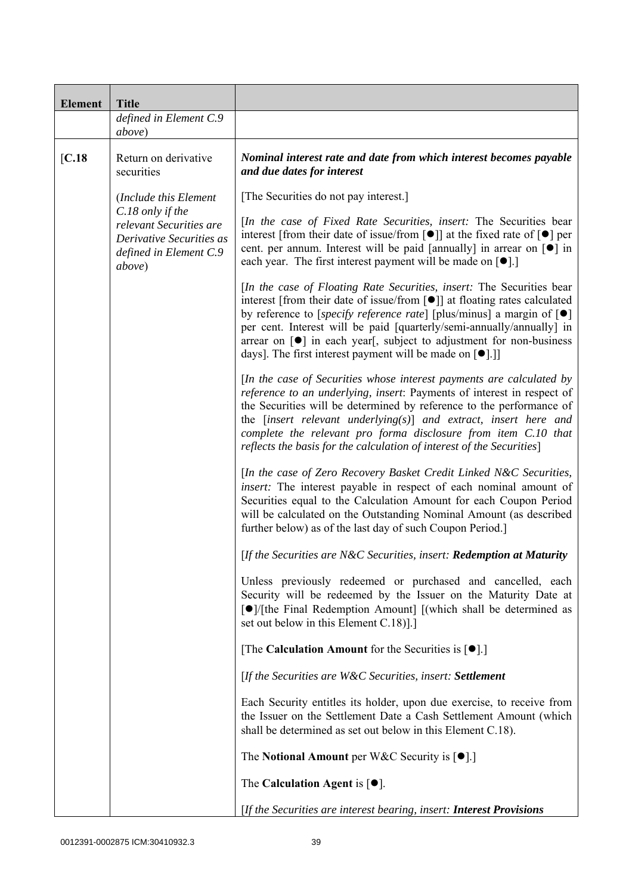| <b>Element</b> | <b>Title</b>                                                                                                |                                                                                                                                                                                                                                                                                                                                                                                                                                                                                           |
|----------------|-------------------------------------------------------------------------------------------------------------|-------------------------------------------------------------------------------------------------------------------------------------------------------------------------------------------------------------------------------------------------------------------------------------------------------------------------------------------------------------------------------------------------------------------------------------------------------------------------------------------|
|                | defined in Element C.9<br>above)                                                                            |                                                                                                                                                                                                                                                                                                                                                                                                                                                                                           |
| [C.18]         | Return on derivative<br>securities                                                                          | Nominal interest rate and date from which interest becomes payable<br>and due dates for interest                                                                                                                                                                                                                                                                                                                                                                                          |
|                | (Include this Element                                                                                       | [The Securities do not pay interest.]                                                                                                                                                                                                                                                                                                                                                                                                                                                     |
|                | C.18 only if the<br>relevant Securities are<br>Derivative Securities as<br>defined in Element C.9<br>above) | [In the case of Fixed Rate Securities, insert: The Securities bear<br>interest [from their date of issue/from [ $\bullet$ ]] at the fixed rate of $\lceil \bullet \rceil$ per<br>cent. per annum. Interest will be paid [annually] in arrear on [ $\bullet$ ] in<br>each year. The first interest payment will be made on $[\bullet]$ .]                                                                                                                                                  |
|                |                                                                                                             | [In the case of Floating Rate Securities, insert: The Securities bear<br>interest [from their date of issue/from [ $\bullet$ ]] at floating rates calculated<br>by reference to [specify reference rate] [plus/minus] a margin of $[\bullet]$<br>per cent. Interest will be paid [quarterly/semi-annually/annually] in<br>arrear on $\lceil \bullet \rceil$ in each year, subject to adjustment for non-business<br>days]. The first interest payment will be made on [ <sup>•</sup> ].]] |
|                |                                                                                                             | [In the case of Securities whose interest payments are calculated by<br>reference to an underlying, insert: Payments of interest in respect of<br>the Securities will be determined by reference to the performance of<br>the $[insert$ relevant underlying $(s)$ ] and extract, insert here and<br>complete the relevant pro forma disclosure from item C.10 that<br>reflects the basis for the calculation of interest of the Securities]                                               |
|                |                                                                                                             | [In the case of Zero Recovery Basket Credit Linked N&C Securities,<br>insert: The interest payable in respect of each nominal amount of<br>Securities equal to the Calculation Amount for each Coupon Period<br>will be calculated on the Outstanding Nominal Amount (as described<br>further below) as of the last day of such Coupon Period.                                                                                                                                            |
|                |                                                                                                             | [If the Securities are N&C Securities, insert: Redemption at Maturity                                                                                                                                                                                                                                                                                                                                                                                                                     |
|                |                                                                                                             | Unless previously redeemed or purchased and cancelled, each<br>Security will be redeemed by the Issuer on the Maturity Date at<br>[●]/[the Final Redemption Amount] [(which shall be determined as<br>set out below in this Element C.18).]                                                                                                                                                                                                                                               |
|                |                                                                                                             | [The Calculation Amount for the Securities is $[•]$ .]                                                                                                                                                                                                                                                                                                                                                                                                                                    |
|                |                                                                                                             | [If the Securities are W&C Securities, insert: Settlement                                                                                                                                                                                                                                                                                                                                                                                                                                 |
|                |                                                                                                             | Each Security entitles its holder, upon due exercise, to receive from<br>the Issuer on the Settlement Date a Cash Settlement Amount (which<br>shall be determined as set out below in this Element C.18).                                                                                                                                                                                                                                                                                 |
|                |                                                                                                             | The Notional Amount per W&C Security is $[•]$ .                                                                                                                                                                                                                                                                                                                                                                                                                                           |
|                |                                                                                                             | The Calculation Agent is $[•]$ .                                                                                                                                                                                                                                                                                                                                                                                                                                                          |
|                |                                                                                                             | [If the Securities are interest bearing, insert: <b>Interest Provisions</b>                                                                                                                                                                                                                                                                                                                                                                                                               |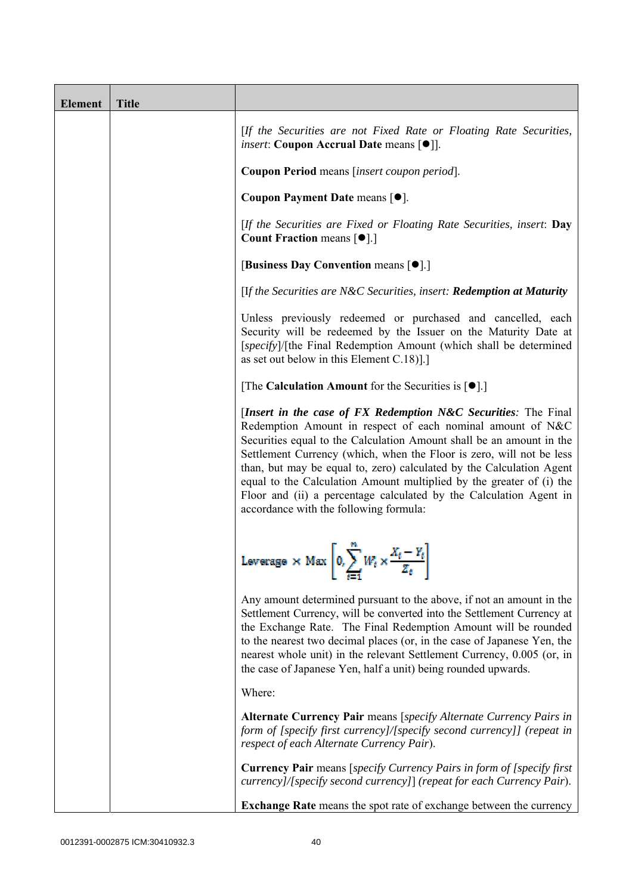| <b>Element</b> | <b>Title</b> |                                                                                                                                                                                                                                                                                                                                                                                                                                                                                                                                              |  |
|----------------|--------------|----------------------------------------------------------------------------------------------------------------------------------------------------------------------------------------------------------------------------------------------------------------------------------------------------------------------------------------------------------------------------------------------------------------------------------------------------------------------------------------------------------------------------------------------|--|
|                |              | [If the Securities are not Fixed Rate or Floating Rate Securities,<br><i>insert</i> : Coupon Accrual Date means [ $\bullet$ ].                                                                                                                                                                                                                                                                                                                                                                                                               |  |
|                |              | Coupon Period means [insert coupon period].                                                                                                                                                                                                                                                                                                                                                                                                                                                                                                  |  |
|                |              | Coupon Payment Date means [ $\bullet$ ].                                                                                                                                                                                                                                                                                                                                                                                                                                                                                                     |  |
|                |              | [If the Securities are Fixed or Floating Rate Securities, insert: Day<br><b>Count Fraction means <math>\lceil \bullet \rceil</math>.</b>                                                                                                                                                                                                                                                                                                                                                                                                     |  |
|                |              | [Business Day Convention means [ $\bullet$ ].]                                                                                                                                                                                                                                                                                                                                                                                                                                                                                               |  |
|                |              | [If the Securities are N&C Securities, insert: Redemption at Maturity                                                                                                                                                                                                                                                                                                                                                                                                                                                                        |  |
|                |              | Unless previously redeemed or purchased and cancelled, each<br>Security will be redeemed by the Issuer on the Maturity Date at<br>[specify]/[the Final Redemption Amount (which shall be determined<br>as set out below in this Element $C.18$ ].]                                                                                                                                                                                                                                                                                           |  |
|                |              | [The Calculation Amount for the Securities is $[•]$ .]                                                                                                                                                                                                                                                                                                                                                                                                                                                                                       |  |
|                |              | [Insert in the case of FX Redemption N&C Securities: The Final<br>Redemption Amount in respect of each nominal amount of N&C<br>Securities equal to the Calculation Amount shall be an amount in the<br>Settlement Currency (which, when the Floor is zero, will not be less<br>than, but may be equal to, zero) calculated by the Calculation Agent<br>equal to the Calculation Amount multiplied by the greater of (i) the<br>Floor and (ii) a percentage calculated by the Calculation Agent in<br>accordance with the following formula: |  |
|                |              | Leverage $\times$ Max $\left[0, \sum_{i=1}^{n} W_i \times \frac{X_i - Y_i}{Z_i}\right]$                                                                                                                                                                                                                                                                                                                                                                                                                                                      |  |
|                |              | Any amount determined pursuant to the above, if not an amount in the<br>Settlement Currency, will be converted into the Settlement Currency at<br>the Exchange Rate. The Final Redemption Amount will be rounded<br>to the nearest two decimal places (or, in the case of Japanese Yen, the<br>nearest whole unit) in the relevant Settlement Currency, 0.005 (or, in<br>the case of Japanese Yen, half a unit) being rounded upwards.                                                                                                       |  |
|                |              | Where:                                                                                                                                                                                                                                                                                                                                                                                                                                                                                                                                       |  |
|                |              | Alternate Currency Pair means [specify Alternate Currency Pairs in<br>form of [specify first currency]/[specify second currency]] (repeat in<br>respect of each Alternate Currency Pair).                                                                                                                                                                                                                                                                                                                                                    |  |
|                |              | <b>Currency Pair</b> means [specify Currency Pairs in form of [specify first]<br>currency]/[specify second currency]] (repeat for each Currency Pair).                                                                                                                                                                                                                                                                                                                                                                                       |  |
|                |              | <b>Exchange Rate</b> means the spot rate of exchange between the currency                                                                                                                                                                                                                                                                                                                                                                                                                                                                    |  |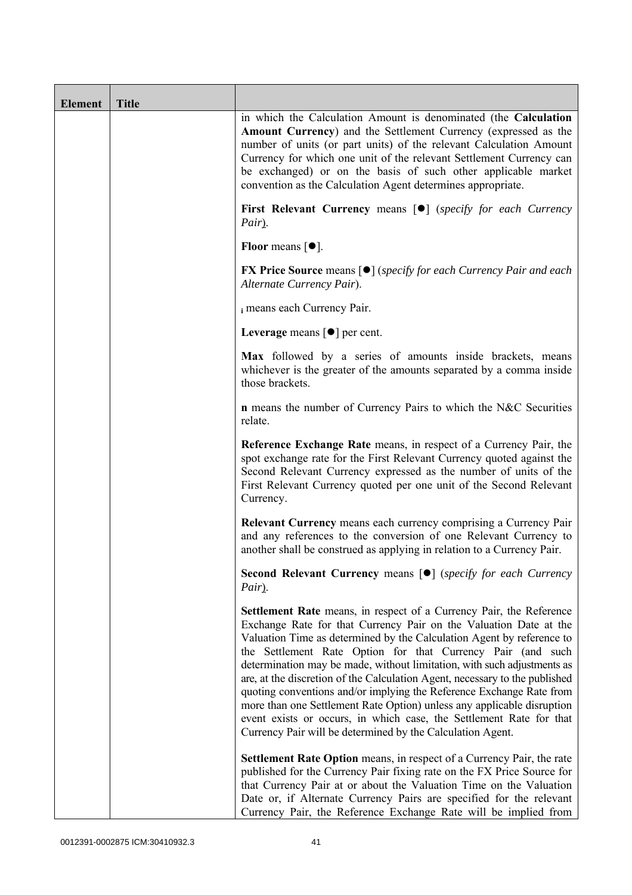| <b>Element</b> | <b>Title</b> |                                                                                                                                                                                                                                                                                                                                                                                                                                                                                                                                                                                                                                                                                                                                          |  |
|----------------|--------------|------------------------------------------------------------------------------------------------------------------------------------------------------------------------------------------------------------------------------------------------------------------------------------------------------------------------------------------------------------------------------------------------------------------------------------------------------------------------------------------------------------------------------------------------------------------------------------------------------------------------------------------------------------------------------------------------------------------------------------------|--|
|                |              | in which the Calculation Amount is denominated (the Calculation<br>Amount Currency) and the Settlement Currency (expressed as the<br>number of units (or part units) of the relevant Calculation Amount<br>Currency for which one unit of the relevant Settlement Currency can<br>be exchanged) or on the basis of such other applicable market<br>convention as the Calculation Agent determines appropriate.                                                                                                                                                                                                                                                                                                                           |  |
|                |              | First Relevant Currency means [ $\bullet$ ] (specify for each Currency<br>Pair).                                                                                                                                                                                                                                                                                                                                                                                                                                                                                                                                                                                                                                                         |  |
|                |              | Floor means $[•]$ .                                                                                                                                                                                                                                                                                                                                                                                                                                                                                                                                                                                                                                                                                                                      |  |
|                |              | <b>FX Price Source</b> means $[\bullet]$ (specify for each Currency Pair and each<br>Alternate Currency Pair).                                                                                                                                                                                                                                                                                                                                                                                                                                                                                                                                                                                                                           |  |
|                |              | i means each Currency Pair.                                                                                                                                                                                                                                                                                                                                                                                                                                                                                                                                                                                                                                                                                                              |  |
|                |              | Leverage means $\lceil \bullet \rceil$ per cent.                                                                                                                                                                                                                                                                                                                                                                                                                                                                                                                                                                                                                                                                                         |  |
|                |              | Max followed by a series of amounts inside brackets, means<br>whichever is the greater of the amounts separated by a comma inside<br>those brackets.                                                                                                                                                                                                                                                                                                                                                                                                                                                                                                                                                                                     |  |
|                |              | <b>n</b> means the number of Currency Pairs to which the N&C Securities<br>relate.                                                                                                                                                                                                                                                                                                                                                                                                                                                                                                                                                                                                                                                       |  |
|                |              | Reference Exchange Rate means, in respect of a Currency Pair, the<br>spot exchange rate for the First Relevant Currency quoted against the<br>Second Relevant Currency expressed as the number of units of the<br>First Relevant Currency quoted per one unit of the Second Relevant<br>Currency.                                                                                                                                                                                                                                                                                                                                                                                                                                        |  |
|                |              | <b>Relevant Currency</b> means each currency comprising a Currency Pair<br>and any references to the conversion of one Relevant Currency to<br>another shall be construed as applying in relation to a Currency Pair.                                                                                                                                                                                                                                                                                                                                                                                                                                                                                                                    |  |
|                |              | <b>Second Relevant Currency means [O]</b> (specify for each Currency<br>Pair).                                                                                                                                                                                                                                                                                                                                                                                                                                                                                                                                                                                                                                                           |  |
|                |              | <b>Settlement Rate</b> means, in respect of a Currency Pair, the Reference<br>Exchange Rate for that Currency Pair on the Valuation Date at the<br>Valuation Time as determined by the Calculation Agent by reference to<br>the Settlement Rate Option for that Currency Pair (and such<br>determination may be made, without limitation, with such adjustments as<br>are, at the discretion of the Calculation Agent, necessary to the published<br>quoting conventions and/or implying the Reference Exchange Rate from<br>more than one Settlement Rate Option) unless any applicable disruption<br>event exists or occurs, in which case, the Settlement Rate for that<br>Currency Pair will be determined by the Calculation Agent. |  |
|                |              | <b>Settlement Rate Option</b> means, in respect of a Currency Pair, the rate<br>published for the Currency Pair fixing rate on the FX Price Source for<br>that Currency Pair at or about the Valuation Time on the Valuation<br>Date or, if Alternate Currency Pairs are specified for the relevant<br>Currency Pair, the Reference Exchange Rate will be implied from                                                                                                                                                                                                                                                                                                                                                                   |  |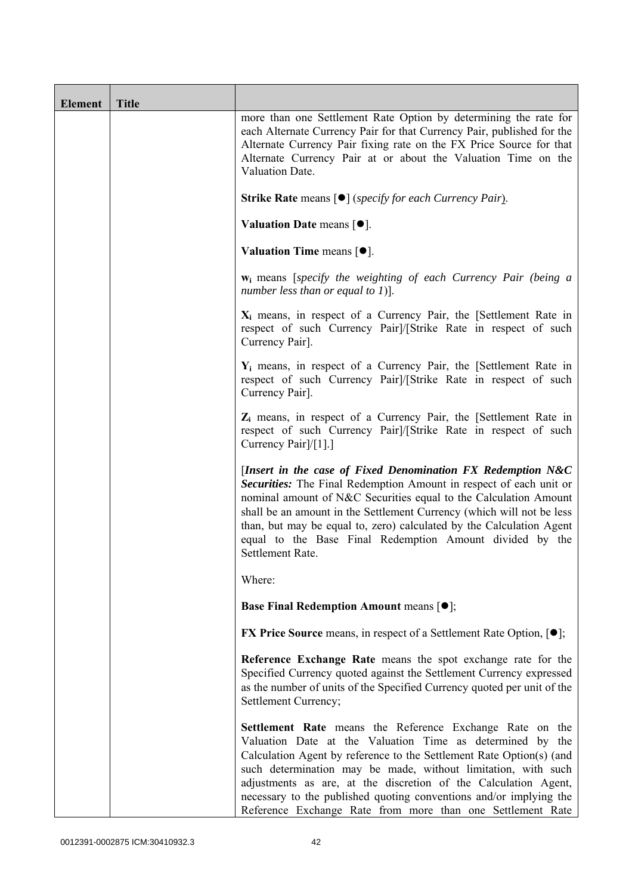| <b>Element</b> | <b>Title</b> |                                                                                                                                                                                                                                                                                                                                                                                                                                                                       |  |
|----------------|--------------|-----------------------------------------------------------------------------------------------------------------------------------------------------------------------------------------------------------------------------------------------------------------------------------------------------------------------------------------------------------------------------------------------------------------------------------------------------------------------|--|
|                |              | more than one Settlement Rate Option by determining the rate for<br>each Alternate Currency Pair for that Currency Pair, published for the<br>Alternate Currency Pair fixing rate on the FX Price Source for that<br>Alternate Currency Pair at or about the Valuation Time on the<br>Valuation Date.                                                                                                                                                                 |  |
|                |              | <b>Strike Rate</b> means $\lceil \bullet \rceil$ ( <i>specify for each Currency Pair</i> ).                                                                                                                                                                                                                                                                                                                                                                           |  |
|                |              | Valuation Date means $[•]$ .                                                                                                                                                                                                                                                                                                                                                                                                                                          |  |
|                |              | Valuation Time means $[•]$ .                                                                                                                                                                                                                                                                                                                                                                                                                                          |  |
|                |              | <b>w</b> <sub>i</sub> means [specify the weighting of each Currency Pair (being a<br>number less than or equal to 1)].                                                                                                                                                                                                                                                                                                                                                |  |
|                |              | $X_i$ means, in respect of a Currency Pair, the [Settlement Rate in<br>respect of such Currency Pairl/[Strike Rate in respect of such<br>Currency Pair].                                                                                                                                                                                                                                                                                                              |  |
|                |              | $Y_i$ means, in respect of a Currency Pair, the [Settlement Rate in<br>respect of such Currency Pairl/[Strike Rate in respect of such<br>Currency Pair].                                                                                                                                                                                                                                                                                                              |  |
|                |              | $Z_i$ means, in respect of a Currency Pair, the [Settlement Rate in<br>respect of such Currency Pairl/[Strike Rate in respect of such<br>Currency Pair]/[1].]                                                                                                                                                                                                                                                                                                         |  |
|                |              | [Insert in the case of Fixed Denomination FX Redemption N&C<br>Securities: The Final Redemption Amount in respect of each unit or<br>nominal amount of N&C Securities equal to the Calculation Amount<br>shall be an amount in the Settlement Currency (which will not be less<br>than, but may be equal to, zero) calculated by the Calculation Agent<br>equal to the Base Final Redemption Amount divided by the<br>Settlement Rate.                                |  |
|                |              | Where:                                                                                                                                                                                                                                                                                                                                                                                                                                                                |  |
|                |              | <b>Base Final Redemption Amount means <math>[①]</math>;</b>                                                                                                                                                                                                                                                                                                                                                                                                           |  |
|                |              | <b>FX Price Source</b> means, in respect of a Settlement Rate Option, $[•]$ ;                                                                                                                                                                                                                                                                                                                                                                                         |  |
|                |              | Reference Exchange Rate means the spot exchange rate for the<br>Specified Currency quoted against the Settlement Currency expressed<br>as the number of units of the Specified Currency quoted per unit of the<br>Settlement Currency;                                                                                                                                                                                                                                |  |
|                |              | Settlement Rate means the Reference Exchange Rate on the<br>Valuation Date at the Valuation Time as determined by the<br>Calculation Agent by reference to the Settlement Rate Option(s) (and<br>such determination may be made, without limitation, with such<br>adjustments as are, at the discretion of the Calculation Agent,<br>necessary to the published quoting conventions and/or implying the<br>Reference Exchange Rate from more than one Settlement Rate |  |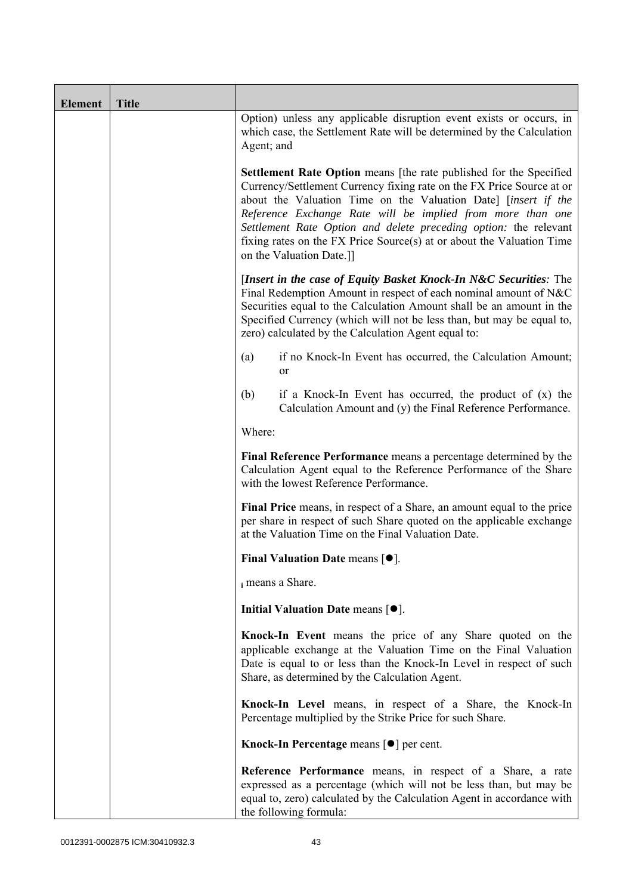| <b>Element</b> | <b>Title</b> |                                                                                                                                                                                                                                                                                                                                                                                                                                                             |  |
|----------------|--------------|-------------------------------------------------------------------------------------------------------------------------------------------------------------------------------------------------------------------------------------------------------------------------------------------------------------------------------------------------------------------------------------------------------------------------------------------------------------|--|
|                |              | Option) unless any applicable disruption event exists or occurs, in<br>which case, the Settlement Rate will be determined by the Calculation<br>Agent; and                                                                                                                                                                                                                                                                                                  |  |
|                |              | <b>Settlement Rate Option</b> means [the rate published for the Specified<br>Currency/Settlement Currency fixing rate on the FX Price Source at or<br>about the Valuation Time on the Valuation Date] [insert if the<br>Reference Exchange Rate will be implied from more than one<br>Settlement Rate Option and delete preceding option: the relevant<br>fixing rates on the FX Price Source(s) at or about the Valuation Time<br>on the Valuation Date.]] |  |
|                |              | [Insert in the case of Equity Basket Knock-In N&C Securities: The<br>Final Redemption Amount in respect of each nominal amount of N&C<br>Securities equal to the Calculation Amount shall be an amount in the<br>Specified Currency (which will not be less than, but may be equal to,<br>zero) calculated by the Calculation Agent equal to:                                                                                                               |  |
|                |              | if no Knock-In Event has occurred, the Calculation Amount;<br>(a)<br>or                                                                                                                                                                                                                                                                                                                                                                                     |  |
|                |              | (b)<br>if a Knock-In Event has occurred, the product of $(x)$ the<br>Calculation Amount and (y) the Final Reference Performance.                                                                                                                                                                                                                                                                                                                            |  |
|                |              | Where:                                                                                                                                                                                                                                                                                                                                                                                                                                                      |  |
|                |              | Final Reference Performance means a percentage determined by the<br>Calculation Agent equal to the Reference Performance of the Share<br>with the lowest Reference Performance.                                                                                                                                                                                                                                                                             |  |
|                |              | Final Price means, in respect of a Share, an amount equal to the price<br>per share in respect of such Share quoted on the applicable exchange<br>at the Valuation Time on the Final Valuation Date.                                                                                                                                                                                                                                                        |  |
|                |              | <b>Final Valuation Date means [<math>\bullet</math>].</b>                                                                                                                                                                                                                                                                                                                                                                                                   |  |
|                |              | i means a Share.                                                                                                                                                                                                                                                                                                                                                                                                                                            |  |
|                |              | Initial Valuation Date means $[•]$ .                                                                                                                                                                                                                                                                                                                                                                                                                        |  |
|                |              | Knock-In Event means the price of any Share quoted on the<br>applicable exchange at the Valuation Time on the Final Valuation<br>Date is equal to or less than the Knock-In Level in respect of such<br>Share, as determined by the Calculation Agent.                                                                                                                                                                                                      |  |
|                |              | Knock-In Level means, in respect of a Share, the Knock-In<br>Percentage multiplied by the Strike Price for such Share.                                                                                                                                                                                                                                                                                                                                      |  |
|                |              | Knock-In Percentage means [●] per cent.                                                                                                                                                                                                                                                                                                                                                                                                                     |  |
|                |              | Reference Performance means, in respect of a Share, a rate<br>expressed as a percentage (which will not be less than, but may be<br>equal to, zero) calculated by the Calculation Agent in accordance with<br>the following formula:                                                                                                                                                                                                                        |  |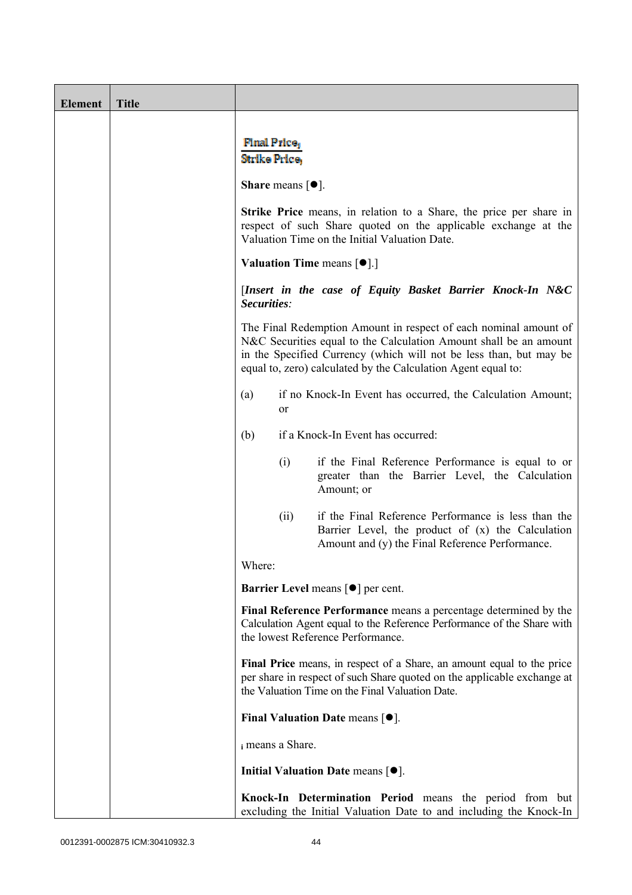| <b>Element</b> | <b>Title</b> |                                                                                                                                                                                                                                                                              |  |
|----------------|--------------|------------------------------------------------------------------------------------------------------------------------------------------------------------------------------------------------------------------------------------------------------------------------------|--|
|                |              |                                                                                                                                                                                                                                                                              |  |
|                |              | <b>Final Price</b><br>Strike Price,                                                                                                                                                                                                                                          |  |
|                |              |                                                                                                                                                                                                                                                                              |  |
|                |              | <b>Share</b> means $\lceil \bullet \rceil$ .                                                                                                                                                                                                                                 |  |
|                |              | <b>Strike Price</b> means, in relation to a Share, the price per share in<br>respect of such Share quoted on the applicable exchange at the<br>Valuation Time on the Initial Valuation Date.                                                                                 |  |
|                |              | Valuation Time means [ $\bullet$ ].]                                                                                                                                                                                                                                         |  |
|                |              | [Insert in the case of Equity Basket Barrier Knock-In N&C<br>Securities:                                                                                                                                                                                                     |  |
|                |              | The Final Redemption Amount in respect of each nominal amount of<br>N&C Securities equal to the Calculation Amount shall be an amount<br>in the Specified Currency (which will not be less than, but may be<br>equal to, zero) calculated by the Calculation Agent equal to: |  |
|                |              | if no Knock-In Event has occurred, the Calculation Amount;<br>(a)<br><sub>or</sub>                                                                                                                                                                                           |  |
|                |              | if a Knock-In Event has occurred:<br>(b)                                                                                                                                                                                                                                     |  |
|                |              | (i)<br>if the Final Reference Performance is equal to or<br>greater than the Barrier Level, the Calculation<br>Amount; or                                                                                                                                                    |  |
|                |              | if the Final Reference Performance is less than the<br>(ii)<br>Barrier Level, the product of $(x)$ the Calculation<br>Amount and (y) the Final Reference Performance.                                                                                                        |  |
|                |              | Where:                                                                                                                                                                                                                                                                       |  |
|                |              | Barrier Level means [ <sup>•</sup> ] per cent.                                                                                                                                                                                                                               |  |
|                |              | Final Reference Performance means a percentage determined by the<br>Calculation Agent equal to the Reference Performance of the Share with<br>the lowest Reference Performance.                                                                                              |  |
|                |              | Final Price means, in respect of a Share, an amount equal to the price<br>per share in respect of such Share quoted on the applicable exchange at<br>the Valuation Time on the Final Valuation Date.                                                                         |  |
|                |              | Final Valuation Date means [ $\bullet$ ].                                                                                                                                                                                                                                    |  |
|                |              | i means a Share.                                                                                                                                                                                                                                                             |  |
|                |              | Initial Valuation Date means $[•]$ .                                                                                                                                                                                                                                         |  |
|                |              | Knock-In Determination Period means the period from but<br>excluding the Initial Valuation Date to and including the Knock-In                                                                                                                                                |  |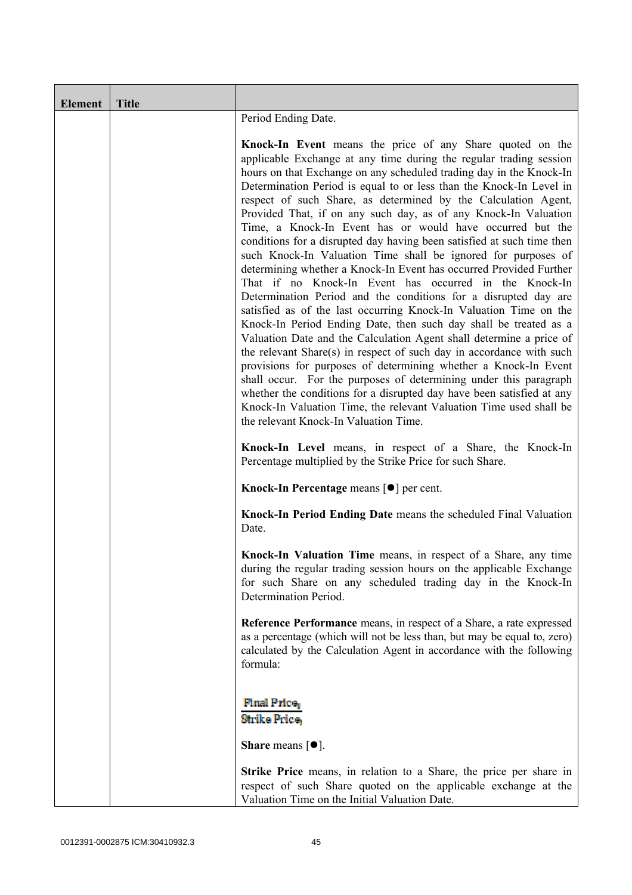| <b>Element</b> | <b>Title</b> |                                                                                                                                                                                                                                                                                                                                                                                                                                                                                                                                                                                                                                                                                                                                                                                                                                                                                                                                                                                                                                                                                                                                                                                                                                                                                                                                                                                                                                                       |  |
|----------------|--------------|-------------------------------------------------------------------------------------------------------------------------------------------------------------------------------------------------------------------------------------------------------------------------------------------------------------------------------------------------------------------------------------------------------------------------------------------------------------------------------------------------------------------------------------------------------------------------------------------------------------------------------------------------------------------------------------------------------------------------------------------------------------------------------------------------------------------------------------------------------------------------------------------------------------------------------------------------------------------------------------------------------------------------------------------------------------------------------------------------------------------------------------------------------------------------------------------------------------------------------------------------------------------------------------------------------------------------------------------------------------------------------------------------------------------------------------------------------|--|
|                |              | Period Ending Date.                                                                                                                                                                                                                                                                                                                                                                                                                                                                                                                                                                                                                                                                                                                                                                                                                                                                                                                                                                                                                                                                                                                                                                                                                                                                                                                                                                                                                                   |  |
|                |              | Knock-In Event means the price of any Share quoted on the<br>applicable Exchange at any time during the regular trading session<br>hours on that Exchange on any scheduled trading day in the Knock-In<br>Determination Period is equal to or less than the Knock-In Level in<br>respect of such Share, as determined by the Calculation Agent,<br>Provided That, if on any such day, as of any Knock-In Valuation<br>Time, a Knock-In Event has or would have occurred but the<br>conditions for a disrupted day having been satisfied at such time then<br>such Knock-In Valuation Time shall be ignored for purposes of<br>determining whether a Knock-In Event has occurred Provided Further<br>That if no Knock-In Event has occurred in the Knock-In<br>Determination Period and the conditions for a disrupted day are<br>satisfied as of the last occurring Knock-In Valuation Time on the<br>Knock-In Period Ending Date, then such day shall be treated as a<br>Valuation Date and the Calculation Agent shall determine a price of<br>the relevant Share(s) in respect of such day in accordance with such<br>provisions for purposes of determining whether a Knock-In Event<br>shall occur. For the purposes of determining under this paragraph<br>whether the conditions for a disrupted day have been satisfied at any<br>Knock-In Valuation Time, the relevant Valuation Time used shall be<br>the relevant Knock-In Valuation Time. |  |
|                |              | Knock-In Level means, in respect of a Share, the Knock-In<br>Percentage multiplied by the Strike Price for such Share.                                                                                                                                                                                                                                                                                                                                                                                                                                                                                                                                                                                                                                                                                                                                                                                                                                                                                                                                                                                                                                                                                                                                                                                                                                                                                                                                |  |
|                |              | Knock-In Percentage means [ <sup>●</sup> ] per cent.                                                                                                                                                                                                                                                                                                                                                                                                                                                                                                                                                                                                                                                                                                                                                                                                                                                                                                                                                                                                                                                                                                                                                                                                                                                                                                                                                                                                  |  |
|                |              | Knock-In Period Ending Date means the scheduled Final Valuation<br>Date.                                                                                                                                                                                                                                                                                                                                                                                                                                                                                                                                                                                                                                                                                                                                                                                                                                                                                                                                                                                                                                                                                                                                                                                                                                                                                                                                                                              |  |
|                |              | Knock-In Valuation Time means, in respect of a Share, any time<br>during the regular trading session hours on the applicable Exchange<br>for such Share on any scheduled trading day in the Knock-In<br>Determination Period.                                                                                                                                                                                                                                                                                                                                                                                                                                                                                                                                                                                                                                                                                                                                                                                                                                                                                                                                                                                                                                                                                                                                                                                                                         |  |
|                |              | Reference Performance means, in respect of a Share, a rate expressed<br>as a percentage (which will not be less than, but may be equal to, zero)<br>calculated by the Calculation Agent in accordance with the following<br>formula:                                                                                                                                                                                                                                                                                                                                                                                                                                                                                                                                                                                                                                                                                                                                                                                                                                                                                                                                                                                                                                                                                                                                                                                                                  |  |
|                |              | <b>Final Price</b><br><b>Strike Price,</b><br><b>Share</b> means $\lceil \bullet \rceil$ .                                                                                                                                                                                                                                                                                                                                                                                                                                                                                                                                                                                                                                                                                                                                                                                                                                                                                                                                                                                                                                                                                                                                                                                                                                                                                                                                                            |  |
|                |              | <b>Strike Price</b> means, in relation to a Share, the price per share in<br>respect of such Share quoted on the applicable exchange at the<br>Valuation Time on the Initial Valuation Date.                                                                                                                                                                                                                                                                                                                                                                                                                                                                                                                                                                                                                                                                                                                                                                                                                                                                                                                                                                                                                                                                                                                                                                                                                                                          |  |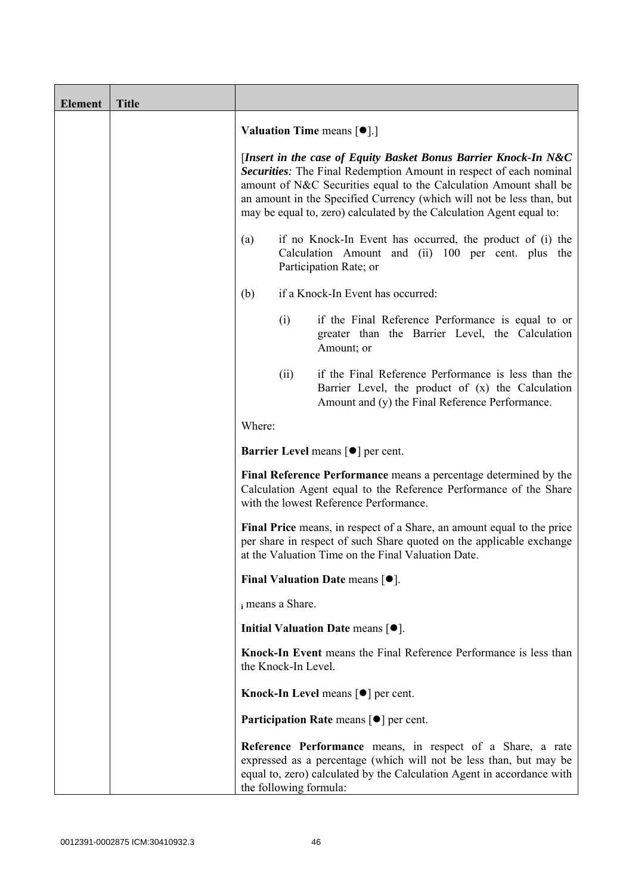| <b>Element</b> | <b>Title</b> |                                                                                                                                                                                                                                                                                                                                                                    |  |  |
|----------------|--------------|--------------------------------------------------------------------------------------------------------------------------------------------------------------------------------------------------------------------------------------------------------------------------------------------------------------------------------------------------------------------|--|--|
|                |              | <b>Valuation Time means <math>[\bullet]</math>.</b> ]                                                                                                                                                                                                                                                                                                              |  |  |
|                |              | [Insert in the case of Equity Basket Bonus Barrier Knock-In N&C<br><b>Securities:</b> The Final Redemption Amount in respect of each nominal<br>amount of N&C Securities equal to the Calculation Amount shall be<br>an amount in the Specified Currency (which will not be less than, but<br>may be equal to, zero) calculated by the Calculation Agent equal to: |  |  |
|                |              | if no Knock-In Event has occurred, the product of (i) the<br>(a)<br>Calculation Amount and (ii) 100 per cent. plus the<br>Participation Rate; or                                                                                                                                                                                                                   |  |  |
|                |              | if a Knock-In Event has occurred:<br>(b)                                                                                                                                                                                                                                                                                                                           |  |  |
|                |              | (i)<br>if the Final Reference Performance is equal to or<br>greater than the Barrier Level, the Calculation<br>Amount; or                                                                                                                                                                                                                                          |  |  |
|                |              | if the Final Reference Performance is less than the<br>(ii)<br>Barrier Level, the product of (x) the Calculation<br>Amount and (y) the Final Reference Performance.                                                                                                                                                                                                |  |  |
|                |              | Where:                                                                                                                                                                                                                                                                                                                                                             |  |  |
|                |              | <b>Barrier Level</b> means $\lceil \bullet \rceil$ per cent.                                                                                                                                                                                                                                                                                                       |  |  |
|                |              | Final Reference Performance means a percentage determined by the<br>Calculation Agent equal to the Reference Performance of the Share<br>with the lowest Reference Performance.                                                                                                                                                                                    |  |  |
|                |              | Final Price means, in respect of a Share, an amount equal to the price<br>per share in respect of such Share quoted on the applicable exchange<br>at the Valuation Time on the Final Valuation Date.                                                                                                                                                               |  |  |
|                |              | <b>Final Valuation Date means <math>[•]</math>.</b>                                                                                                                                                                                                                                                                                                                |  |  |
|                |              | i means a Share.                                                                                                                                                                                                                                                                                                                                                   |  |  |
|                |              | Initial Valuation Date means [ $\bullet$ ].                                                                                                                                                                                                                                                                                                                        |  |  |
|                |              | Knock-In Event means the Final Reference Performance is less than<br>the Knock-In Level.                                                                                                                                                                                                                                                                           |  |  |
|                |              | Knock-In Level means $\lceil \bullet \rceil$ per cent.                                                                                                                                                                                                                                                                                                             |  |  |
|                |              | <b>Participation Rate means <math>\lceil \bullet \rceil</math> per cent.</b>                                                                                                                                                                                                                                                                                       |  |  |
|                |              | Reference Performance means, in respect of a Share, a rate<br>expressed as a percentage (which will not be less than, but may be<br>equal to, zero) calculated by the Calculation Agent in accordance with<br>the following formula:                                                                                                                               |  |  |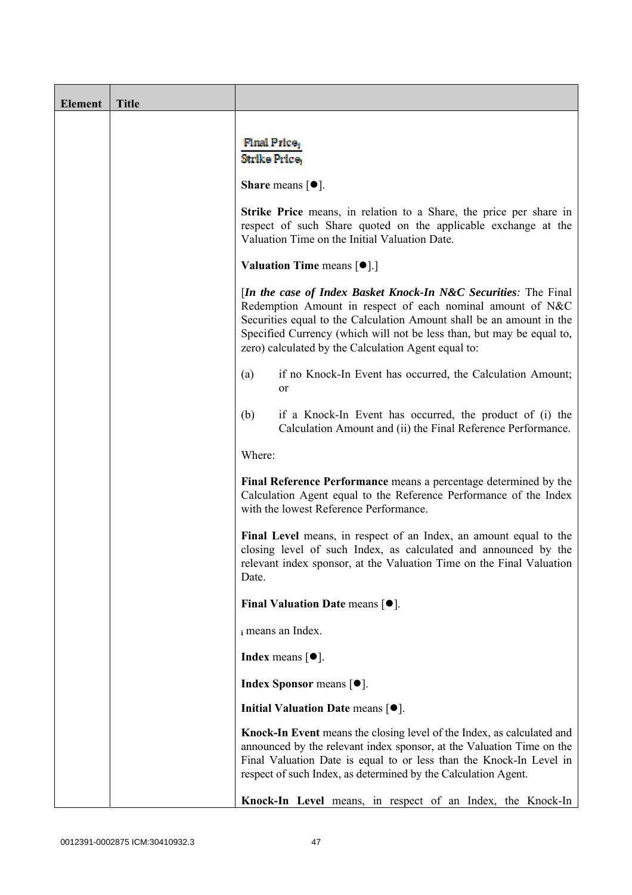| <b>Element</b> | <b>Title</b> |                                                                                                                                                                                                                                                                                                                                       |  |  |
|----------------|--------------|---------------------------------------------------------------------------------------------------------------------------------------------------------------------------------------------------------------------------------------------------------------------------------------------------------------------------------------|--|--|
|                |              | <b>Final Price</b><br>Strike Price.                                                                                                                                                                                                                                                                                                   |  |  |
|                |              | <b>Share</b> means $\lceil \bullet \rceil$ .                                                                                                                                                                                                                                                                                          |  |  |
|                |              | <b>Strike Price</b> means, in relation to a Share, the price per share in<br>respect of such Share quoted on the applicable exchange at the<br>Valuation Time on the Initial Valuation Date.                                                                                                                                          |  |  |
|                |              | <b>Valuation Time means <math>\lceil \bullet \rceil</math>.</b>                                                                                                                                                                                                                                                                       |  |  |
|                |              | [In the case of Index Basket Knock-In N&C Securities: The Final<br>Redemption Amount in respect of each nominal amount of N&C<br>Securities equal to the Calculation Amount shall be an amount in the<br>Specified Currency (which will not be less than, but may be equal to,<br>zero) calculated by the Calculation Agent equal to: |  |  |
|                |              | if no Knock-In Event has occurred, the Calculation Amount;<br>(a)<br>or                                                                                                                                                                                                                                                               |  |  |
|                |              | if a Knock-In Event has occurred, the product of (i) the<br>(b)<br>Calculation Amount and (ii) the Final Reference Performance.                                                                                                                                                                                                       |  |  |
|                |              | Where:                                                                                                                                                                                                                                                                                                                                |  |  |
|                |              | Final Reference Performance means a percentage determined by the<br>Calculation Agent equal to the Reference Performance of the Index<br>with the lowest Reference Performance.                                                                                                                                                       |  |  |
|                |              | Final Level means, in respect of an Index, an amount equal to the<br>closing level of such Index, as calculated and announced by the<br>relevant index sponsor, at the Valuation Time on the Final Valuation<br>Date.                                                                                                                 |  |  |
|                |              | Final Valuation Date means $[•]$ .                                                                                                                                                                                                                                                                                                    |  |  |
|                |              | i means an Index.                                                                                                                                                                                                                                                                                                                     |  |  |
|                |              | <b>Index</b> means $\lceil \bullet \rceil$ .                                                                                                                                                                                                                                                                                          |  |  |
|                |              | <b>Index Sponsor</b> means $[•]$ .                                                                                                                                                                                                                                                                                                    |  |  |
|                |              | Initial Valuation Date means $[•]$ .                                                                                                                                                                                                                                                                                                  |  |  |
|                |              | Knock-In Event means the closing level of the Index, as calculated and<br>announced by the relevant index sponsor, at the Valuation Time on the<br>Final Valuation Date is equal to or less than the Knock-In Level in<br>respect of such Index, as determined by the Calculation Agent.                                              |  |  |
|                |              | Knock-In Level means, in respect of an Index, the Knock-In                                                                                                                                                                                                                                                                            |  |  |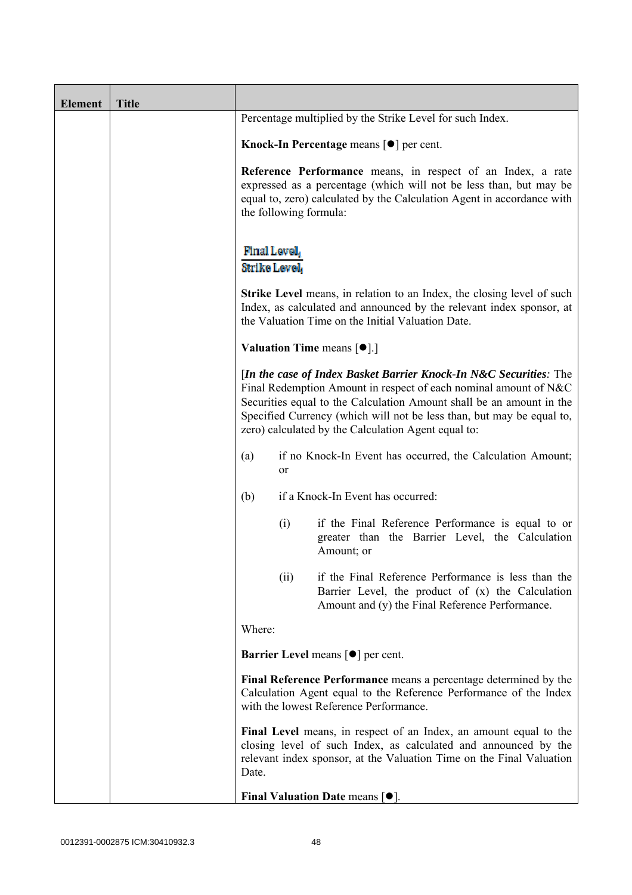| <b>Element</b> | <b>Title</b> |                                                                                                                                                                                                                                                                                                                                               |                                                                                                                                                             |  |
|----------------|--------------|-----------------------------------------------------------------------------------------------------------------------------------------------------------------------------------------------------------------------------------------------------------------------------------------------------------------------------------------------|-------------------------------------------------------------------------------------------------------------------------------------------------------------|--|
|                |              | Percentage multiplied by the Strike Level for such Index.                                                                                                                                                                                                                                                                                     |                                                                                                                                                             |  |
|                |              | Knock-In Percentage means $\lceil \bullet \rceil$ per cent.                                                                                                                                                                                                                                                                                   |                                                                                                                                                             |  |
|                |              | Reference Performance means, in respect of an Index, a rate<br>expressed as a percentage (which will not be less than, but may be<br>equal to, zero) calculated by the Calculation Agent in accordance with<br>the following formula:                                                                                                         |                                                                                                                                                             |  |
|                |              | Final Level,<br>Strike Level,                                                                                                                                                                                                                                                                                                                 |                                                                                                                                                             |  |
|                |              | Strike Level means, in relation to an Index, the closing level of such<br>Index, as calculated and announced by the relevant index sponsor, at<br>the Valuation Time on the Initial Valuation Date.                                                                                                                                           |                                                                                                                                                             |  |
|                |              | <b>Valuation Time means <math>[\bullet]</math>.</b> ]                                                                                                                                                                                                                                                                                         |                                                                                                                                                             |  |
|                |              | [In the case of Index Basket Barrier Knock-In N&C Securities: The<br>Final Redemption Amount in respect of each nominal amount of N&C<br>Securities equal to the Calculation Amount shall be an amount in the<br>Specified Currency (which will not be less than, but may be equal to,<br>zero) calculated by the Calculation Agent equal to: |                                                                                                                                                             |  |
|                |              | if no Knock-In Event has occurred, the Calculation Amount;<br>(a)<br>or                                                                                                                                                                                                                                                                       |                                                                                                                                                             |  |
|                |              | if a Knock-In Event has occurred:<br>(b)                                                                                                                                                                                                                                                                                                      |                                                                                                                                                             |  |
|                |              | (i)<br>Amount; or                                                                                                                                                                                                                                                                                                                             | if the Final Reference Performance is equal to or<br>greater than the Barrier Level, the Calculation                                                        |  |
|                |              | (ii)                                                                                                                                                                                                                                                                                                                                          | if the Final Reference Performance is less than the<br>Barrier Level, the product of (x) the Calculation<br>Amount and (y) the Final Reference Performance. |  |
|                |              | Where:                                                                                                                                                                                                                                                                                                                                        |                                                                                                                                                             |  |
|                |              | <b>Barrier Level means [<math>\bullet</math>] per cent.</b>                                                                                                                                                                                                                                                                                   |                                                                                                                                                             |  |
|                |              | Final Reference Performance means a percentage determined by the<br>Calculation Agent equal to the Reference Performance of the Index<br>with the lowest Reference Performance.                                                                                                                                                               |                                                                                                                                                             |  |
|                |              | Final Level means, in respect of an Index, an amount equal to the<br>closing level of such Index, as calculated and announced by the<br>relevant index sponsor, at the Valuation Time on the Final Valuation<br>Date.                                                                                                                         |                                                                                                                                                             |  |
|                |              | Final Valuation Date means $[•]$ .                                                                                                                                                                                                                                                                                                            |                                                                                                                                                             |  |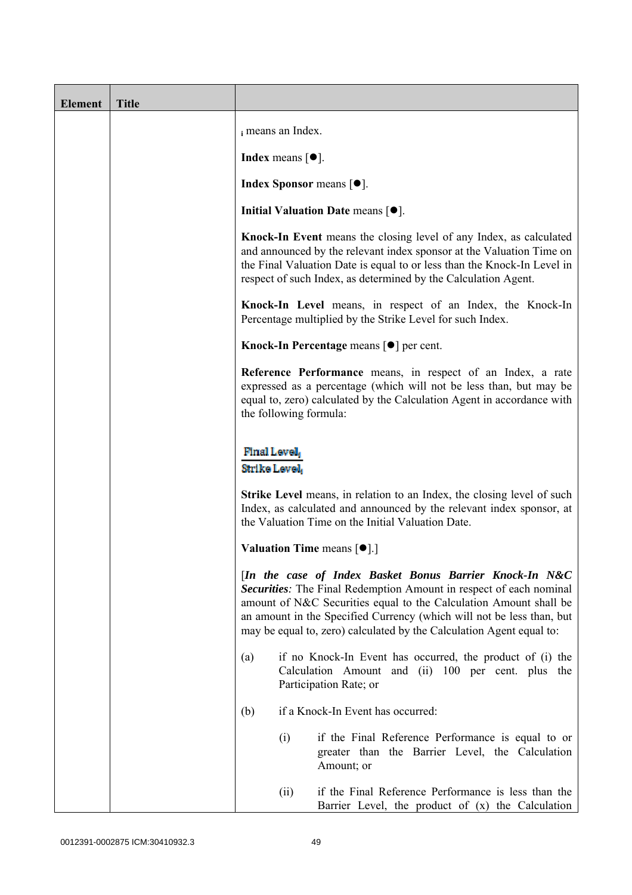| <b>Element</b> | <b>Title</b> |                                                                                                                                                                                                                                                                                                                                                                                                                        |      |                                                                                                                                                                                                                                                                                         |
|----------------|--------------|------------------------------------------------------------------------------------------------------------------------------------------------------------------------------------------------------------------------------------------------------------------------------------------------------------------------------------------------------------------------------------------------------------------------|------|-----------------------------------------------------------------------------------------------------------------------------------------------------------------------------------------------------------------------------------------------------------------------------------------|
|                |              | i means an Index.                                                                                                                                                                                                                                                                                                                                                                                                      |      |                                                                                                                                                                                                                                                                                         |
|                |              | <b>Index</b> means $\lceil \bullet \rceil$ .                                                                                                                                                                                                                                                                                                                                                                           |      |                                                                                                                                                                                                                                                                                         |
|                |              | <b>Index Sponsor</b> means $[•]$ .                                                                                                                                                                                                                                                                                                                                                                                     |      |                                                                                                                                                                                                                                                                                         |
|                |              |                                                                                                                                                                                                                                                                                                                                                                                                                        |      | Initial Valuation Date means $[•]$ .                                                                                                                                                                                                                                                    |
|                |              |                                                                                                                                                                                                                                                                                                                                                                                                                        |      | Knock-In Event means the closing level of any Index, as calculated<br>and announced by the relevant index sponsor at the Valuation Time on<br>the Final Valuation Date is equal to or less than the Knock-In Level in<br>respect of such Index, as determined by the Calculation Agent. |
|                |              |                                                                                                                                                                                                                                                                                                                                                                                                                        |      | Knock-In Level means, in respect of an Index, the Knock-In<br>Percentage multiplied by the Strike Level for such Index.                                                                                                                                                                 |
|                |              |                                                                                                                                                                                                                                                                                                                                                                                                                        |      | Knock-In Percentage means [●] per cent.                                                                                                                                                                                                                                                 |
|                |              | Reference Performance means, in respect of an Index, a rate<br>expressed as a percentage (which will not be less than, but may be<br>equal to, zero) calculated by the Calculation Agent in accordance with<br>the following formula:<br>Final Level,<br>Strike Level                                                                                                                                                  |      |                                                                                                                                                                                                                                                                                         |
|                |              |                                                                                                                                                                                                                                                                                                                                                                                                                        |      |                                                                                                                                                                                                                                                                                         |
|                |              | <b>Strike Level</b> means, in relation to an Index, the closing level of such<br>Index, as calculated and announced by the relevant index sponsor, at<br>the Valuation Time on the Initial Valuation Date.                                                                                                                                                                                                             |      |                                                                                                                                                                                                                                                                                         |
|                |              | <b>Valuation Time means <math>\lceil \bullet \rceil</math>.</b><br>[In the case of Index Basket Bonus Barrier Knock-In N&C<br>Securities: The Final Redemption Amount in respect of each nominal<br>amount of N&C Securities equal to the Calculation Amount shall be<br>an amount in the Specified Currency (which will not be less than, but<br>may be equal to, zero) calculated by the Calculation Agent equal to: |      |                                                                                                                                                                                                                                                                                         |
|                |              |                                                                                                                                                                                                                                                                                                                                                                                                                        |      |                                                                                                                                                                                                                                                                                         |
|                |              | (a)                                                                                                                                                                                                                                                                                                                                                                                                                    |      | if no Knock-In Event has occurred, the product of (i) the<br>Calculation Amount and (ii) 100 per cent. plus the<br>Participation Rate; or                                                                                                                                               |
|                |              | (b)                                                                                                                                                                                                                                                                                                                                                                                                                    |      | if a Knock-In Event has occurred:                                                                                                                                                                                                                                                       |
|                |              |                                                                                                                                                                                                                                                                                                                                                                                                                        | (i)  | if the Final Reference Performance is equal to or<br>greater than the Barrier Level, the Calculation<br>Amount; or                                                                                                                                                                      |
|                |              |                                                                                                                                                                                                                                                                                                                                                                                                                        | (ii) | if the Final Reference Performance is less than the<br>Barrier Level, the product of $(x)$ the Calculation                                                                                                                                                                              |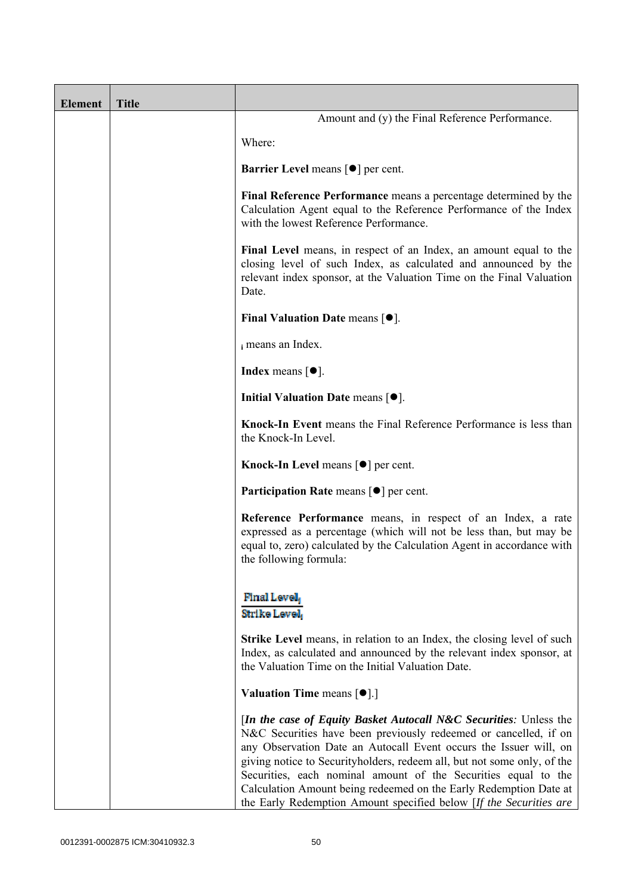| <b>Element</b> | <b>Title</b> |                                                                                                                                                                                                                                                                                                                                                                                                                                                                                                              |
|----------------|--------------|--------------------------------------------------------------------------------------------------------------------------------------------------------------------------------------------------------------------------------------------------------------------------------------------------------------------------------------------------------------------------------------------------------------------------------------------------------------------------------------------------------------|
|                |              | Amount and (y) the Final Reference Performance.                                                                                                                                                                                                                                                                                                                                                                                                                                                              |
|                |              | Where:                                                                                                                                                                                                                                                                                                                                                                                                                                                                                                       |
|                |              | <b>Barrier Level</b> means $\lceil \bullet \rceil$ per cent.                                                                                                                                                                                                                                                                                                                                                                                                                                                 |
|                |              | Final Reference Performance means a percentage determined by the<br>Calculation Agent equal to the Reference Performance of the Index<br>with the lowest Reference Performance.                                                                                                                                                                                                                                                                                                                              |
|                |              | Final Level means, in respect of an Index, an amount equal to the<br>closing level of such Index, as calculated and announced by the<br>relevant index sponsor, at the Valuation Time on the Final Valuation<br>Date.                                                                                                                                                                                                                                                                                        |
|                |              | Final Valuation Date means $[•]$ .                                                                                                                                                                                                                                                                                                                                                                                                                                                                           |
|                |              | i means an Index.                                                                                                                                                                                                                                                                                                                                                                                                                                                                                            |
|                |              | <b>Index</b> means $\lceil \bullet \rceil$ .                                                                                                                                                                                                                                                                                                                                                                                                                                                                 |
|                |              | Initial Valuation Date means $[•]$ .                                                                                                                                                                                                                                                                                                                                                                                                                                                                         |
|                |              | Knock-In Event means the Final Reference Performance is less than<br>the Knock-In Level.                                                                                                                                                                                                                                                                                                                                                                                                                     |
|                |              | <b>Knock-In Level means <math>\lceil \bullet \rceil</math> per cent.</b>                                                                                                                                                                                                                                                                                                                                                                                                                                     |
|                |              | <b>Participation Rate</b> means $\lceil \bullet \rceil$ per cent.                                                                                                                                                                                                                                                                                                                                                                                                                                            |
|                |              | Reference Performance means, in respect of an Index, a rate<br>expressed as a percentage (which will not be less than, but may be<br>equal to, zero) calculated by the Calculation Agent in accordance with<br>the following formula:                                                                                                                                                                                                                                                                        |
|                |              | Final Level,<br>Strike Level                                                                                                                                                                                                                                                                                                                                                                                                                                                                                 |
|                |              | <b>Strike Level</b> means, in relation to an Index, the closing level of such<br>Index, as calculated and announced by the relevant index sponsor, at<br>the Valuation Time on the Initial Valuation Date.                                                                                                                                                                                                                                                                                                   |
|                |              | Valuation Time means [ $\bullet$ ].]                                                                                                                                                                                                                                                                                                                                                                                                                                                                         |
|                |              | <i>In the case of Equity Basket Autocall N&amp;C Securities: Unless the</i><br>N&C Securities have been previously redeemed or cancelled, if on<br>any Observation Date an Autocall Event occurs the Issuer will, on<br>giving notice to Securityholders, redeem all, but not some only, of the<br>Securities, each nominal amount of the Securities equal to the<br>Calculation Amount being redeemed on the Early Redemption Date at<br>the Early Redemption Amount specified below [If the Securities are |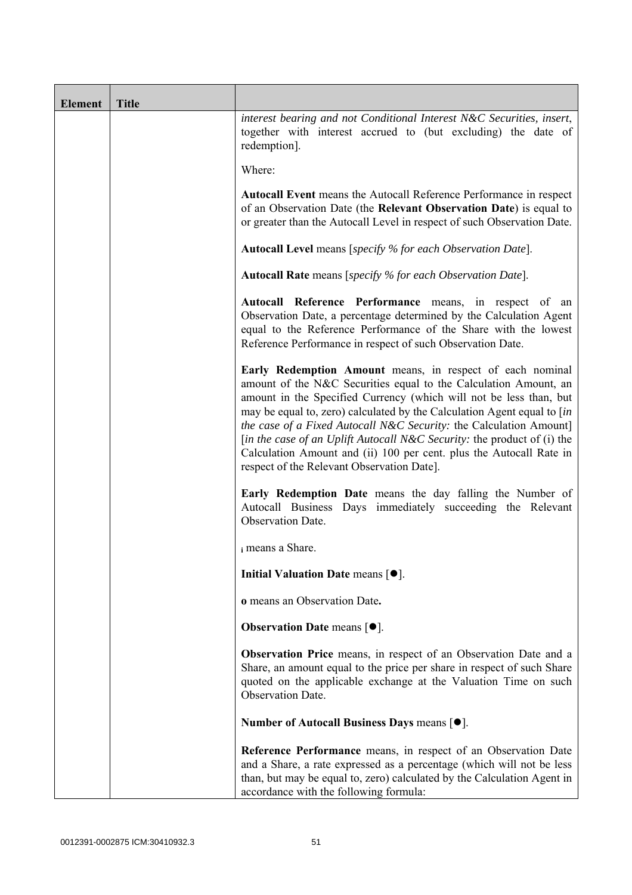| <b>Element</b> | <b>Title</b> |                                                                                                                                                                                                                                                                                                                                                                                                                                                                                                                                                       |  |
|----------------|--------------|-------------------------------------------------------------------------------------------------------------------------------------------------------------------------------------------------------------------------------------------------------------------------------------------------------------------------------------------------------------------------------------------------------------------------------------------------------------------------------------------------------------------------------------------------------|--|
|                |              | interest bearing and not Conditional Interest N&C Securities, insert,<br>together with interest accrued to (but excluding) the date of<br>redemption].                                                                                                                                                                                                                                                                                                                                                                                                |  |
|                |              | Where:                                                                                                                                                                                                                                                                                                                                                                                                                                                                                                                                                |  |
|                |              | <b>Autocall Event</b> means the Autocall Reference Performance in respect<br>of an Observation Date (the Relevant Observation Date) is equal to<br>or greater than the Autocall Level in respect of such Observation Date.                                                                                                                                                                                                                                                                                                                            |  |
|                |              | <b>Autocall Level</b> means [specify % for each Observation Date].                                                                                                                                                                                                                                                                                                                                                                                                                                                                                    |  |
|                |              | <b>Autocall Rate</b> means [specify % for each Observation Date].                                                                                                                                                                                                                                                                                                                                                                                                                                                                                     |  |
|                |              | Autocall Reference Performance means, in respect of an<br>Observation Date, a percentage determined by the Calculation Agent<br>equal to the Reference Performance of the Share with the lowest<br>Reference Performance in respect of such Observation Date.                                                                                                                                                                                                                                                                                         |  |
|                |              | Early Redemption Amount means, in respect of each nominal<br>amount of the N&C Securities equal to the Calculation Amount, an<br>amount in the Specified Currency (which will not be less than, but<br>may be equal to, zero) calculated by the Calculation Agent equal to [in]<br>the case of a Fixed Autocall N&C Security: the Calculation Amount]<br>[in the case of an Uplift Autocall N&C Security: the product of (i) the<br>Calculation Amount and (ii) 100 per cent. plus the Autocall Rate in<br>respect of the Relevant Observation Date]. |  |
|                |              | Early Redemption Date means the day falling the Number of<br>Autocall Business Days immediately succeeding the Relevant<br>Observation Date.                                                                                                                                                                                                                                                                                                                                                                                                          |  |
|                |              | i means a Share.                                                                                                                                                                                                                                                                                                                                                                                                                                                                                                                                      |  |
|                |              | Initial Valuation Date means $[•]$ .                                                                                                                                                                                                                                                                                                                                                                                                                                                                                                                  |  |
|                |              | o means an Observation Date.                                                                                                                                                                                                                                                                                                                                                                                                                                                                                                                          |  |
|                |              | <b>Observation Date means <math>\lceil \bullet \rceil</math>.</b>                                                                                                                                                                                                                                                                                                                                                                                                                                                                                     |  |
|                |              | Observation Price means, in respect of an Observation Date and a<br>Share, an amount equal to the price per share in respect of such Share<br>quoted on the applicable exchange at the Valuation Time on such<br>Observation Date.                                                                                                                                                                                                                                                                                                                    |  |
|                |              | Number of Autocall Business Days means [●].                                                                                                                                                                                                                                                                                                                                                                                                                                                                                                           |  |
|                |              | Reference Performance means, in respect of an Observation Date<br>and a Share, a rate expressed as a percentage (which will not be less<br>than, but may be equal to, zero) calculated by the Calculation Agent in<br>accordance with the following formula:                                                                                                                                                                                                                                                                                          |  |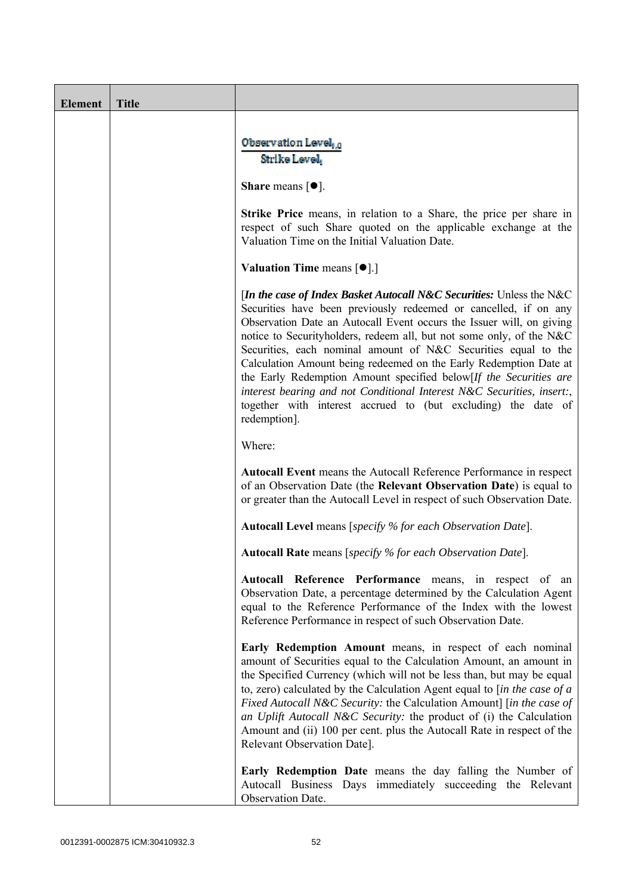| <b>Element</b> | <b>Title</b> |                                                                                                                                                                                                                                                                                                                                                                                                                                                                                                                                                                                                                                                                 |  |
|----------------|--------------|-----------------------------------------------------------------------------------------------------------------------------------------------------------------------------------------------------------------------------------------------------------------------------------------------------------------------------------------------------------------------------------------------------------------------------------------------------------------------------------------------------------------------------------------------------------------------------------------------------------------------------------------------------------------|--|
|                |              | Observation Level, o<br>Strike Level                                                                                                                                                                                                                                                                                                                                                                                                                                                                                                                                                                                                                            |  |
|                |              | <b>Share</b> means $[①]$ .                                                                                                                                                                                                                                                                                                                                                                                                                                                                                                                                                                                                                                      |  |
|                |              | <b>Strike Price</b> means, in relation to a Share, the price per share in<br>respect of such Share quoted on the applicable exchange at the<br>Valuation Time on the Initial Valuation Date.                                                                                                                                                                                                                                                                                                                                                                                                                                                                    |  |
|                |              | <b>Valuation Time means <math>[\bullet]</math>.</b> ]                                                                                                                                                                                                                                                                                                                                                                                                                                                                                                                                                                                                           |  |
|                |              | [In the case of Index Basket Autocall N&C Securities: Unless the N&C<br>Securities have been previously redeemed or cancelled, if on any<br>Observation Date an Autocall Event occurs the Issuer will, on giving<br>notice to Securityholders, redeem all, but not some only, of the N&C<br>Securities, each nominal amount of N&C Securities equal to the<br>Calculation Amount being redeemed on the Early Redemption Date at<br>the Early Redemption Amount specified below[If the Securities are<br>interest bearing and not Conditional Interest N&C Securities, insert:,<br>together with interest accrued to (but excluding) the date of<br>redemption]. |  |
|                |              | Where:                                                                                                                                                                                                                                                                                                                                                                                                                                                                                                                                                                                                                                                          |  |
|                |              | <b>Autocall Event</b> means the Autocall Reference Performance in respect<br>of an Observation Date (the Relevant Observation Date) is equal to<br>or greater than the Autocall Level in respect of such Observation Date.                                                                                                                                                                                                                                                                                                                                                                                                                                      |  |
|                |              | <b>Autocall Level</b> means [specify % for each Observation Date].                                                                                                                                                                                                                                                                                                                                                                                                                                                                                                                                                                                              |  |
|                |              | <b>Autocall Rate</b> means [specify % for each Observation Date].                                                                                                                                                                                                                                                                                                                                                                                                                                                                                                                                                                                               |  |
|                |              | Autocall Reference Performance means, in respect of an<br>Observation Date, a percentage determined by the Calculation Agent<br>equal to the Reference Performance of the Index with the lowest<br>Reference Performance in respect of such Observation Date.                                                                                                                                                                                                                                                                                                                                                                                                   |  |
|                |              | Early Redemption Amount means, in respect of each nominal<br>amount of Securities equal to the Calculation Amount, an amount in<br>the Specified Currency (which will not be less than, but may be equal<br>to, zero) calculated by the Calculation Agent equal to $\int$ <i>in the case of a</i><br>Fixed Autocall N&C Security: the Calculation Amount] [in the case of<br>an Uplift Autocall N&C Security: the product of (i) the Calculation<br>Amount and (ii) 100 per cent. plus the Autocall Rate in respect of the<br>Relevant Observation Date].                                                                                                       |  |
|                |              | <b>Early Redemption Date</b> means the day falling the Number of<br>Autocall Business Days immediately succeeding the Relevant<br>Observation Date.                                                                                                                                                                                                                                                                                                                                                                                                                                                                                                             |  |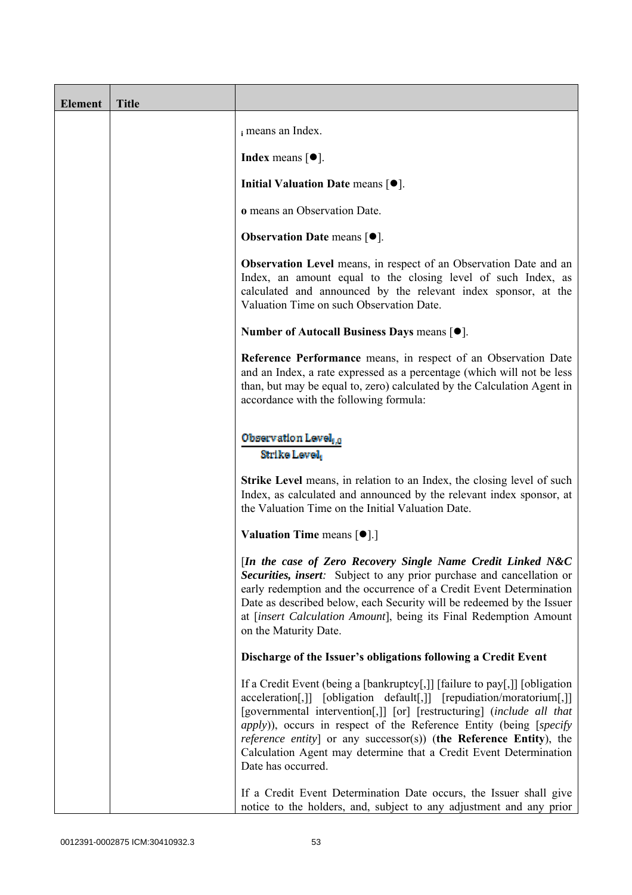| <b>Element</b> | <b>Title</b> |                                                                                                                                                                                                                                                                                                                                                                                                                                                                                    |
|----------------|--------------|------------------------------------------------------------------------------------------------------------------------------------------------------------------------------------------------------------------------------------------------------------------------------------------------------------------------------------------------------------------------------------------------------------------------------------------------------------------------------------|
|                |              | i means an Index.                                                                                                                                                                                                                                                                                                                                                                                                                                                                  |
|                |              | <b>Index</b> means $\lceil \bullet \rceil$ .                                                                                                                                                                                                                                                                                                                                                                                                                                       |
|                |              | Initial Valuation Date means $[•]$ .                                                                                                                                                                                                                                                                                                                                                                                                                                               |
|                |              | o means an Observation Date.                                                                                                                                                                                                                                                                                                                                                                                                                                                       |
|                |              | <b>Observation Date means <math>[•]</math>.</b>                                                                                                                                                                                                                                                                                                                                                                                                                                    |
|                |              | <b>Observation Level</b> means, in respect of an Observation Date and an<br>Index, an amount equal to the closing level of such Index, as<br>calculated and announced by the relevant index sponsor, at the<br>Valuation Time on such Observation Date.                                                                                                                                                                                                                            |
|                |              | Number of Autocall Business Days means $[•]$ .                                                                                                                                                                                                                                                                                                                                                                                                                                     |
|                |              | Reference Performance means, in respect of an Observation Date<br>and an Index, a rate expressed as a percentage (which will not be less<br>than, but may be equal to, zero) calculated by the Calculation Agent in<br>accordance with the following formula:                                                                                                                                                                                                                      |
|                |              | Observation Level, o<br>Strike Level                                                                                                                                                                                                                                                                                                                                                                                                                                               |
|                |              | Strike Level means, in relation to an Index, the closing level of such<br>Index, as calculated and announced by the relevant index sponsor, at<br>the Valuation Time on the Initial Valuation Date.                                                                                                                                                                                                                                                                                |
|                |              | <b>Valuation Time means <math>\lceil \bullet \rceil</math>.</b>                                                                                                                                                                                                                                                                                                                                                                                                                    |
|                |              | [In the case of Zero Recovery Single Name Credit Linked N&C<br>Securities, insert: Subject to any prior purchase and cancellation or<br>early redemption and the occurrence of a Credit Event Determination<br>Date as described below, each Security will be redeemed by the Issuer<br>at [insert Calculation Amount], being its Final Redemption Amount<br>on the Maturity Date.                                                                                                 |
|                |              | Discharge of the Issuer's obligations following a Credit Event                                                                                                                                                                                                                                                                                                                                                                                                                     |
|                |              | If a Credit Event (being a [bankruptcy[,]] [failure to pay[,]] [obligation<br>acceleration[,]] [obligation default[,]] [repudiation/moratorium[,]]<br>[governmental intervention[,]] [or] [restructuring] (include all that<br><i>apply</i> )), occurs in respect of the Reference Entity (being [specify<br><i>reference entity</i> ] or any successor(s)) (the Reference Entity), the<br>Calculation Agent may determine that a Credit Event Determination<br>Date has occurred. |
|                |              | If a Credit Event Determination Date occurs, the Issuer shall give<br>notice to the holders, and, subject to any adjustment and any prior                                                                                                                                                                                                                                                                                                                                          |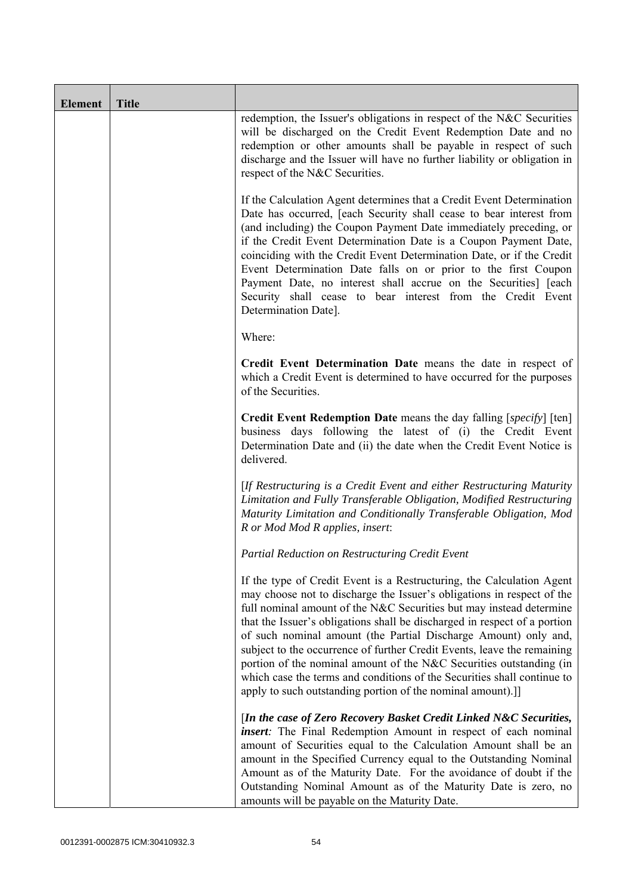| <b>Element</b> | <b>Title</b> |                                                                                                                                                                                                                                                                                                                                                                                                                                                                                                                                                                                                                                                                   |
|----------------|--------------|-------------------------------------------------------------------------------------------------------------------------------------------------------------------------------------------------------------------------------------------------------------------------------------------------------------------------------------------------------------------------------------------------------------------------------------------------------------------------------------------------------------------------------------------------------------------------------------------------------------------------------------------------------------------|
|                |              | redemption, the Issuer's obligations in respect of the N&C Securities<br>will be discharged on the Credit Event Redemption Date and no<br>redemption or other amounts shall be payable in respect of such<br>discharge and the Issuer will have no further liability or obligation in<br>respect of the N&C Securities.                                                                                                                                                                                                                                                                                                                                           |
|                |              | If the Calculation Agent determines that a Credit Event Determination<br>Date has occurred, [each Security shall cease to bear interest from<br>(and including) the Coupon Payment Date immediately preceding, or<br>if the Credit Event Determination Date is a Coupon Payment Date,<br>coinciding with the Credit Event Determination Date, or if the Credit<br>Event Determination Date falls on or prior to the first Coupon<br>Payment Date, no interest shall accrue on the Securities] [each<br>Security shall cease to bear interest from the Credit Event<br>Determination Date].                                                                        |
|                |              | Where:                                                                                                                                                                                                                                                                                                                                                                                                                                                                                                                                                                                                                                                            |
|                |              | Credit Event Determination Date means the date in respect of<br>which a Credit Event is determined to have occurred for the purposes<br>of the Securities.                                                                                                                                                                                                                                                                                                                                                                                                                                                                                                        |
|                |              | Credit Event Redemption Date means the day falling [specify] [ten]<br>business days following the latest of (i) the Credit Event<br>Determination Date and (ii) the date when the Credit Event Notice is<br>delivered.                                                                                                                                                                                                                                                                                                                                                                                                                                            |
|                |              | [If Restructuring is a Credit Event and either Restructuring Maturity<br>Limitation and Fully Transferable Obligation, Modified Restructuring<br>Maturity Limitation and Conditionally Transferable Obligation, Mod<br>R or Mod Mod R applies, insert:                                                                                                                                                                                                                                                                                                                                                                                                            |
|                |              | Partial Reduction on Restructuring Credit Event                                                                                                                                                                                                                                                                                                                                                                                                                                                                                                                                                                                                                   |
|                |              | If the type of Credit Event is a Restructuring, the Calculation Agent<br>may choose not to discharge the Issuer's obligations in respect of the<br>full nominal amount of the N&C Securities but may instead determine<br>that the Issuer's obligations shall be discharged in respect of a portion<br>of such nominal amount (the Partial Discharge Amount) only and,<br>subject to the occurrence of further Credit Events, leave the remaining<br>portion of the nominal amount of the N&C Securities outstanding (in<br>which case the terms and conditions of the Securities shall continue to<br>apply to such outstanding portion of the nominal amount).] |
|                |              | [In the case of Zero Recovery Basket Credit Linked N&C Securities,<br><i>insert</i> : The Final Redemption Amount in respect of each nominal<br>amount of Securities equal to the Calculation Amount shall be an<br>amount in the Specified Currency equal to the Outstanding Nominal<br>Amount as of the Maturity Date. For the avoidance of doubt if the<br>Outstanding Nominal Amount as of the Maturity Date is zero, no<br>amounts will be payable on the Maturity Date.                                                                                                                                                                                     |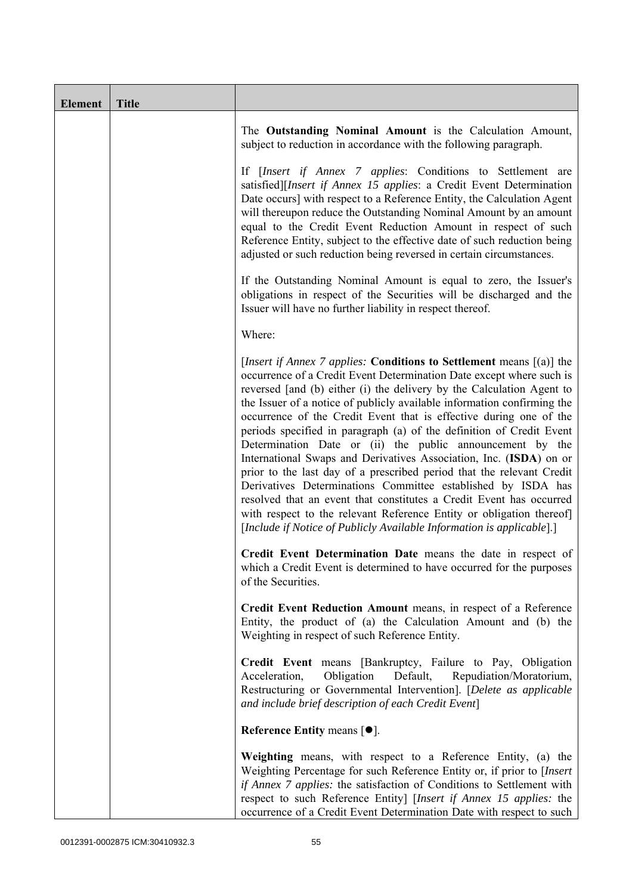| <b>Element</b> | <b>Title</b> |                                                                                                                                                                                                                                                                                                                                                                                                                                                                                                                                                                                                                                                                                                                                                                                                                                                                                                                                                    |
|----------------|--------------|----------------------------------------------------------------------------------------------------------------------------------------------------------------------------------------------------------------------------------------------------------------------------------------------------------------------------------------------------------------------------------------------------------------------------------------------------------------------------------------------------------------------------------------------------------------------------------------------------------------------------------------------------------------------------------------------------------------------------------------------------------------------------------------------------------------------------------------------------------------------------------------------------------------------------------------------------|
|                |              | The Outstanding Nominal Amount is the Calculation Amount,<br>subject to reduction in accordance with the following paragraph.                                                                                                                                                                                                                                                                                                                                                                                                                                                                                                                                                                                                                                                                                                                                                                                                                      |
|                |              | If [Insert if Annex 7 applies: Conditions to Settlement are<br>satisfied][Insert if Annex 15 applies: a Credit Event Determination<br>Date occurs] with respect to a Reference Entity, the Calculation Agent<br>will thereupon reduce the Outstanding Nominal Amount by an amount<br>equal to the Credit Event Reduction Amount in respect of such<br>Reference Entity, subject to the effective date of such reduction being<br>adjusted or such reduction being reversed in certain circumstances.                                                                                                                                                                                                                                                                                                                                                                                                                                               |
|                |              | If the Outstanding Nominal Amount is equal to zero, the Issuer's<br>obligations in respect of the Securities will be discharged and the<br>Issuer will have no further liability in respect thereof.                                                                                                                                                                                                                                                                                                                                                                                                                                                                                                                                                                                                                                                                                                                                               |
|                |              | Where:                                                                                                                                                                                                                                                                                                                                                                                                                                                                                                                                                                                                                                                                                                                                                                                                                                                                                                                                             |
|                |              | [Insert if Annex 7 applies: Conditions to Settlement means [(a)] the<br>occurrence of a Credit Event Determination Date except where such is<br>reversed [and (b) either (i) the delivery by the Calculation Agent to<br>the Issuer of a notice of publicly available information confirming the<br>occurrence of the Credit Event that is effective during one of the<br>periods specified in paragraph (a) of the definition of Credit Event<br>Determination Date or (ii) the public announcement by the<br>International Swaps and Derivatives Association, Inc. (ISDA) on or<br>prior to the last day of a prescribed period that the relevant Credit<br>Derivatives Determinations Committee established by ISDA has<br>resolved that an event that constitutes a Credit Event has occurred<br>with respect to the relevant Reference Entity or obligation thereof]<br>[Include if Notice of Publicly Available Information is applicable].] |
|                |              | Credit Event Determination Date means the date in respect of<br>which a Credit Event is determined to have occurred for the purposes<br>of the Securities.                                                                                                                                                                                                                                                                                                                                                                                                                                                                                                                                                                                                                                                                                                                                                                                         |
|                |              | Credit Event Reduction Amount means, in respect of a Reference<br>Entity, the product of (a) the Calculation Amount and (b) the<br>Weighting in respect of such Reference Entity.                                                                                                                                                                                                                                                                                                                                                                                                                                                                                                                                                                                                                                                                                                                                                                  |
|                |              | Credit Event means [Bankruptcy, Failure to Pay, Obligation<br>Obligation<br>Default,<br>Repudiation/Moratorium,<br>Acceleration,<br>Restructuring or Governmental Intervention]. [Delete as applicable<br>and include brief description of each Credit Event]                                                                                                                                                                                                                                                                                                                                                                                                                                                                                                                                                                                                                                                                                      |
|                |              | Reference Entity means $[•]$ .                                                                                                                                                                                                                                                                                                                                                                                                                                                                                                                                                                                                                                                                                                                                                                                                                                                                                                                     |
|                |              | Weighting means, with respect to a Reference Entity, (a) the<br>Weighting Percentage for such Reference Entity or, if prior to [Insert]<br>if Annex 7 applies: the satisfaction of Conditions to Settlement with<br>respect to such Reference Entity] [Insert if Annex 15 applies: the<br>occurrence of a Credit Event Determination Date with respect to such                                                                                                                                                                                                                                                                                                                                                                                                                                                                                                                                                                                     |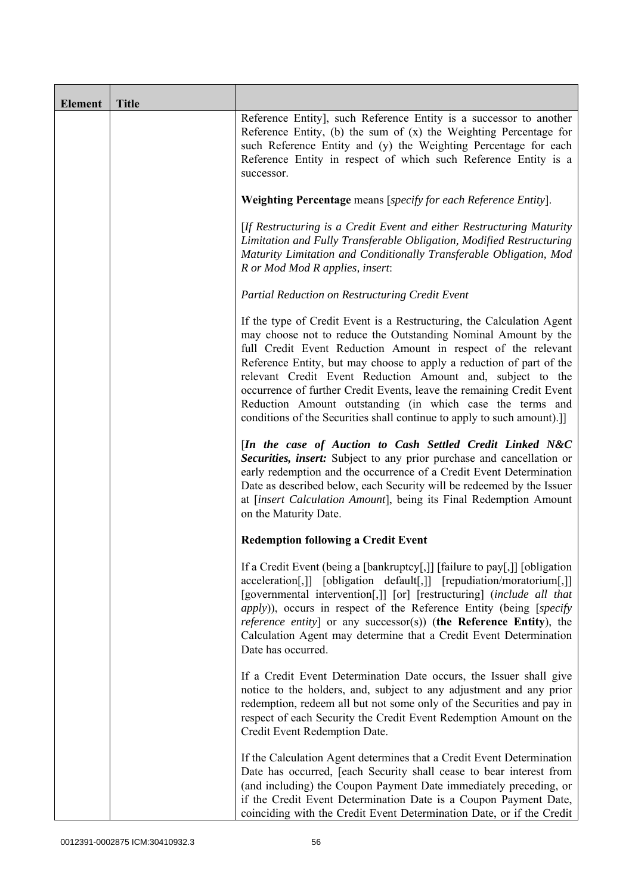| <b>Element</b> | <b>Title</b> |                                                                                                                                                                                                                                                                                                                                                                                                                                                                                                                                                                |
|----------------|--------------|----------------------------------------------------------------------------------------------------------------------------------------------------------------------------------------------------------------------------------------------------------------------------------------------------------------------------------------------------------------------------------------------------------------------------------------------------------------------------------------------------------------------------------------------------------------|
|                |              | Reference Entity], such Reference Entity is a successor to another<br>Reference Entity, (b) the sum of $(x)$ the Weighting Percentage for<br>such Reference Entity and (y) the Weighting Percentage for each<br>Reference Entity in respect of which such Reference Entity is a<br>successor.                                                                                                                                                                                                                                                                  |
|                |              | Weighting Percentage means [specify for each Reference Entity].                                                                                                                                                                                                                                                                                                                                                                                                                                                                                                |
|                |              | [If Restructuring is a Credit Event and either Restructuring Maturity<br>Limitation and Fully Transferable Obligation, Modified Restructuring<br>Maturity Limitation and Conditionally Transferable Obligation, Mod<br>R or Mod Mod R applies, insert:                                                                                                                                                                                                                                                                                                         |
|                |              | Partial Reduction on Restructuring Credit Event                                                                                                                                                                                                                                                                                                                                                                                                                                                                                                                |
|                |              | If the type of Credit Event is a Restructuring, the Calculation Agent<br>may choose not to reduce the Outstanding Nominal Amount by the<br>full Credit Event Reduction Amount in respect of the relevant<br>Reference Entity, but may choose to apply a reduction of part of the<br>relevant Credit Event Reduction Amount and, subject to the<br>occurrence of further Credit Events, leave the remaining Credit Event<br>Reduction Amount outstanding (in which case the terms and<br>conditions of the Securities shall continue to apply to such amount).] |
|                |              | [In the case of Auction to Cash Settled Credit Linked N&C<br>Securities, insert: Subject to any prior purchase and cancellation or<br>early redemption and the occurrence of a Credit Event Determination<br>Date as described below, each Security will be redeemed by the Issuer<br>at [insert Calculation Amount], being its Final Redemption Amount<br>on the Maturity Date.                                                                                                                                                                               |
|                |              | <b>Redemption following a Credit Event</b>                                                                                                                                                                                                                                                                                                                                                                                                                                                                                                                     |
|                |              | If a Credit Event (being a [bankruptcy[,]] [failure to pay[,]] [obligation<br>acceleration[,]] [obligation default[,]] [repudiation/moratorium[,]]<br>[governmental intervention[,]] [or] [restructuring] (include all that<br><i>apply</i> )), occurs in respect of the Reference Entity (being [specify<br><i>reference entity</i> ] or any successor(s)) (the Reference Entity), the<br>Calculation Agent may determine that a Credit Event Determination<br>Date has occurred.                                                                             |
|                |              | If a Credit Event Determination Date occurs, the Issuer shall give<br>notice to the holders, and, subject to any adjustment and any prior<br>redemption, redeem all but not some only of the Securities and pay in<br>respect of each Security the Credit Event Redemption Amount on the<br>Credit Event Redemption Date.                                                                                                                                                                                                                                      |
|                |              | If the Calculation Agent determines that a Credit Event Determination<br>Date has occurred, [each Security shall cease to bear interest from<br>(and including) the Coupon Payment Date immediately preceding, or<br>if the Credit Event Determination Date is a Coupon Payment Date,<br>coinciding with the Credit Event Determination Date, or if the Credit                                                                                                                                                                                                 |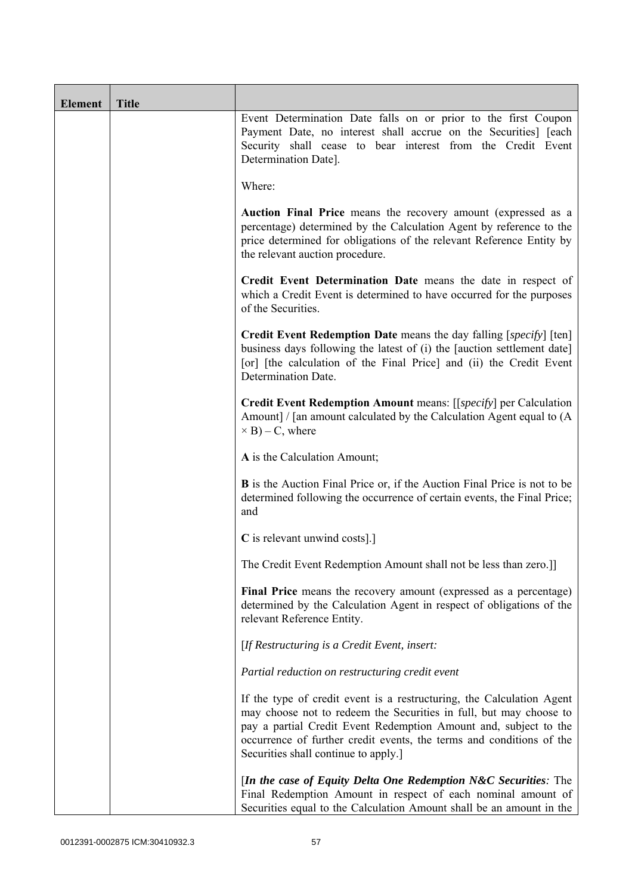| <b>Element</b> | <b>Title</b> |                                                                                                                                                                                                                                                                                                                                 |
|----------------|--------------|---------------------------------------------------------------------------------------------------------------------------------------------------------------------------------------------------------------------------------------------------------------------------------------------------------------------------------|
|                |              | Event Determination Date falls on or prior to the first Coupon<br>Payment Date, no interest shall accrue on the Securities] [each<br>Security shall cease to bear interest from the Credit Event<br>Determination Date].                                                                                                        |
|                |              | Where:                                                                                                                                                                                                                                                                                                                          |
|                |              | Auction Final Price means the recovery amount (expressed as a<br>percentage) determined by the Calculation Agent by reference to the<br>price determined for obligations of the relevant Reference Entity by<br>the relevant auction procedure.                                                                                 |
|                |              | Credit Event Determination Date means the date in respect of<br>which a Credit Event is determined to have occurred for the purposes<br>of the Securities.                                                                                                                                                                      |
|                |              | <b>Credit Event Redemption Date</b> means the day falling [specify] [ten]<br>business days following the latest of (i) the [auction settlement date]<br>[or] [the calculation of the Final Price] and (ii) the Credit Event<br>Determination Date.                                                                              |
|                |              | Credit Event Redemption Amount means: [[specify] per Calculation<br>Amount] / [an amount calculated by the Calculation Agent equal to (A)<br>$\times$ B) – C, where                                                                                                                                                             |
|                |              | A is the Calculation Amount;                                                                                                                                                                                                                                                                                                    |
|                |              | <b>B</b> is the Auction Final Price or, if the Auction Final Price is not to be<br>determined following the occurrence of certain events, the Final Price;<br>and                                                                                                                                                               |
|                |              | C is relevant unwind costs].]                                                                                                                                                                                                                                                                                                   |
|                |              | The Credit Event Redemption Amount shall not be less than zero.]]                                                                                                                                                                                                                                                               |
|                |              | Final Price means the recovery amount (expressed as a percentage)<br>determined by the Calculation Agent in respect of obligations of the<br>relevant Reference Entity.                                                                                                                                                         |
|                |              | [If Restructuring is a Credit Event, insert:                                                                                                                                                                                                                                                                                    |
|                |              | Partial reduction on restructuring credit event                                                                                                                                                                                                                                                                                 |
|                |              | If the type of credit event is a restructuring, the Calculation Agent<br>may choose not to redeem the Securities in full, but may choose to<br>pay a partial Credit Event Redemption Amount and, subject to the<br>occurrence of further credit events, the terms and conditions of the<br>Securities shall continue to apply.] |
|                |              | [In the case of Equity Delta One Redemption N&C Securities: The<br>Final Redemption Amount in respect of each nominal amount of<br>Securities equal to the Calculation Amount shall be an amount in the                                                                                                                         |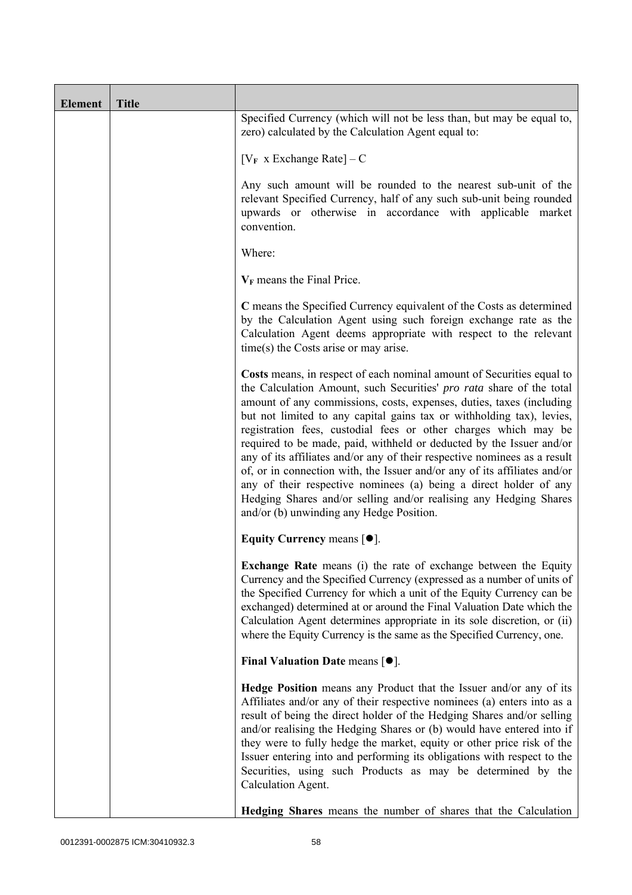| <b>Element</b> | <b>Title</b> |                                                                                                                                                                                                                                                                                                                                                                                                                                                                                                                                                                                                                                                                                                                                                                                           |  |
|----------------|--------------|-------------------------------------------------------------------------------------------------------------------------------------------------------------------------------------------------------------------------------------------------------------------------------------------------------------------------------------------------------------------------------------------------------------------------------------------------------------------------------------------------------------------------------------------------------------------------------------------------------------------------------------------------------------------------------------------------------------------------------------------------------------------------------------------|--|
|                |              | Specified Currency (which will not be less than, but may be equal to,<br>zero) calculated by the Calculation Agent equal to:                                                                                                                                                                                                                                                                                                                                                                                                                                                                                                                                                                                                                                                              |  |
|                |              | $[V_F \times Exchange Rate] - C$                                                                                                                                                                                                                                                                                                                                                                                                                                                                                                                                                                                                                                                                                                                                                          |  |
|                |              | Any such amount will be rounded to the nearest sub-unit of the<br>relevant Specified Currency, half of any such sub-unit being rounded<br>upwards or otherwise in accordance with applicable market<br>convention.                                                                                                                                                                                                                                                                                                                                                                                                                                                                                                                                                                        |  |
|                |              | Where:<br>$V_F$ means the Final Price.                                                                                                                                                                                                                                                                                                                                                                                                                                                                                                                                                                                                                                                                                                                                                    |  |
|                |              |                                                                                                                                                                                                                                                                                                                                                                                                                                                                                                                                                                                                                                                                                                                                                                                           |  |
|                |              | C means the Specified Currency equivalent of the Costs as determined<br>by the Calculation Agent using such foreign exchange rate as the<br>Calculation Agent deems appropriate with respect to the relevant<br>$time(s)$ the Costs arise or may arise.                                                                                                                                                                                                                                                                                                                                                                                                                                                                                                                                   |  |
|                |              | Costs means, in respect of each nominal amount of Securities equal to<br>the Calculation Amount, such Securities' pro rata share of the total<br>amount of any commissions, costs, expenses, duties, taxes (including<br>but not limited to any capital gains tax or withholding tax), levies,<br>registration fees, custodial fees or other charges which may be<br>required to be made, paid, withheld or deducted by the Issuer and/or<br>any of its affiliates and/or any of their respective nominees as a result<br>of, or in connection with, the Issuer and/or any of its affiliates and/or<br>any of their respective nominees (a) being a direct holder of any<br>Hedging Shares and/or selling and/or realising any Hedging Shares<br>and/or (b) unwinding any Hedge Position. |  |
|                |              | Equity Currency means $[\bullet].$                                                                                                                                                                                                                                                                                                                                                                                                                                                                                                                                                                                                                                                                                                                                                        |  |
|                |              | <b>Exchange Rate</b> means (i) the rate of exchange between the Equity<br>Currency and the Specified Currency (expressed as a number of units of<br>the Specified Currency for which a unit of the Equity Currency can be<br>exchanged) determined at or around the Final Valuation Date which the<br>Calculation Agent determines appropriate in its sole discretion, or (ii)<br>where the Equity Currency is the same as the Specified Currency, one.                                                                                                                                                                                                                                                                                                                                   |  |
|                |              | Final Valuation Date means $[•]$ .                                                                                                                                                                                                                                                                                                                                                                                                                                                                                                                                                                                                                                                                                                                                                        |  |
|                |              | <b>Hedge Position</b> means any Product that the Issuer and/or any of its<br>Affiliates and/or any of their respective nominees (a) enters into as a<br>result of being the direct holder of the Hedging Shares and/or selling<br>and/or realising the Hedging Shares or (b) would have entered into if<br>they were to fully hedge the market, equity or other price risk of the<br>Issuer entering into and performing its obligations with respect to the<br>Securities, using such Products as may be determined by the<br>Calculation Agent.                                                                                                                                                                                                                                         |  |
|                |              | Hedging Shares means the number of shares that the Calculation                                                                                                                                                                                                                                                                                                                                                                                                                                                                                                                                                                                                                                                                                                                            |  |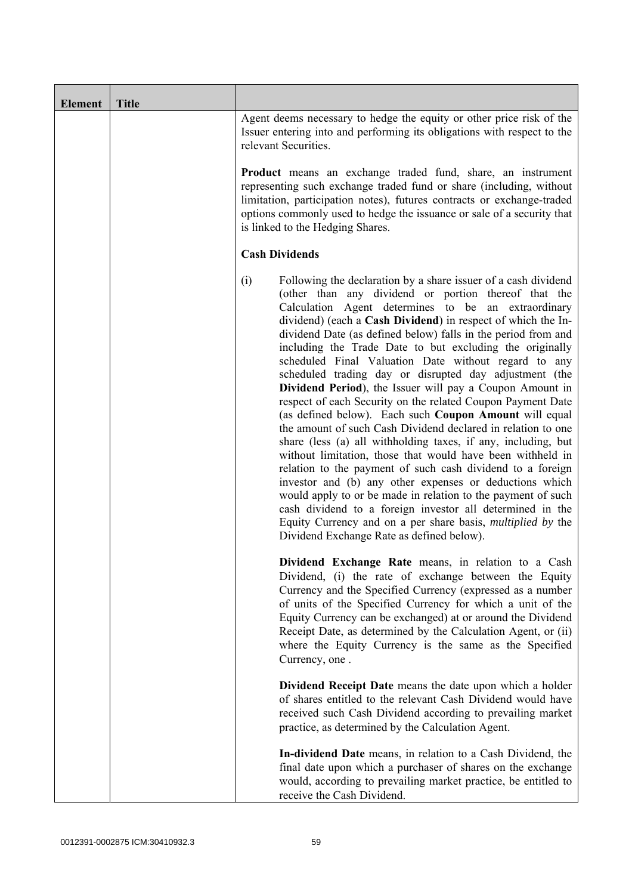| Element | <b>Title</b> |                                                                                                                                                                                                                                                                                                                                                                                                                                                                                                                                                                                                                                                                                                                                                                                                                                                                                                                                                                                                                                                                                                                                                                                                                                                                  |  |
|---------|--------------|------------------------------------------------------------------------------------------------------------------------------------------------------------------------------------------------------------------------------------------------------------------------------------------------------------------------------------------------------------------------------------------------------------------------------------------------------------------------------------------------------------------------------------------------------------------------------------------------------------------------------------------------------------------------------------------------------------------------------------------------------------------------------------------------------------------------------------------------------------------------------------------------------------------------------------------------------------------------------------------------------------------------------------------------------------------------------------------------------------------------------------------------------------------------------------------------------------------------------------------------------------------|--|
|         |              | Agent deems necessary to hedge the equity or other price risk of the<br>Issuer entering into and performing its obligations with respect to the<br>relevant Securities.<br><b>Product</b> means an exchange traded fund, share, an instrument<br>representing such exchange traded fund or share (including, without<br>limitation, participation notes), futures contracts or exchange-traded<br>options commonly used to hedge the issuance or sale of a security that<br>is linked to the Hedging Shares.                                                                                                                                                                                                                                                                                                                                                                                                                                                                                                                                                                                                                                                                                                                                                     |  |
|         |              |                                                                                                                                                                                                                                                                                                                                                                                                                                                                                                                                                                                                                                                                                                                                                                                                                                                                                                                                                                                                                                                                                                                                                                                                                                                                  |  |
|         |              | <b>Cash Dividends</b>                                                                                                                                                                                                                                                                                                                                                                                                                                                                                                                                                                                                                                                                                                                                                                                                                                                                                                                                                                                                                                                                                                                                                                                                                                            |  |
|         |              | (i)<br>Following the declaration by a share issuer of a cash dividend<br>(other than any dividend or portion thereof that the<br>Calculation Agent determines to be an extraordinary<br>dividend) (each a Cash Dividend) in respect of which the In-<br>dividend Date (as defined below) falls in the period from and<br>including the Trade Date to but excluding the originally<br>scheduled Final Valuation Date without regard to any<br>scheduled trading day or disrupted day adjustment (the<br>Dividend Period), the Issuer will pay a Coupon Amount in<br>respect of each Security on the related Coupon Payment Date<br>(as defined below). Each such Coupon Amount will equal<br>the amount of such Cash Dividend declared in relation to one<br>share (less (a) all withholding taxes, if any, including, but<br>without limitation, those that would have been withheld in<br>relation to the payment of such cash dividend to a foreign<br>investor and (b) any other expenses or deductions which<br>would apply to or be made in relation to the payment of such<br>cash dividend to a foreign investor all determined in the<br>Equity Currency and on a per share basis, <i>multiplied by</i> the<br>Dividend Exchange Rate as defined below). |  |
|         |              | Dividend Exchange Rate means, in relation to a Cash<br>Dividend, (i) the rate of exchange between the Equity<br>Currency and the Specified Currency (expressed as a number<br>of units of the Specified Currency for which a unit of the<br>Equity Currency can be exchanged) at or around the Dividend<br>Receipt Date, as determined by the Calculation Agent, or (ii)<br>where the Equity Currency is the same as the Specified<br>Currency, one.                                                                                                                                                                                                                                                                                                                                                                                                                                                                                                                                                                                                                                                                                                                                                                                                             |  |
|         |              | Dividend Receipt Date means the date upon which a holder<br>of shares entitled to the relevant Cash Dividend would have<br>received such Cash Dividend according to prevailing market<br>practice, as determined by the Calculation Agent.                                                                                                                                                                                                                                                                                                                                                                                                                                                                                                                                                                                                                                                                                                                                                                                                                                                                                                                                                                                                                       |  |
|         |              | In-dividend Date means, in relation to a Cash Dividend, the<br>final date upon which a purchaser of shares on the exchange<br>would, according to prevailing market practice, be entitled to<br>receive the Cash Dividend.                                                                                                                                                                                                                                                                                                                                                                                                                                                                                                                                                                                                                                                                                                                                                                                                                                                                                                                                                                                                                                       |  |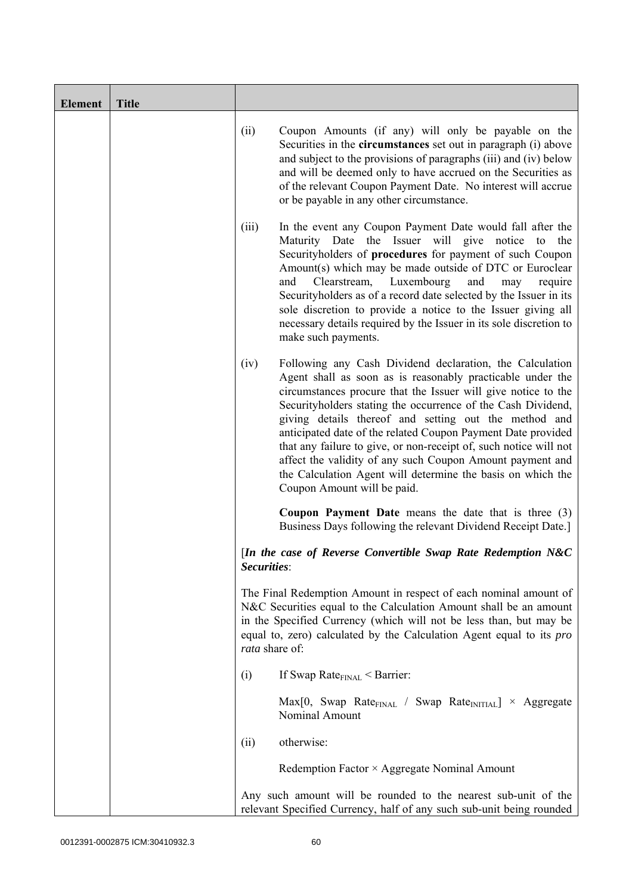| <b>Element</b> | <b>Title</b> |                                                                                                                                                                                                                                                                                                              |                                                                                                                                                                                                                                                                                                                                                                                                                                                                                                                                                                                                                  |
|----------------|--------------|--------------------------------------------------------------------------------------------------------------------------------------------------------------------------------------------------------------------------------------------------------------------------------------------------------------|------------------------------------------------------------------------------------------------------------------------------------------------------------------------------------------------------------------------------------------------------------------------------------------------------------------------------------------------------------------------------------------------------------------------------------------------------------------------------------------------------------------------------------------------------------------------------------------------------------------|
|                |              | (ii)                                                                                                                                                                                                                                                                                                         | Coupon Amounts (if any) will only be payable on the<br>Securities in the <b>circumstances</b> set out in paragraph (i) above<br>and subject to the provisions of paragraphs (iii) and (iv) below<br>and will be deemed only to have accrued on the Securities as<br>of the relevant Coupon Payment Date. No interest will accrue<br>or be payable in any other circumstance.                                                                                                                                                                                                                                     |
|                |              | (iii)<br>and                                                                                                                                                                                                                                                                                                 | In the event any Coupon Payment Date would fall after the<br>Maturity Date the Issuer will give notice<br>the<br>to<br>Securityholders of procedures for payment of such Coupon<br>Amount(s) which may be made outside of DTC or Euroclear<br>Clearstream,<br>Luxembourg<br>and<br>require<br>may<br>Securityholders as of a record date selected by the Issuer in its<br>sole discretion to provide a notice to the Issuer giving all<br>necessary details required by the Issuer in its sole discretion to<br>make such payments.                                                                              |
|                |              | (iv)                                                                                                                                                                                                                                                                                                         | Following any Cash Dividend declaration, the Calculation<br>Agent shall as soon as is reasonably practicable under the<br>circumstances procure that the Issuer will give notice to the<br>Securityholders stating the occurrence of the Cash Dividend,<br>giving details thereof and setting out the method and<br>anticipated date of the related Coupon Payment Date provided<br>that any failure to give, or non-receipt of, such notice will not<br>affect the validity of any such Coupon Amount payment and<br>the Calculation Agent will determine the basis on which the<br>Coupon Amount will be paid. |
|                |              |                                                                                                                                                                                                                                                                                                              | Coupon Payment Date means the date that is three (3)<br>Business Days following the relevant Dividend Receipt Date.]                                                                                                                                                                                                                                                                                                                                                                                                                                                                                             |
|                |              | Securities:                                                                                                                                                                                                                                                                                                  | [In the case of Reverse Convertible Swap Rate Redemption N&C                                                                                                                                                                                                                                                                                                                                                                                                                                                                                                                                                     |
|                |              | The Final Redemption Amount in respect of each nominal amount of<br>N&C Securities equal to the Calculation Amount shall be an amount<br>in the Specified Currency (which will not be less than, but may be<br>equal to, zero) calculated by the Calculation Agent equal to its <i>pro</i><br>rata share of: |                                                                                                                                                                                                                                                                                                                                                                                                                                                                                                                                                                                                                  |
|                |              | (i)                                                                                                                                                                                                                                                                                                          | If Swap Rate $_{\text{FINAL}}$ < Barrier:                                                                                                                                                                                                                                                                                                                                                                                                                                                                                                                                                                        |
|                |              |                                                                                                                                                                                                                                                                                                              | $Max[0, Swap Rate_{FINAL} / Swap Rate_{INITIAL}] \times Aggregate$<br>Nominal Amount                                                                                                                                                                                                                                                                                                                                                                                                                                                                                                                             |
|                |              | otherwise:<br>(ii)                                                                                                                                                                                                                                                                                           |                                                                                                                                                                                                                                                                                                                                                                                                                                                                                                                                                                                                                  |
|                |              | Redemption Factor × Aggregate Nominal Amount                                                                                                                                                                                                                                                                 |                                                                                                                                                                                                                                                                                                                                                                                                                                                                                                                                                                                                                  |
|                |              |                                                                                                                                                                                                                                                                                                              | Any such amount will be rounded to the nearest sub-unit of the<br>relevant Specified Currency, half of any such sub-unit being rounded                                                                                                                                                                                                                                                                                                                                                                                                                                                                           |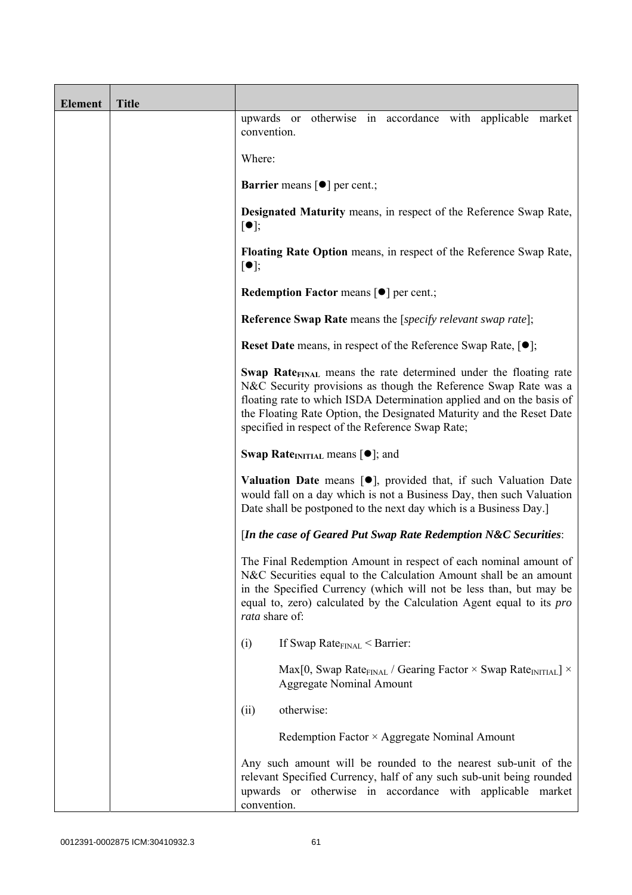| <b>Element</b> | <b>Title</b> |                                                                                                                                                                                                                                                                                                                                                      |
|----------------|--------------|------------------------------------------------------------------------------------------------------------------------------------------------------------------------------------------------------------------------------------------------------------------------------------------------------------------------------------------------------|
|                |              | upwards or otherwise in accordance with applicable market<br>convention.                                                                                                                                                                                                                                                                             |
|                |              | Where:                                                                                                                                                                                                                                                                                                                                               |
|                |              | <b>Barrier</b> means $\lceil \bullet \rceil$ per cent.;                                                                                                                                                                                                                                                                                              |
|                |              | <b>Designated Maturity means, in respect of the Reference Swap Rate,</b><br>$\lceil \bullet \rceil;$                                                                                                                                                                                                                                                 |
|                |              | Floating Rate Option means, in respect of the Reference Swap Rate,<br>$[\bullet]$ ;                                                                                                                                                                                                                                                                  |
|                |              | Redemption Factor means [ $\bullet$ ] per cent.;                                                                                                                                                                                                                                                                                                     |
|                |              | <b>Reference Swap Rate</b> means the [specify relevant swap rate];                                                                                                                                                                                                                                                                                   |
|                |              | Reset Date means, in respect of the Reference Swap Rate, [ $\bullet$ ];                                                                                                                                                                                                                                                                              |
|                |              | Swap Rate <sub>FINAL</sub> means the rate determined under the floating rate<br>N&C Security provisions as though the Reference Swap Rate was a<br>floating rate to which ISDA Determination applied and on the basis of<br>the Floating Rate Option, the Designated Maturity and the Reset Date<br>specified in respect of the Reference Swap Rate; |
|                |              | <b>Swap Rate</b> <sub>INITIAL</sub> means $[\bullet]$ ; and                                                                                                                                                                                                                                                                                          |
|                |              | <b>Valuation Date</b> means $[\bullet]$ , provided that, if such Valuation Date<br>would fall on a day which is not a Business Day, then such Valuation<br>Date shall be postponed to the next day which is a Business Day.]                                                                                                                         |
|                |              | [In the case of Geared Put Swap Rate Redemption N&C Securities:                                                                                                                                                                                                                                                                                      |
|                |              | The Final Redemption Amount in respect of each nominal amount of<br>N&C Securities equal to the Calculation Amount shall be an amount<br>in the Specified Currency (which will not be less than, but may be<br>equal to, zero) calculated by the Calculation Agent equal to its <i>pro</i><br>rata share of:                                         |
|                |              | (i)<br>If Swap Rate $_{\text{FINAL}}$ < Barrier:                                                                                                                                                                                                                                                                                                     |
|                |              | Max[0, Swap Rate <sub>FINAL</sub> / Gearing Factor $\times$ Swap Rate <sub>INITIAL</sub> ] $\times$<br><b>Aggregate Nominal Amount</b>                                                                                                                                                                                                               |
|                |              | otherwise:<br>(ii)                                                                                                                                                                                                                                                                                                                                   |
|                |              | Redemption Factor × Aggregate Nominal Amount                                                                                                                                                                                                                                                                                                         |
|                |              | Any such amount will be rounded to the nearest sub-unit of the<br>relevant Specified Currency, half of any such sub-unit being rounded<br>upwards or otherwise in accordance with applicable market<br>convention.                                                                                                                                   |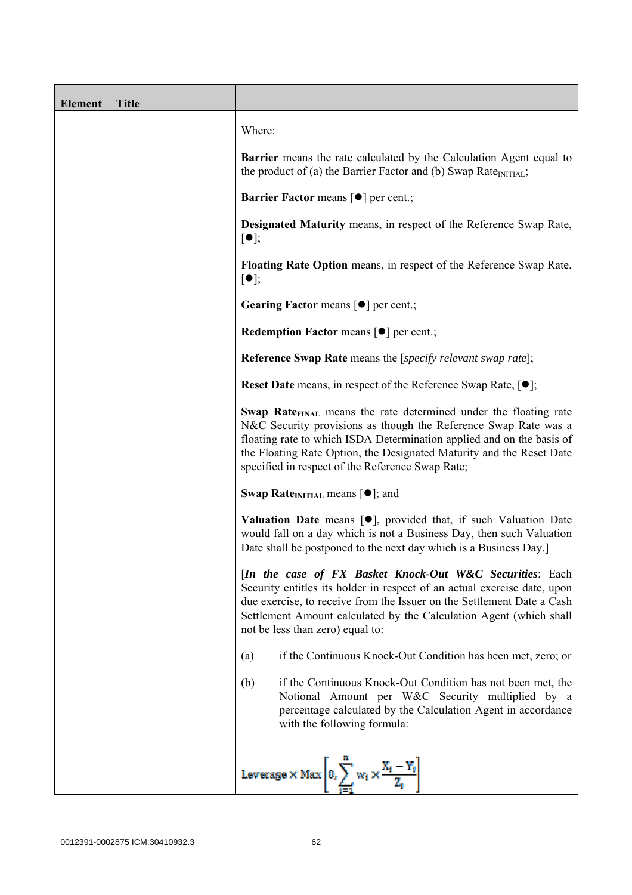| <b>Element</b> | <b>Title</b> |                                                                                                                                                                                                                                                                                                                                                      |
|----------------|--------------|------------------------------------------------------------------------------------------------------------------------------------------------------------------------------------------------------------------------------------------------------------------------------------------------------------------------------------------------------|
|                |              | Where:                                                                                                                                                                                                                                                                                                                                               |
|                |              | <b>Barrier</b> means the rate calculated by the Calculation Agent equal to<br>the product of (a) the Barrier Factor and (b) Swap Rate <sub>INITIAL</sub> ;                                                                                                                                                                                           |
|                |              | <b>Barrier Factor means [O] per cent.;</b>                                                                                                                                                                                                                                                                                                           |
|                |              | Designated Maturity means, in respect of the Reference Swap Rate,<br>$\lceil \bullet \rceil;$                                                                                                                                                                                                                                                        |
|                |              | Floating Rate Option means, in respect of the Reference Swap Rate,<br>$[\bullet]$ ;                                                                                                                                                                                                                                                                  |
|                |              | Gearing Factor means [ $\bullet$ ] per cent.;                                                                                                                                                                                                                                                                                                        |
|                |              | <b>Redemption Factor means <math>\lceil \bullet \rceil</math> per cent.;</b>                                                                                                                                                                                                                                                                         |
|                |              | <b>Reference Swap Rate</b> means the [specify relevant swap rate];                                                                                                                                                                                                                                                                                   |
|                |              | <b>Reset Date</b> means, in respect of the Reference Swap Rate, $[•]$ ;                                                                                                                                                                                                                                                                              |
|                |              | Swap Rate <sub>FINAL</sub> means the rate determined under the floating rate<br>N&C Security provisions as though the Reference Swap Rate was a<br>floating rate to which ISDA Determination applied and on the basis of<br>the Floating Rate Option, the Designated Maturity and the Reset Date<br>specified in respect of the Reference Swap Rate; |
|                |              | <b>Swap Rate</b> <sub>INITIAL</sub> means $[\bullet]$ ; and                                                                                                                                                                                                                                                                                          |
|                |              | <b>Valuation Date</b> means $[\bullet]$ , provided that, if such Valuation Date<br>would fall on a day which is not a Business Day, then such Valuation<br>Date shall be postponed to the next day which is a Business Day.]                                                                                                                         |
|                |              | [In the case of FX Basket Knock-Out W&C Securities: Each<br>Security entitles its holder in respect of an actual exercise date, upon<br>due exercise, to receive from the Issuer on the Settlement Date a Cash<br>Settlement Amount calculated by the Calculation Agent (which shall<br>not be less than zero) equal to:                             |
|                |              | if the Continuous Knock-Out Condition has been met, zero; or<br>(a)                                                                                                                                                                                                                                                                                  |
|                |              | if the Continuous Knock-Out Condition has not been met, the<br>(b)<br>Notional Amount per W&C Security multiplied by a<br>percentage calculated by the Calculation Agent in accordance<br>with the following formula:                                                                                                                                |
|                |              | Leverage $\times$ Max $\left 0, \sum_{i=1}^{n} w_i \times \frac{X_i - Y_i}{Z_i}\right $                                                                                                                                                                                                                                                              |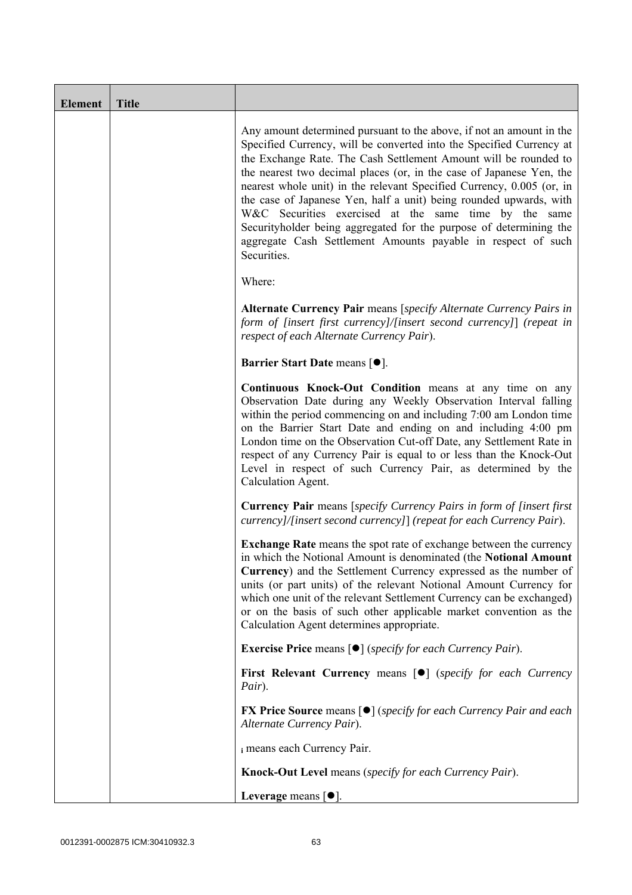| <b>Element</b> | <b>Title</b> |                                                                                                                                                                                                                                                                                                                                                                                                                                                                                                                                                                                                                                                       |  |
|----------------|--------------|-------------------------------------------------------------------------------------------------------------------------------------------------------------------------------------------------------------------------------------------------------------------------------------------------------------------------------------------------------------------------------------------------------------------------------------------------------------------------------------------------------------------------------------------------------------------------------------------------------------------------------------------------------|--|
|                |              | Any amount determined pursuant to the above, if not an amount in the<br>Specified Currency, will be converted into the Specified Currency at<br>the Exchange Rate. The Cash Settlement Amount will be rounded to<br>the nearest two decimal places (or, in the case of Japanese Yen, the<br>nearest whole unit) in the relevant Specified Currency, 0.005 (or, in<br>the case of Japanese Yen, half a unit) being rounded upwards, with<br>W&C Securities exercised at the same time by the same<br>Securityholder being aggregated for the purpose of determining the<br>aggregate Cash Settlement Amounts payable in respect of such<br>Securities. |  |
|                |              | Where:                                                                                                                                                                                                                                                                                                                                                                                                                                                                                                                                                                                                                                                |  |
|                |              | Alternate Currency Pair means [specify Alternate Currency Pairs in<br>form of [insert first currency]/[insert second currency]] (repeat in<br>respect of each Alternate Currency Pair).                                                                                                                                                                                                                                                                                                                                                                                                                                                               |  |
|                |              | Barrier Start Date means [ $\bullet$ ].                                                                                                                                                                                                                                                                                                                                                                                                                                                                                                                                                                                                               |  |
|                |              | Continuous Knock-Out Condition means at any time on any<br>Observation Date during any Weekly Observation Interval falling<br>within the period commencing on and including 7:00 am London time<br>on the Barrier Start Date and ending on and including 4:00 pm<br>London time on the Observation Cut-off Date, any Settlement Rate in<br>respect of any Currency Pair is equal to or less than the Knock-Out<br>Level in respect of such Currency Pair, as determined by the<br>Calculation Agent.                                                                                                                                                  |  |
|                |              | <b>Currency Pair</b> means [specify Currency Pairs in form of [insert first]<br>currency]/[insert second currency]] (repeat for each Currency Pair).                                                                                                                                                                                                                                                                                                                                                                                                                                                                                                  |  |
|                |              | <b>Exchange Rate</b> means the spot rate of exchange between the currency<br>in which the Notional Amount is denominated (the Notional Amount<br>Currency) and the Settlement Currency expressed as the number of<br>units (or part units) of the relevant Notional Amount Currency for<br>which one unit of the relevant Settlement Currency can be exchanged)<br>or on the basis of such other applicable market convention as the<br>Calculation Agent determines appropriate.                                                                                                                                                                     |  |
|                |              | <b>Exercise Price</b> means $\lceil \bullet \rceil$ ( <i>specify for each Currency Pair</i> ).                                                                                                                                                                                                                                                                                                                                                                                                                                                                                                                                                        |  |
|                |              | First Relevant Currency means [ $\bullet$ ] (specify for each Currency<br>Pair).                                                                                                                                                                                                                                                                                                                                                                                                                                                                                                                                                                      |  |
|                |              | <b>FX Price Source</b> means $\lceil \bullet \rceil$ (specify for each Currency Pair and each<br>Alternate Currency Pair).                                                                                                                                                                                                                                                                                                                                                                                                                                                                                                                            |  |
|                |              | i means each Currency Pair.                                                                                                                                                                                                                                                                                                                                                                                                                                                                                                                                                                                                                           |  |
|                |              | Knock-Out Level means (specify for each Currency Pair).                                                                                                                                                                                                                                                                                                                                                                                                                                                                                                                                                                                               |  |
|                |              | Leverage means $\lceil \bullet \rceil$ .                                                                                                                                                                                                                                                                                                                                                                                                                                                                                                                                                                                                              |  |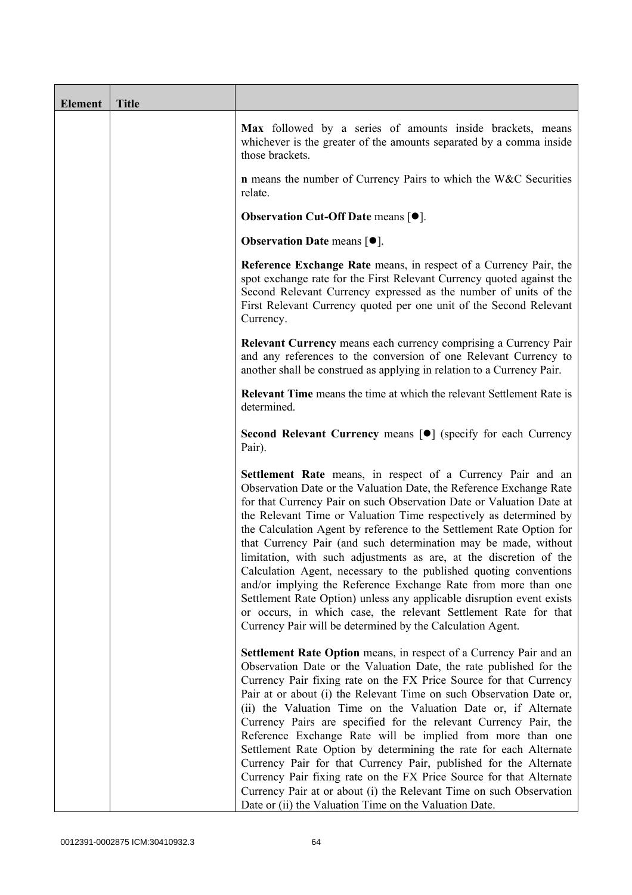| <b>Element</b> | <b>Title</b> |                                                                                                                                                                                                                                                                                                                                                                                                                                                                                                                                                                                                                                                                                                                                                                                                                                                   |
|----------------|--------------|---------------------------------------------------------------------------------------------------------------------------------------------------------------------------------------------------------------------------------------------------------------------------------------------------------------------------------------------------------------------------------------------------------------------------------------------------------------------------------------------------------------------------------------------------------------------------------------------------------------------------------------------------------------------------------------------------------------------------------------------------------------------------------------------------------------------------------------------------|
|                |              | Max followed by a series of amounts inside brackets, means<br>whichever is the greater of the amounts separated by a comma inside<br>those brackets.                                                                                                                                                                                                                                                                                                                                                                                                                                                                                                                                                                                                                                                                                              |
|                |              | n means the number of Currency Pairs to which the W&C Securities<br>relate.                                                                                                                                                                                                                                                                                                                                                                                                                                                                                                                                                                                                                                                                                                                                                                       |
|                |              | <b>Observation Cut-Off Date means <math>[•]</math>.</b>                                                                                                                                                                                                                                                                                                                                                                                                                                                                                                                                                                                                                                                                                                                                                                                           |
|                |              | <b>Observation Date means <math>\lceil \bullet \rceil</math>.</b>                                                                                                                                                                                                                                                                                                                                                                                                                                                                                                                                                                                                                                                                                                                                                                                 |
|                |              | Reference Exchange Rate means, in respect of a Currency Pair, the<br>spot exchange rate for the First Relevant Currency quoted against the<br>Second Relevant Currency expressed as the number of units of the<br>First Relevant Currency quoted per one unit of the Second Relevant<br>Currency.                                                                                                                                                                                                                                                                                                                                                                                                                                                                                                                                                 |
|                |              | <b>Relevant Currency</b> means each currency comprising a Currency Pair<br>and any references to the conversion of one Relevant Currency to<br>another shall be construed as applying in relation to a Currency Pair.                                                                                                                                                                                                                                                                                                                                                                                                                                                                                                                                                                                                                             |
|                |              | Relevant Time means the time at which the relevant Settlement Rate is<br>determined.                                                                                                                                                                                                                                                                                                                                                                                                                                                                                                                                                                                                                                                                                                                                                              |
|                |              | Second Relevant Currency means [ $\bullet$ ] (specify for each Currency<br>Pair).                                                                                                                                                                                                                                                                                                                                                                                                                                                                                                                                                                                                                                                                                                                                                                 |
|                |              | Settlement Rate means, in respect of a Currency Pair and an<br>Observation Date or the Valuation Date, the Reference Exchange Rate<br>for that Currency Pair on such Observation Date or Valuation Date at<br>the Relevant Time or Valuation Time respectively as determined by<br>the Calculation Agent by reference to the Settlement Rate Option for<br>that Currency Pair (and such determination may be made, without<br>limitation, with such adjustments as are, at the discretion of the<br>Calculation Agent, necessary to the published quoting conventions<br>and/or implying the Reference Exchange Rate from more than one<br>Settlement Rate Option) unless any applicable disruption event exists<br>or occurs, in which case, the relevant Settlement Rate for that<br>Currency Pair will be determined by the Calculation Agent. |
|                |              | Settlement Rate Option means, in respect of a Currency Pair and an<br>Observation Date or the Valuation Date, the rate published for the<br>Currency Pair fixing rate on the FX Price Source for that Currency<br>Pair at or about (i) the Relevant Time on such Observation Date or,<br>(ii) the Valuation Time on the Valuation Date or, if Alternate<br>Currency Pairs are specified for the relevant Currency Pair, the<br>Reference Exchange Rate will be implied from more than one<br>Settlement Rate Option by determining the rate for each Alternate<br>Currency Pair for that Currency Pair, published for the Alternate<br>Currency Pair fixing rate on the FX Price Source for that Alternate<br>Currency Pair at or about (i) the Relevant Time on such Observation<br>Date or (ii) the Valuation Time on the Valuation Date.       |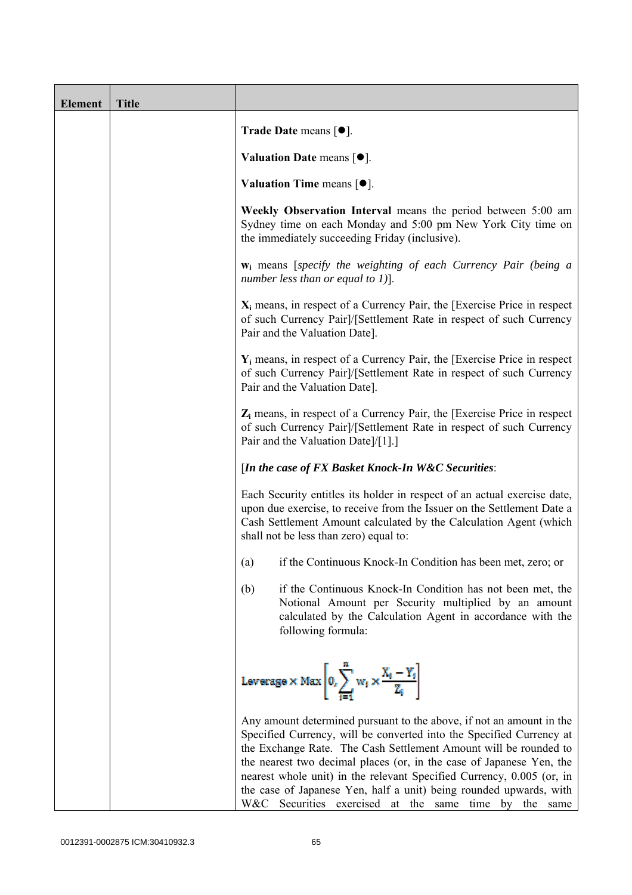| <b>Element</b> | <b>Title</b> |                                                                                                                                                                                                                                                                                                                                                                                                                                                                                                  |
|----------------|--------------|--------------------------------------------------------------------------------------------------------------------------------------------------------------------------------------------------------------------------------------------------------------------------------------------------------------------------------------------------------------------------------------------------------------------------------------------------------------------------------------------------|
|                |              | Trade Date means $[\bullet]$ .                                                                                                                                                                                                                                                                                                                                                                                                                                                                   |
|                |              | Valuation Date means $\lceil \bullet \rceil$ .                                                                                                                                                                                                                                                                                                                                                                                                                                                   |
|                |              | Valuation Time means $[•]$ .                                                                                                                                                                                                                                                                                                                                                                                                                                                                     |
|                |              | Weekly Observation Interval means the period between 5:00 am<br>Sydney time on each Monday and 5:00 pm New York City time on<br>the immediately succeeding Friday (inclusive).                                                                                                                                                                                                                                                                                                                   |
|                |              | $w_i$ means [specify the weighting of each Currency Pair (being a<br>number less than or equal to 1)].                                                                                                                                                                                                                                                                                                                                                                                           |
|                |              | $X_i$ means, in respect of a Currency Pair, the [Exercise Price in respect<br>of such Currency Pair]/[Settlement Rate in respect of such Currency<br>Pair and the Valuation Date].                                                                                                                                                                                                                                                                                                               |
|                |              | $Y_i$ means, in respect of a Currency Pair, the [Exercise Price in respect]<br>of such Currency Pair]/[Settlement Rate in respect of such Currency<br>Pair and the Valuation Date].                                                                                                                                                                                                                                                                                                              |
|                |              | $Z_i$ means, in respect of a Currency Pair, the [Exercise Price in respect<br>of such Currency Pair]/[Settlement Rate in respect of such Currency<br>Pair and the Valuation Date]/[1].]                                                                                                                                                                                                                                                                                                          |
|                |              | [In the case of FX Basket Knock-In W&C Securities:                                                                                                                                                                                                                                                                                                                                                                                                                                               |
|                |              | Each Security entitles its holder in respect of an actual exercise date,<br>upon due exercise, to receive from the Issuer on the Settlement Date a<br>Cash Settlement Amount calculated by the Calculation Agent (which<br>shall not be less than zero) equal to:                                                                                                                                                                                                                                |
|                |              | if the Continuous Knock-In Condition has been met, zero; or<br>(a)                                                                                                                                                                                                                                                                                                                                                                                                                               |
|                |              | (b)<br>if the Continuous Knock-In Condition has not been met, the<br>Notional Amount per Security multiplied by an amount<br>calculated by the Calculation Agent in accordance with the<br>following formula:                                                                                                                                                                                                                                                                                    |
|                |              | Leverage $\times$ Max $\left  0, \sum_{i=1}^{m} w_i \times \frac{X_i - Y_i}{Z_i} \right $                                                                                                                                                                                                                                                                                                                                                                                                        |
|                |              | Any amount determined pursuant to the above, if not an amount in the<br>Specified Currency, will be converted into the Specified Currency at<br>the Exchange Rate. The Cash Settlement Amount will be rounded to<br>the nearest two decimal places (or, in the case of Japanese Yen, the<br>nearest whole unit) in the relevant Specified Currency, 0.005 (or, in<br>the case of Japanese Yen, half a unit) being rounded upwards, with<br>W&C Securities exercised at the same time by the same |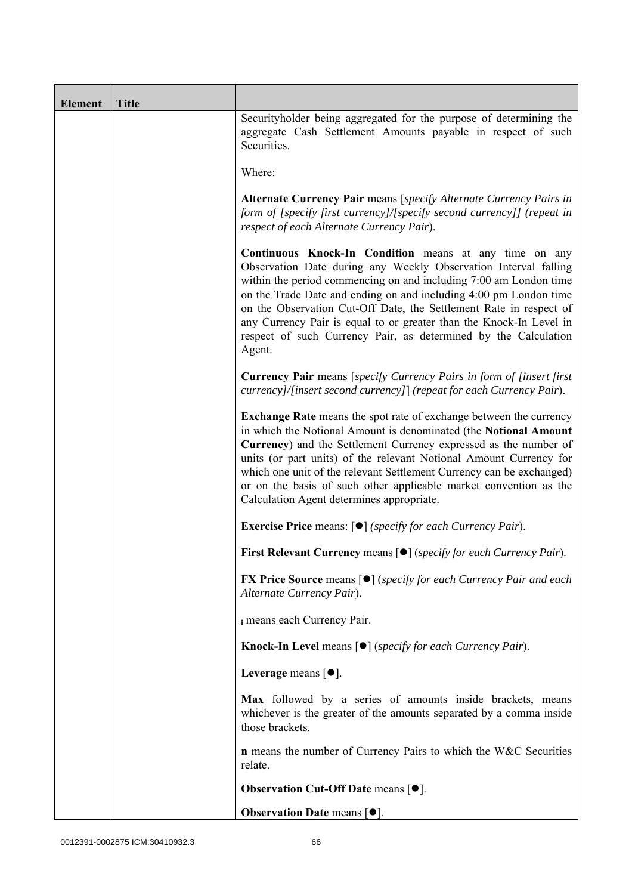| <b>Element</b> | <b>Title</b> |                                                                                                                                                                                                                                                                                                                                                                                                                                                                                               |  |
|----------------|--------------|-----------------------------------------------------------------------------------------------------------------------------------------------------------------------------------------------------------------------------------------------------------------------------------------------------------------------------------------------------------------------------------------------------------------------------------------------------------------------------------------------|--|
|                |              | Securityholder being aggregated for the purpose of determining the<br>aggregate Cash Settlement Amounts payable in respect of such<br>Securities.                                                                                                                                                                                                                                                                                                                                             |  |
|                |              | Where:                                                                                                                                                                                                                                                                                                                                                                                                                                                                                        |  |
|                |              | Alternate Currency Pair means [specify Alternate Currency Pairs in<br>form of [specify first currency]/[specify second currency]] (repeat in<br>respect of each Alternate Currency Pair).                                                                                                                                                                                                                                                                                                     |  |
|                |              | Continuous Knock-In Condition means at any time on any<br>Observation Date during any Weekly Observation Interval falling<br>within the period commencing on and including 7:00 am London time<br>on the Trade Date and ending on and including 4:00 pm London time<br>on the Observation Cut-Off Date, the Settlement Rate in respect of<br>any Currency Pair is equal to or greater than the Knock-In Level in<br>respect of such Currency Pair, as determined by the Calculation<br>Agent. |  |
|                |              | <b>Currency Pair</b> means [specify Currency Pairs in form of [insert first<br>currency]/[insert second currency]] (repeat for each Currency Pair).                                                                                                                                                                                                                                                                                                                                           |  |
|                |              | <b>Exchange Rate</b> means the spot rate of exchange between the currency<br>in which the Notional Amount is denominated (the Notional Amount<br>Currency) and the Settlement Currency expressed as the number of<br>units (or part units) of the relevant Notional Amount Currency for<br>which one unit of the relevant Settlement Currency can be exchanged)<br>or on the basis of such other applicable market convention as the<br>Calculation Agent determines appropriate.             |  |
|                |              | <b>Exercise Price</b> means: $\lceil \bullet \rceil$ ( <i>specify for each Currency Pair</i> ).                                                                                                                                                                                                                                                                                                                                                                                               |  |
|                |              | First Relevant Currency means [ $\bullet$ ] (specify for each Currency Pair).                                                                                                                                                                                                                                                                                                                                                                                                                 |  |
|                |              | <b>FX Price Source</b> means $\lceil \bullet \rceil$ (specify for each Currency Pair and each<br>Alternate Currency Pair).                                                                                                                                                                                                                                                                                                                                                                    |  |
|                |              | i means each Currency Pair.                                                                                                                                                                                                                                                                                                                                                                                                                                                                   |  |
|                |              | <b>Knock-In Level means <math>\lceil \bullet \rceil</math> (specify for each Currency Pair).</b>                                                                                                                                                                                                                                                                                                                                                                                              |  |
|                |              | Leverage means $[•]$ .                                                                                                                                                                                                                                                                                                                                                                                                                                                                        |  |
|                |              | Max followed by a series of amounts inside brackets, means<br>whichever is the greater of the amounts separated by a comma inside<br>those brackets.                                                                                                                                                                                                                                                                                                                                          |  |
|                |              | <b>n</b> means the number of Currency Pairs to which the W&C Securities<br>relate.                                                                                                                                                                                                                                                                                                                                                                                                            |  |
|                |              | <b>Observation Cut-Off Date means [<math>\bullet</math>].</b>                                                                                                                                                                                                                                                                                                                                                                                                                                 |  |
|                |              | Observation Date means [ $\bullet$ ].                                                                                                                                                                                                                                                                                                                                                                                                                                                         |  |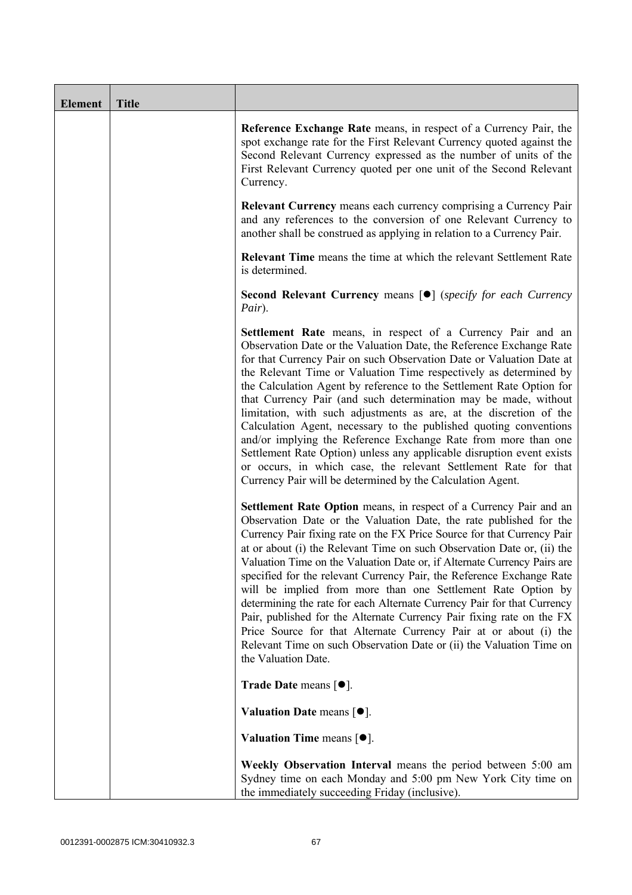| <b>Element</b> | <b>Title</b> |                                                                                                                                                                                                                                                                                                                                                                                                                                                                                                                                                                                                                                                                                                                                                                                                                                                   |
|----------------|--------------|---------------------------------------------------------------------------------------------------------------------------------------------------------------------------------------------------------------------------------------------------------------------------------------------------------------------------------------------------------------------------------------------------------------------------------------------------------------------------------------------------------------------------------------------------------------------------------------------------------------------------------------------------------------------------------------------------------------------------------------------------------------------------------------------------------------------------------------------------|
|                |              | Reference Exchange Rate means, in respect of a Currency Pair, the<br>spot exchange rate for the First Relevant Currency quoted against the<br>Second Relevant Currency expressed as the number of units of the<br>First Relevant Currency quoted per one unit of the Second Relevant<br>Currency.                                                                                                                                                                                                                                                                                                                                                                                                                                                                                                                                                 |
|                |              | <b>Relevant Currency</b> means each currency comprising a Currency Pair<br>and any references to the conversion of one Relevant Currency to<br>another shall be construed as applying in relation to a Currency Pair.                                                                                                                                                                                                                                                                                                                                                                                                                                                                                                                                                                                                                             |
|                |              | <b>Relevant Time</b> means the time at which the relevant Settlement Rate<br>is determined.                                                                                                                                                                                                                                                                                                                                                                                                                                                                                                                                                                                                                                                                                                                                                       |
|                |              | Second Relevant Currency means [ $\bullet$ ] (specify for each Currency<br>Pair).                                                                                                                                                                                                                                                                                                                                                                                                                                                                                                                                                                                                                                                                                                                                                                 |
|                |              | Settlement Rate means, in respect of a Currency Pair and an<br>Observation Date or the Valuation Date, the Reference Exchange Rate<br>for that Currency Pair on such Observation Date or Valuation Date at<br>the Relevant Time or Valuation Time respectively as determined by<br>the Calculation Agent by reference to the Settlement Rate Option for<br>that Currency Pair (and such determination may be made, without<br>limitation, with such adjustments as are, at the discretion of the<br>Calculation Agent, necessary to the published quoting conventions<br>and/or implying the Reference Exchange Rate from more than one<br>Settlement Rate Option) unless any applicable disruption event exists<br>or occurs, in which case, the relevant Settlement Rate for that<br>Currency Pair will be determined by the Calculation Agent. |
|                |              | Settlement Rate Option means, in respect of a Currency Pair and an<br>Observation Date or the Valuation Date, the rate published for the<br>Currency Pair fixing rate on the FX Price Source for that Currency Pair<br>at or about (i) the Relevant Time on such Observation Date or, (ii) the<br>Valuation Time on the Valuation Date or, if Alternate Currency Pairs are<br>specified for the relevant Currency Pair, the Reference Exchange Rate<br>will be implied from more than one Settlement Rate Option by<br>determining the rate for each Alternate Currency Pair for that Currency<br>Pair, published for the Alternate Currency Pair fixing rate on the FX<br>Price Source for that Alternate Currency Pair at or about (i) the<br>Relevant Time on such Observation Date or (ii) the Valuation Time on<br>the Valuation Date.       |
|                |              | Trade Date means $[•]$ .                                                                                                                                                                                                                                                                                                                                                                                                                                                                                                                                                                                                                                                                                                                                                                                                                          |
|                |              | Valuation Date means $[•]$ .                                                                                                                                                                                                                                                                                                                                                                                                                                                                                                                                                                                                                                                                                                                                                                                                                      |
|                |              | Valuation Time means $[•]$ .                                                                                                                                                                                                                                                                                                                                                                                                                                                                                                                                                                                                                                                                                                                                                                                                                      |
|                |              | Weekly Observation Interval means the period between 5:00 am<br>Sydney time on each Monday and 5:00 pm New York City time on<br>the immediately succeeding Friday (inclusive).                                                                                                                                                                                                                                                                                                                                                                                                                                                                                                                                                                                                                                                                    |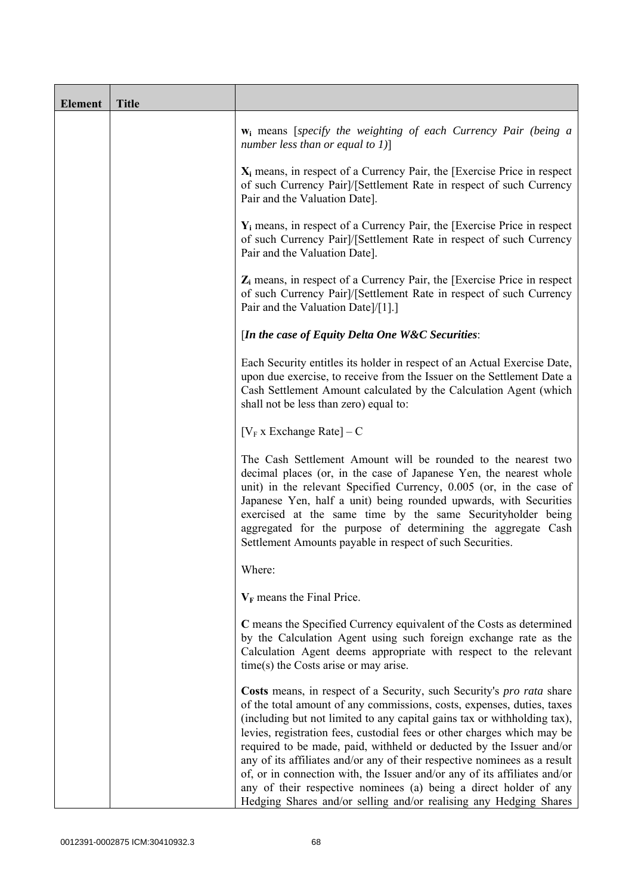| <b>Element</b> | <b>Title</b> |                                                                                                                                                                                                                                                                                                                                                                                                                                                                                                                                                                                                                                                                                    |
|----------------|--------------|------------------------------------------------------------------------------------------------------------------------------------------------------------------------------------------------------------------------------------------------------------------------------------------------------------------------------------------------------------------------------------------------------------------------------------------------------------------------------------------------------------------------------------------------------------------------------------------------------------------------------------------------------------------------------------|
|                |              | $w_i$ means [specify the weighting of each Currency Pair (being a<br>number less than or equal to $1$ ]                                                                                                                                                                                                                                                                                                                                                                                                                                                                                                                                                                            |
|                |              | $X_i$ means, in respect of a Currency Pair, the [Exercise Price in respect<br>of such Currency Pair]/[Settlement Rate in respect of such Currency<br>Pair and the Valuation Date].                                                                                                                                                                                                                                                                                                                                                                                                                                                                                                 |
|                |              | $Y_i$ means, in respect of a Currency Pair, the [Exercise Price in respect<br>of such Currency Pair]/[Settlement Rate in respect of such Currency<br>Pair and the Valuation Date].                                                                                                                                                                                                                                                                                                                                                                                                                                                                                                 |
|                |              | $Z_i$ means, in respect of a Currency Pair, the [Exercise Price in respect<br>of such Currency Pair]/[Settlement Rate in respect of such Currency<br>Pair and the Valuation Date]/[1].]                                                                                                                                                                                                                                                                                                                                                                                                                                                                                            |
|                |              | [In the case of Equity Delta One W&C Securities:                                                                                                                                                                                                                                                                                                                                                                                                                                                                                                                                                                                                                                   |
|                |              | Each Security entitles its holder in respect of an Actual Exercise Date,<br>upon due exercise, to receive from the Issuer on the Settlement Date a<br>Cash Settlement Amount calculated by the Calculation Agent (which<br>shall not be less than zero) equal to:                                                                                                                                                                                                                                                                                                                                                                                                                  |
|                |              | [ $V_F$ x Exchange Rate] – C                                                                                                                                                                                                                                                                                                                                                                                                                                                                                                                                                                                                                                                       |
|                |              | The Cash Settlement Amount will be rounded to the nearest two<br>decimal places (or, in the case of Japanese Yen, the nearest whole<br>unit) in the relevant Specified Currency, 0.005 (or, in the case of<br>Japanese Yen, half a unit) being rounded upwards, with Securities<br>exercised at the same time by the same Securityholder being<br>aggregated for the purpose of determining the aggregate Cash<br>Settlement Amounts payable in respect of such Securities.                                                                                                                                                                                                        |
|                |              | Where:                                                                                                                                                                                                                                                                                                                                                                                                                                                                                                                                                                                                                                                                             |
|                |              | $V_F$ means the Final Price.                                                                                                                                                                                                                                                                                                                                                                                                                                                                                                                                                                                                                                                       |
|                |              | C means the Specified Currency equivalent of the Costs as determined<br>by the Calculation Agent using such foreign exchange rate as the<br>Calculation Agent deems appropriate with respect to the relevant<br>$time(s)$ the Costs arise or may arise.                                                                                                                                                                                                                                                                                                                                                                                                                            |
|                |              | Costs means, in respect of a Security, such Security's pro rata share<br>of the total amount of any commissions, costs, expenses, duties, taxes<br>(including but not limited to any capital gains tax or withholding tax),<br>levies, registration fees, custodial fees or other charges which may be<br>required to be made, paid, withheld or deducted by the Issuer and/or<br>any of its affiliates and/or any of their respective nominees as a result<br>of, or in connection with, the Issuer and/or any of its affiliates and/or<br>any of their respective nominees (a) being a direct holder of any<br>Hedging Shares and/or selling and/or realising any Hedging Shares |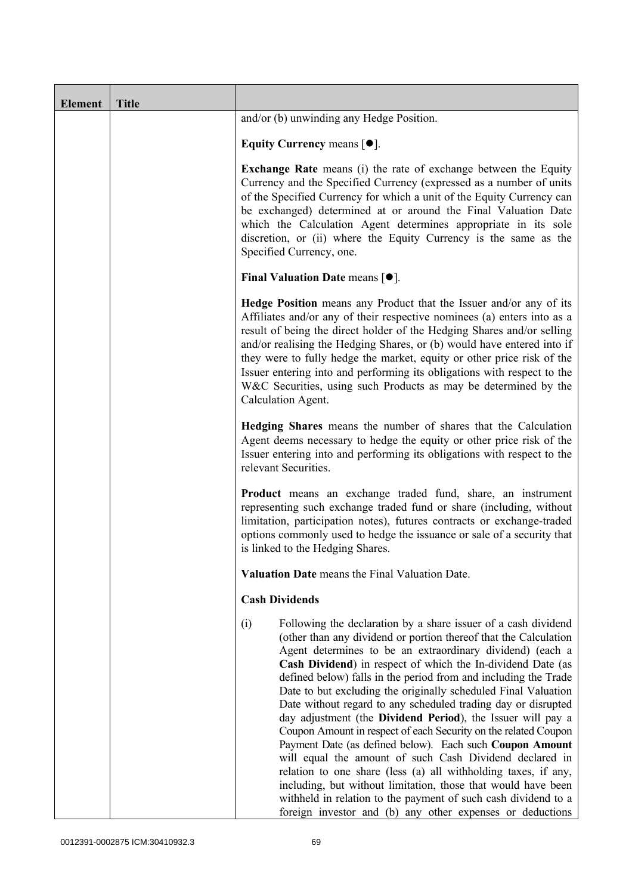| <b>Element</b> | <b>Title</b> |                                                                                                                                                                                                                                                                                                                                                                                                                                                                                                                                                                                                                                                                                                                                                                                                                                                                                                                                                                                                        |
|----------------|--------------|--------------------------------------------------------------------------------------------------------------------------------------------------------------------------------------------------------------------------------------------------------------------------------------------------------------------------------------------------------------------------------------------------------------------------------------------------------------------------------------------------------------------------------------------------------------------------------------------------------------------------------------------------------------------------------------------------------------------------------------------------------------------------------------------------------------------------------------------------------------------------------------------------------------------------------------------------------------------------------------------------------|
|                |              | and/or (b) unwinding any Hedge Position.                                                                                                                                                                                                                                                                                                                                                                                                                                                                                                                                                                                                                                                                                                                                                                                                                                                                                                                                                               |
|                |              | Equity Currency means $[\bullet].$                                                                                                                                                                                                                                                                                                                                                                                                                                                                                                                                                                                                                                                                                                                                                                                                                                                                                                                                                                     |
|                |              | <b>Exchange Rate</b> means (i) the rate of exchange between the Equity<br>Currency and the Specified Currency (expressed as a number of units<br>of the Specified Currency for which a unit of the Equity Currency can<br>be exchanged) determined at or around the Final Valuation Date<br>which the Calculation Agent determines appropriate in its sole<br>discretion, or (ii) where the Equity Currency is the same as the<br>Specified Currency, one.                                                                                                                                                                                                                                                                                                                                                                                                                                                                                                                                             |
|                |              | <b>Final Valuation Date means <math>\lceil \bullet \rceil</math>.</b>                                                                                                                                                                                                                                                                                                                                                                                                                                                                                                                                                                                                                                                                                                                                                                                                                                                                                                                                  |
|                |              | Hedge Position means any Product that the Issuer and/or any of its<br>Affiliates and/or any of their respective nominees (a) enters into as a<br>result of being the direct holder of the Hedging Shares and/or selling<br>and/or realising the Hedging Shares, or (b) would have entered into if<br>they were to fully hedge the market, equity or other price risk of the<br>Issuer entering into and performing its obligations with respect to the<br>W&C Securities, using such Products as may be determined by the<br>Calculation Agent.                                                                                                                                                                                                                                                                                                                                                                                                                                                        |
|                |              | Hedging Shares means the number of shares that the Calculation<br>Agent deems necessary to hedge the equity or other price risk of the<br>Issuer entering into and performing its obligations with respect to the<br>relevant Securities.                                                                                                                                                                                                                                                                                                                                                                                                                                                                                                                                                                                                                                                                                                                                                              |
|                |              | Product means an exchange traded fund, share, an instrument<br>representing such exchange traded fund or share (including, without<br>limitation, participation notes), futures contracts or exchange-traded<br>options commonly used to hedge the issuance or sale of a security that<br>is linked to the Hedging Shares.                                                                                                                                                                                                                                                                                                                                                                                                                                                                                                                                                                                                                                                                             |
|                |              | Valuation Date means the Final Valuation Date.                                                                                                                                                                                                                                                                                                                                                                                                                                                                                                                                                                                                                                                                                                                                                                                                                                                                                                                                                         |
|                |              | <b>Cash Dividends</b>                                                                                                                                                                                                                                                                                                                                                                                                                                                                                                                                                                                                                                                                                                                                                                                                                                                                                                                                                                                  |
|                |              | Following the declaration by a share issuer of a cash dividend<br>(i)<br>(other than any dividend or portion thereof that the Calculation<br>Agent determines to be an extraordinary dividend) (each a<br>Cash Dividend) in respect of which the In-dividend Date (as<br>defined below) falls in the period from and including the Trade<br>Date to but excluding the originally scheduled Final Valuation<br>Date without regard to any scheduled trading day or disrupted<br>day adjustment (the Dividend Period), the Issuer will pay a<br>Coupon Amount in respect of each Security on the related Coupon<br>Payment Date (as defined below). Each such Coupon Amount<br>will equal the amount of such Cash Dividend declared in<br>relation to one share (less (a) all withholding taxes, if any,<br>including, but without limitation, those that would have been<br>withheld in relation to the payment of such cash dividend to a<br>foreign investor and (b) any other expenses or deductions |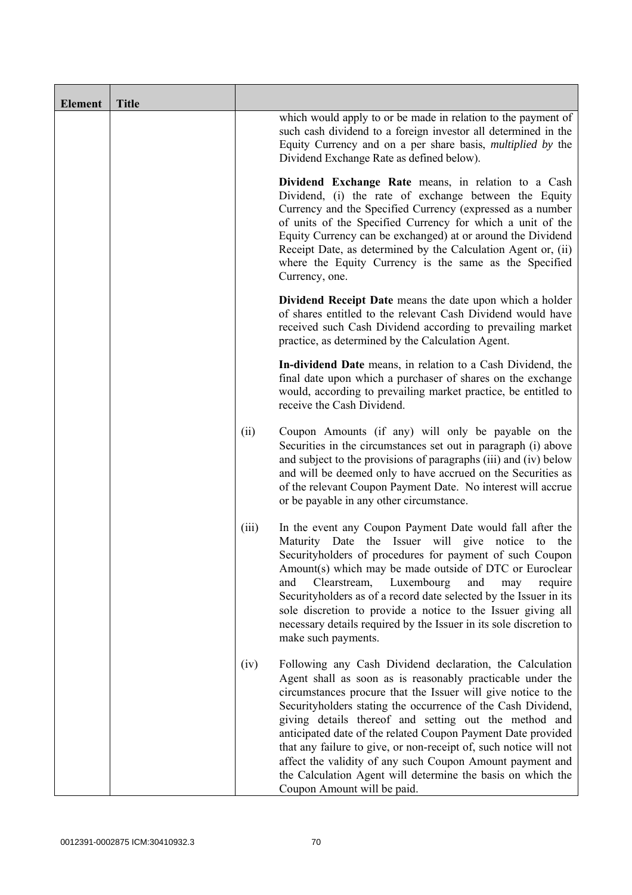| <b>Element</b> | <b>Title</b> |       |                                                                                                                                                                                                                                                                                                                                                                                                                                                                                                                                                                                                                  |
|----------------|--------------|-------|------------------------------------------------------------------------------------------------------------------------------------------------------------------------------------------------------------------------------------------------------------------------------------------------------------------------------------------------------------------------------------------------------------------------------------------------------------------------------------------------------------------------------------------------------------------------------------------------------------------|
|                |              |       | which would apply to or be made in relation to the payment of<br>such cash dividend to a foreign investor all determined in the<br>Equity Currency and on a per share basis, <i>multiplied by</i> the<br>Dividend Exchange Rate as defined below).                                                                                                                                                                                                                                                                                                                                                               |
|                |              |       | Dividend Exchange Rate means, in relation to a Cash<br>Dividend, (i) the rate of exchange between the Equity<br>Currency and the Specified Currency (expressed as a number<br>of units of the Specified Currency for which a unit of the<br>Equity Currency can be exchanged) at or around the Dividend<br>Receipt Date, as determined by the Calculation Agent or, (ii)<br>where the Equity Currency is the same as the Specified<br>Currency, one.                                                                                                                                                             |
|                |              |       | Dividend Receipt Date means the date upon which a holder<br>of shares entitled to the relevant Cash Dividend would have<br>received such Cash Dividend according to prevailing market<br>practice, as determined by the Calculation Agent.                                                                                                                                                                                                                                                                                                                                                                       |
|                |              |       | In-dividend Date means, in relation to a Cash Dividend, the<br>final date upon which a purchaser of shares on the exchange<br>would, according to prevailing market practice, be entitled to<br>receive the Cash Dividend.                                                                                                                                                                                                                                                                                                                                                                                       |
|                |              | (ii)  | Coupon Amounts (if any) will only be payable on the<br>Securities in the circumstances set out in paragraph (i) above<br>and subject to the provisions of paragraphs (iii) and (iv) below<br>and will be deemed only to have accrued on the Securities as<br>of the relevant Coupon Payment Date. No interest will accrue<br>or be payable in any other circumstance.                                                                                                                                                                                                                                            |
|                |              | (iii) | In the event any Coupon Payment Date would fall after the<br>Maturity Date the Issuer will give notice to the<br>Security holders of procedures for payment of such Coupon<br>Amount(s) which may be made outside of DTC or Euroclear<br>Luxembourg<br>and<br>Clearstream,<br>and<br>may<br>require<br>Securityholders as of a record date selected by the Issuer in its<br>sole discretion to provide a notice to the Issuer giving all<br>necessary details required by the Issuer in its sole discretion to<br>make such payments.                                                                            |
|                |              | (iv)  | Following any Cash Dividend declaration, the Calculation<br>Agent shall as soon as is reasonably practicable under the<br>circumstances procure that the Issuer will give notice to the<br>Securityholders stating the occurrence of the Cash Dividend,<br>giving details thereof and setting out the method and<br>anticipated date of the related Coupon Payment Date provided<br>that any failure to give, or non-receipt of, such notice will not<br>affect the validity of any such Coupon Amount payment and<br>the Calculation Agent will determine the basis on which the<br>Coupon Amount will be paid. |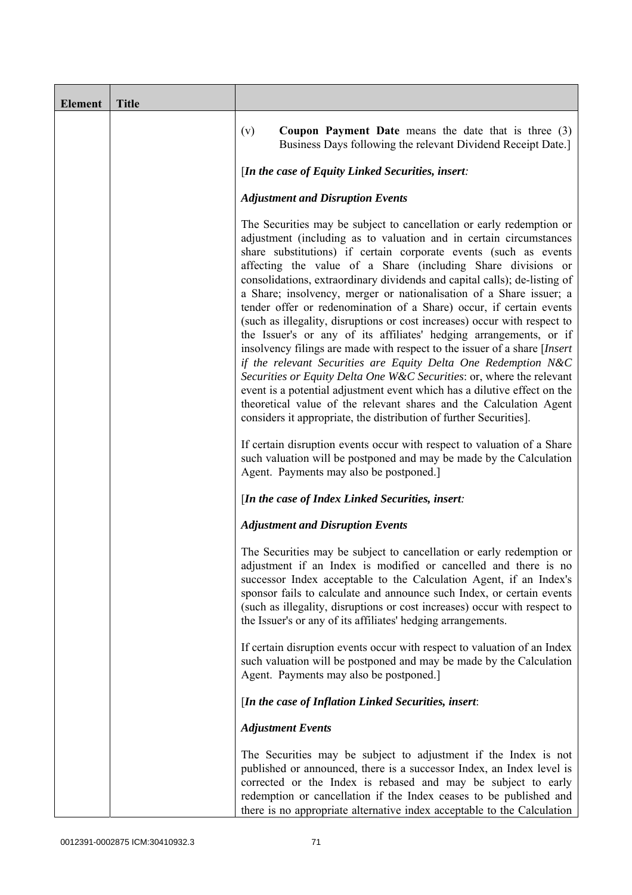| <b>Element</b> | <b>Title</b> |                                                                                                                                                                                                                                                                                                                                                                                                                                                                                                                                                                                                                                                                                                                                                                                                                                                                                                                                                                                                                                                                                                                                                                                          |
|----------------|--------------|------------------------------------------------------------------------------------------------------------------------------------------------------------------------------------------------------------------------------------------------------------------------------------------------------------------------------------------------------------------------------------------------------------------------------------------------------------------------------------------------------------------------------------------------------------------------------------------------------------------------------------------------------------------------------------------------------------------------------------------------------------------------------------------------------------------------------------------------------------------------------------------------------------------------------------------------------------------------------------------------------------------------------------------------------------------------------------------------------------------------------------------------------------------------------------------|
|                |              | <b>Coupon Payment Date</b> means the date that is three $(3)$<br>(v)<br>Business Days following the relevant Dividend Receipt Date.]                                                                                                                                                                                                                                                                                                                                                                                                                                                                                                                                                                                                                                                                                                                                                                                                                                                                                                                                                                                                                                                     |
|                |              | [In the case of Equity Linked Securities, insert:                                                                                                                                                                                                                                                                                                                                                                                                                                                                                                                                                                                                                                                                                                                                                                                                                                                                                                                                                                                                                                                                                                                                        |
|                |              | <b>Adjustment and Disruption Events</b>                                                                                                                                                                                                                                                                                                                                                                                                                                                                                                                                                                                                                                                                                                                                                                                                                                                                                                                                                                                                                                                                                                                                                  |
|                |              | The Securities may be subject to cancellation or early redemption or<br>adjustment (including as to valuation and in certain circumstances<br>share substitutions) if certain corporate events (such as events<br>affecting the value of a Share (including Share divisions or<br>consolidations, extraordinary dividends and capital calls); de-listing of<br>a Share; insolvency, merger or nationalisation of a Share issuer; a<br>tender offer or redenomination of a Share) occur, if certain events<br>(such as illegality, disruptions or cost increases) occur with respect to<br>the Issuer's or any of its affiliates' hedging arrangements, or if<br>insolvency filings are made with respect to the issuer of a share [Insert]<br>if the relevant Securities are Equity Delta One Redemption N&C<br>Securities or Equity Delta One W&C Securities: or, where the relevant<br>event is a potential adjustment event which has a dilutive effect on the<br>theoretical value of the relevant shares and the Calculation Agent<br>considers it appropriate, the distribution of further Securities].<br>If certain disruption events occur with respect to valuation of a Share |
|                |              | such valuation will be postponed and may be made by the Calculation<br>Agent. Payments may also be postponed.]                                                                                                                                                                                                                                                                                                                                                                                                                                                                                                                                                                                                                                                                                                                                                                                                                                                                                                                                                                                                                                                                           |
|                |              | [In the case of Index Linked Securities, insert:                                                                                                                                                                                                                                                                                                                                                                                                                                                                                                                                                                                                                                                                                                                                                                                                                                                                                                                                                                                                                                                                                                                                         |
|                |              | <b>Adjustment and Disruption Events</b>                                                                                                                                                                                                                                                                                                                                                                                                                                                                                                                                                                                                                                                                                                                                                                                                                                                                                                                                                                                                                                                                                                                                                  |
|                |              | The Securities may be subject to cancellation or early redemption or<br>adjustment if an Index is modified or cancelled and there is no<br>successor Index acceptable to the Calculation Agent, if an Index's<br>sponsor fails to calculate and announce such Index, or certain events<br>(such as illegality, disruptions or cost increases) occur with respect to<br>the Issuer's or any of its affiliates' hedging arrangements.                                                                                                                                                                                                                                                                                                                                                                                                                                                                                                                                                                                                                                                                                                                                                      |
|                |              | If certain disruption events occur with respect to valuation of an Index<br>such valuation will be postponed and may be made by the Calculation<br>Agent. Payments may also be postponed.]                                                                                                                                                                                                                                                                                                                                                                                                                                                                                                                                                                                                                                                                                                                                                                                                                                                                                                                                                                                               |
|                |              | [In the case of Inflation Linked Securities, insert:                                                                                                                                                                                                                                                                                                                                                                                                                                                                                                                                                                                                                                                                                                                                                                                                                                                                                                                                                                                                                                                                                                                                     |
|                |              | <b>Adjustment Events</b>                                                                                                                                                                                                                                                                                                                                                                                                                                                                                                                                                                                                                                                                                                                                                                                                                                                                                                                                                                                                                                                                                                                                                                 |
|                |              | The Securities may be subject to adjustment if the Index is not<br>published or announced, there is a successor Index, an Index level is<br>corrected or the Index is rebased and may be subject to early<br>redemption or cancellation if the Index ceases to be published and<br>there is no appropriate alternative index acceptable to the Calculation                                                                                                                                                                                                                                                                                                                                                                                                                                                                                                                                                                                                                                                                                                                                                                                                                               |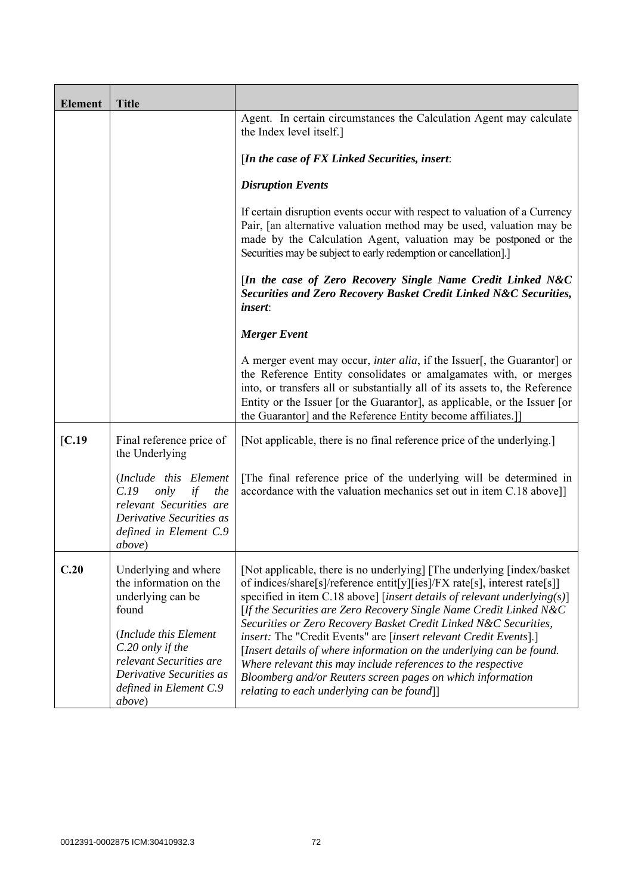| <b>Element</b> | <b>Title</b>                                                                                                                                                                                                                 |                                                                                                                                                                                                                                                                                                                                                                                                                                                                                                                                                                                                                                                                                                     |
|----------------|------------------------------------------------------------------------------------------------------------------------------------------------------------------------------------------------------------------------------|-----------------------------------------------------------------------------------------------------------------------------------------------------------------------------------------------------------------------------------------------------------------------------------------------------------------------------------------------------------------------------------------------------------------------------------------------------------------------------------------------------------------------------------------------------------------------------------------------------------------------------------------------------------------------------------------------------|
|                |                                                                                                                                                                                                                              | Agent. In certain circumstances the Calculation Agent may calculate<br>the Index level itself.]                                                                                                                                                                                                                                                                                                                                                                                                                                                                                                                                                                                                     |
|                |                                                                                                                                                                                                                              | [In the case of $FX$ Linked Securities, insert:                                                                                                                                                                                                                                                                                                                                                                                                                                                                                                                                                                                                                                                     |
|                |                                                                                                                                                                                                                              | <b>Disruption Events</b>                                                                                                                                                                                                                                                                                                                                                                                                                                                                                                                                                                                                                                                                            |
|                |                                                                                                                                                                                                                              | If certain disruption events occur with respect to valuation of a Currency<br>Pair, [an alternative valuation method may be used, valuation may be<br>made by the Calculation Agent, valuation may be postponed or the<br>Securities may be subject to early redemption or cancellation].]                                                                                                                                                                                                                                                                                                                                                                                                          |
|                |                                                                                                                                                                                                                              | [In the case of Zero Recovery Single Name Credit Linked N&C<br>Securities and Zero Recovery Basket Credit Linked N&C Securities,<br><i>insert:</i>                                                                                                                                                                                                                                                                                                                                                                                                                                                                                                                                                  |
|                |                                                                                                                                                                                                                              | <b>Merger Event</b>                                                                                                                                                                                                                                                                                                                                                                                                                                                                                                                                                                                                                                                                                 |
|                |                                                                                                                                                                                                                              | A merger event may occur, <i>inter alia</i> , if the Issuer[, the Guarantor] or<br>the Reference Entity consolidates or amalgamates with, or merges<br>into, or transfers all or substantially all of its assets to, the Reference<br>Entity or the Issuer [or the Guarantor], as applicable, or the Issuer [or<br>the Guarantor] and the Reference Entity become affiliates.]                                                                                                                                                                                                                                                                                                                      |
| [C.19]         | Final reference price of<br>the Underlying                                                                                                                                                                                   | [Not applicable, there is no final reference price of the underlying.]                                                                                                                                                                                                                                                                                                                                                                                                                                                                                                                                                                                                                              |
|                | (Include this Element<br>C.19<br>only<br>if<br>the<br>relevant Securities are<br>Derivative Securities as<br>defined in Element C.9<br><i>above</i> )                                                                        | The final reference price of the underlying will be determined in<br>accordance with the valuation mechanics set out in item C.18 above]]                                                                                                                                                                                                                                                                                                                                                                                                                                                                                                                                                           |
| C.20           | Underlying and where<br>the information on the<br>underlying can be<br>found<br>(Include this Element<br>C.20 only if the<br>relevant Securities are<br>Derivative Securities as<br>defined in Element C.9<br><i>above</i> ) | [Not applicable, there is no underlying] [The underlying [index/basket]<br>of indices/share[s]/reference entit[y][ies]/FX rate[s], interest rate[s]]<br>specified in item C.18 above] [insert details of relevant underlying(s)]<br>[If the Securities are Zero Recovery Single Name Credit Linked N&C<br>Securities or Zero Recovery Basket Credit Linked N&C Securities,<br>insert: The "Credit Events" are [insert relevant Credit Events].]<br>[Insert details of where information on the underlying can be found.<br>Where relevant this may include references to the respective<br>Bloomberg and/or Reuters screen pages on which information<br>relating to each underlying can be found]] |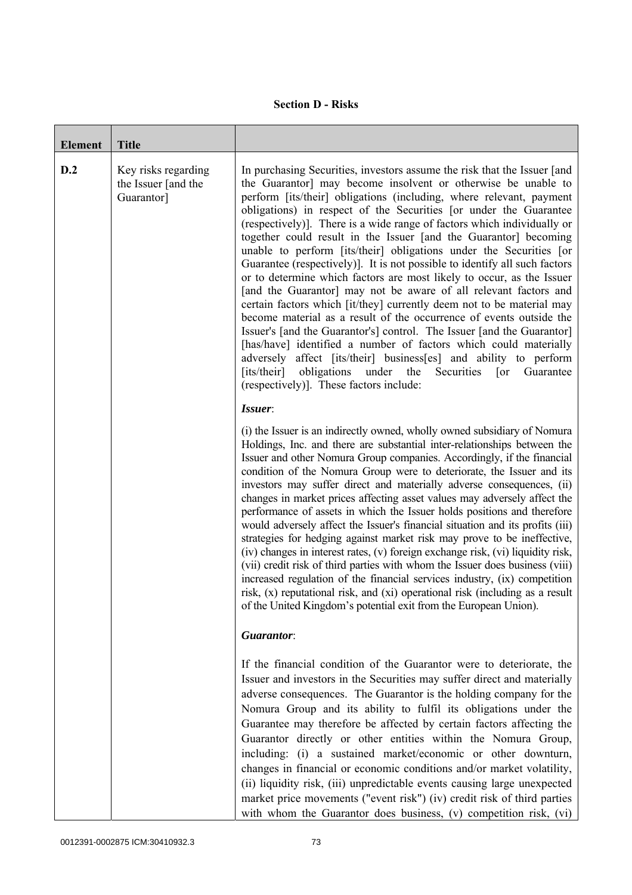## **Section D - Risks**

| <b>Element</b> | <b>Title</b>                                             |                                                                                                                                                                                                                                                                                                                                                                                                                                                                                                                                                                                                                                                                                                                                                                                                                                                                                                                                                                                                                                                                                                                                                                                                                                           |
|----------------|----------------------------------------------------------|-------------------------------------------------------------------------------------------------------------------------------------------------------------------------------------------------------------------------------------------------------------------------------------------------------------------------------------------------------------------------------------------------------------------------------------------------------------------------------------------------------------------------------------------------------------------------------------------------------------------------------------------------------------------------------------------------------------------------------------------------------------------------------------------------------------------------------------------------------------------------------------------------------------------------------------------------------------------------------------------------------------------------------------------------------------------------------------------------------------------------------------------------------------------------------------------------------------------------------------------|
| D.2            | Key risks regarding<br>the Issuer [and the<br>Guarantor] | In purchasing Securities, investors assume the risk that the Issuer [and<br>the Guarantor] may become insolvent or otherwise be unable to<br>perform [its/their] obligations (including, where relevant, payment<br>obligations) in respect of the Securities [or under the Guarantee<br>(respectively)]. There is a wide range of factors which individually or<br>together could result in the Issuer [and the Guarantor] becoming<br>unable to perform [its/their] obligations under the Securities [or<br>Guarantee (respectively). It is not possible to identify all such factors<br>or to determine which factors are most likely to occur, as the Issuer<br>[and the Guarantor] may not be aware of all relevant factors and<br>certain factors which [it/they] currently deem not to be material may<br>become material as a result of the occurrence of events outside the<br>Issuer's [and the Guarantor's] control. The Issuer [and the Guarantor]<br>[has/have] identified a number of factors which could materially<br>adversely affect [its/their] business[es] and ability to perform<br>[its/their]<br>obligations<br>under<br>the<br>Securities<br>Guarantee<br>$\lceil$ or<br>(respectively)]. These factors include: |
|                |                                                          | Issuer:<br>(i) the Issuer is an indirectly owned, wholly owned subsidiary of Nomura<br>Holdings, Inc. and there are substantial inter-relationships between the<br>Issuer and other Nomura Group companies. Accordingly, if the financial<br>condition of the Nomura Group were to deteriorate, the Issuer and its<br>investors may suffer direct and materially adverse consequences, (ii)<br>changes in market prices affecting asset values may adversely affect the<br>performance of assets in which the Issuer holds positions and therefore<br>would adversely affect the Issuer's financial situation and its profits (iii)<br>strategies for hedging against market risk may prove to be ineffective,<br>(iv) changes in interest rates, (v) foreign exchange risk, (vi) liquidity risk,<br>(vii) credit risk of third parties with whom the Issuer does business (viii)<br>increased regulation of the financial services industry, (ix) competition<br>risk, (x) reputational risk, and (xi) operational risk (including as a result<br>of the United Kingdom's potential exit from the European Union).                                                                                                                       |
|                |                                                          | Guarantor:                                                                                                                                                                                                                                                                                                                                                                                                                                                                                                                                                                                                                                                                                                                                                                                                                                                                                                                                                                                                                                                                                                                                                                                                                                |
|                |                                                          | If the financial condition of the Guarantor were to deteriorate, the<br>Issuer and investors in the Securities may suffer direct and materially<br>adverse consequences. The Guarantor is the holding company for the<br>Nomura Group and its ability to fulfil its obligations under the<br>Guarantee may therefore be affected by certain factors affecting the<br>Guarantor directly or other entities within the Nomura Group,<br>including: (i) a sustained market/economic or other downturn,<br>changes in financial or economic conditions and/or market volatility,<br>(ii) liquidity risk, (iii) unpredictable events causing large unexpected<br>market price movements ("event risk") (iv) credit risk of third parties<br>with whom the Guarantor does business, (v) competition risk, (vi)                                                                                                                                                                                                                                                                                                                                                                                                                                  |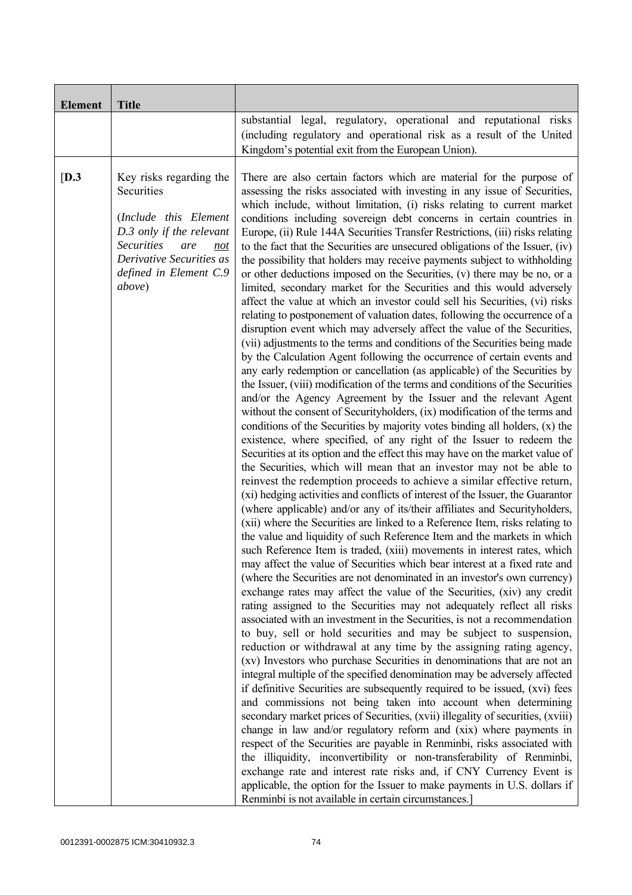| <b>Element</b> | <b>Title</b>                                                                                                                                                                                          |                                                                                                                                                                                                                                                                                                                                                                                                                                                                                                                                                                                                                                                                                                                                                                                                                                                                                                                                                                                                                                                                                                                                                                                                                                                                                                                                                                                                                                                                                                                                                                                                                                                                                                                                                                                                                                                                                                                                                                                                                                                                                                                                                                                                                                                                                                                                                                                                                                                                                                                                                                                                                                                                                                                                                                                                                                                                                                                                                                                                                                                                                                                                                                                                                                                                                                                                                                                                                                                                                                                                                                                                      |
|----------------|-------------------------------------------------------------------------------------------------------------------------------------------------------------------------------------------------------|------------------------------------------------------------------------------------------------------------------------------------------------------------------------------------------------------------------------------------------------------------------------------------------------------------------------------------------------------------------------------------------------------------------------------------------------------------------------------------------------------------------------------------------------------------------------------------------------------------------------------------------------------------------------------------------------------------------------------------------------------------------------------------------------------------------------------------------------------------------------------------------------------------------------------------------------------------------------------------------------------------------------------------------------------------------------------------------------------------------------------------------------------------------------------------------------------------------------------------------------------------------------------------------------------------------------------------------------------------------------------------------------------------------------------------------------------------------------------------------------------------------------------------------------------------------------------------------------------------------------------------------------------------------------------------------------------------------------------------------------------------------------------------------------------------------------------------------------------------------------------------------------------------------------------------------------------------------------------------------------------------------------------------------------------------------------------------------------------------------------------------------------------------------------------------------------------------------------------------------------------------------------------------------------------------------------------------------------------------------------------------------------------------------------------------------------------------------------------------------------------------------------------------------------------------------------------------------------------------------------------------------------------------------------------------------------------------------------------------------------------------------------------------------------------------------------------------------------------------------------------------------------------------------------------------------------------------------------------------------------------------------------------------------------------------------------------------------------------------------------------------------------------------------------------------------------------------------------------------------------------------------------------------------------------------------------------------------------------------------------------------------------------------------------------------------------------------------------------------------------------------------------------------------------------------------------------------------------------|
|                |                                                                                                                                                                                                       | substantial legal, regulatory, operational and reputational risks<br>(including regulatory and operational risk as a result of the United<br>Kingdom's potential exit from the European Union).                                                                                                                                                                                                                                                                                                                                                                                                                                                                                                                                                                                                                                                                                                                                                                                                                                                                                                                                                                                                                                                                                                                                                                                                                                                                                                                                                                                                                                                                                                                                                                                                                                                                                                                                                                                                                                                                                                                                                                                                                                                                                                                                                                                                                                                                                                                                                                                                                                                                                                                                                                                                                                                                                                                                                                                                                                                                                                                                                                                                                                                                                                                                                                                                                                                                                                                                                                                                      |
| [D.3]          | Key risks regarding the<br>Securities<br>(Include this Element<br>D.3 only if the relevant<br><b>Securities</b><br>are<br>not<br>Derivative Securities as<br>defined in Element C.9<br><i>above</i> ) | There are also certain factors which are material for the purpose of<br>assessing the risks associated with investing in any issue of Securities,<br>which include, without limitation, (i) risks relating to current market<br>conditions including sovereign debt concerns in certain countries in<br>Europe, (ii) Rule 144A Securities Transfer Restrictions, (iii) risks relating<br>to the fact that the Securities are unsecured obligations of the Issuer, (iv)<br>the possibility that holders may receive payments subject to withholding<br>or other deductions imposed on the Securities, (v) there may be no, or a<br>limited, secondary market for the Securities and this would adversely<br>affect the value at which an investor could sell his Securities, (vi) risks<br>relating to postponement of valuation dates, following the occurrence of a<br>disruption event which may adversely affect the value of the Securities,<br>(vii) adjustments to the terms and conditions of the Securities being made<br>by the Calculation Agent following the occurrence of certain events and<br>any early redemption or cancellation (as applicable) of the Securities by<br>the Issuer, (viii) modification of the terms and conditions of the Securities<br>and/or the Agency Agreement by the Issuer and the relevant Agent<br>without the consent of Securityholders, (ix) modification of the terms and<br>conditions of the Securities by majority votes binding all holders, $(x)$ the<br>existence, where specified, of any right of the Issuer to redeem the<br>Securities at its option and the effect this may have on the market value of<br>the Securities, which will mean that an investor may not be able to<br>reinvest the redemption proceeds to achieve a similar effective return,<br>(xi) hedging activities and conflicts of interest of the Issuer, the Guarantor<br>(where applicable) and/or any of its/their affiliates and Securityholders,<br>(xii) where the Securities are linked to a Reference Item, risks relating to<br>the value and liquidity of such Reference Item and the markets in which<br>such Reference Item is traded, (xiii) movements in interest rates, which<br>may affect the value of Securities which bear interest at a fixed rate and<br>(where the Securities are not denominated in an investor's own currency)<br>exchange rates may affect the value of the Securities, (xiv) any credit<br>rating assigned to the Securities may not adequately reflect all risks<br>associated with an investment in the Securities, is not a recommendation<br>to buy, sell or hold securities and may be subject to suspension,<br>reduction or withdrawal at any time by the assigning rating agency,<br>(xv) Investors who purchase Securities in denominations that are not an<br>integral multiple of the specified denomination may be adversely affected<br>if definitive Securities are subsequently required to be issued, (xvi) fees<br>and commissions not being taken into account when determining<br>secondary market prices of Securities, (xvii) illegality of securities, (xviii)<br>change in law and/or regulatory reform and (xix) where payments in<br>respect of the Securities are payable in Renminbi, risks associated with<br>the illiquidity, inconvertibility or non-transferability of Renminbi,<br>exchange rate and interest rate risks and, if CNY Currency Event is<br>applicable, the option for the Issuer to make payments in U.S. dollars if<br>Renminbi is not available in certain circumstances.] |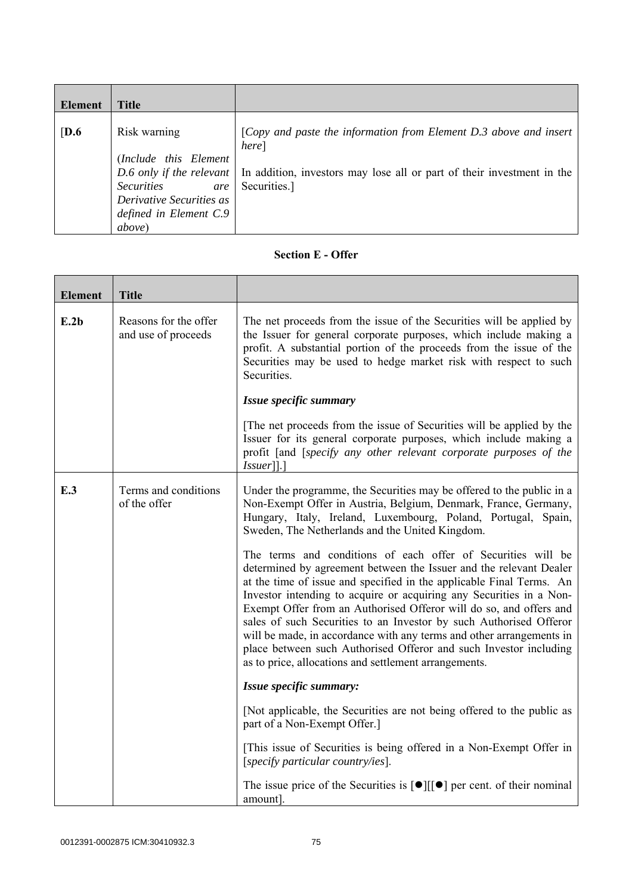| Element          | <b>Title</b>                                                                                                                              |                                                                                                                                                                                                 |
|------------------|-------------------------------------------------------------------------------------------------------------------------------------------|-------------------------------------------------------------------------------------------------------------------------------------------------------------------------------------------------|
| $\overline{D.6}$ | Risk warning<br>(Include this Element<br><b>Securities</b><br>are<br>Derivative Securities as<br>defined in Element C.9<br><i>above</i> ) | [Copy and paste the information from Element D.3 above and insert<br>here]<br>D.6 only if the relevant   In addition, investors may lose all or part of their investment in the<br>Securities.] |

## **Section E - Offer**

| <b>Element</b> | <b>Title</b>                                 |                                                                                                                                                                                                                                                                                                                                                                                                                                                                                                                                                                                                                                     |
|----------------|----------------------------------------------|-------------------------------------------------------------------------------------------------------------------------------------------------------------------------------------------------------------------------------------------------------------------------------------------------------------------------------------------------------------------------------------------------------------------------------------------------------------------------------------------------------------------------------------------------------------------------------------------------------------------------------------|
| E.2b           | Reasons for the offer<br>and use of proceeds | The net proceeds from the issue of the Securities will be applied by<br>the Issuer for general corporate purposes, which include making a<br>profit. A substantial portion of the proceeds from the issue of the<br>Securities may be used to hedge market risk with respect to such<br>Securities.                                                                                                                                                                                                                                                                                                                                 |
|                |                                              | Issue specific summary                                                                                                                                                                                                                                                                                                                                                                                                                                                                                                                                                                                                              |
|                |                                              | The net proceeds from the issue of Securities will be applied by the<br>Issuer for its general corporate purposes, which include making a<br>profit [and [specify any other relevant corporate purposes of the<br>$Is \, \text{user}$ ].                                                                                                                                                                                                                                                                                                                                                                                            |
| E.3            | Terms and conditions<br>of the offer         | Under the programme, the Securities may be offered to the public in a<br>Non-Exempt Offer in Austria, Belgium, Denmark, France, Germany,<br>Hungary, Italy, Ireland, Luxembourg, Poland, Portugal, Spain,<br>Sweden, The Netherlands and the United Kingdom.                                                                                                                                                                                                                                                                                                                                                                        |
|                |                                              | The terms and conditions of each offer of Securities will be<br>determined by agreement between the Issuer and the relevant Dealer<br>at the time of issue and specified in the applicable Final Terms. An<br>Investor intending to acquire or acquiring any Securities in a Non-<br>Exempt Offer from an Authorised Offeror will do so, and offers and<br>sales of such Securities to an Investor by such Authorised Offeror<br>will be made, in accordance with any terms and other arrangements in<br>place between such Authorised Offeror and such Investor including<br>as to price, allocations and settlement arrangements. |
|                |                                              | Issue specific summary:                                                                                                                                                                                                                                                                                                                                                                                                                                                                                                                                                                                                             |
|                |                                              | [Not applicable, the Securities are not being offered to the public as<br>part of a Non-Exempt Offer.]                                                                                                                                                                                                                                                                                                                                                                                                                                                                                                                              |
|                |                                              | [This issue of Securities is being offered in a Non-Exempt Offer in<br>[specify particular country/ies].                                                                                                                                                                                                                                                                                                                                                                                                                                                                                                                            |
|                |                                              | The issue price of the Securities is $\lceil \bullet \rceil \lceil \cdot \rceil$ per cent. of their nominal<br>amount].                                                                                                                                                                                                                                                                                                                                                                                                                                                                                                             |